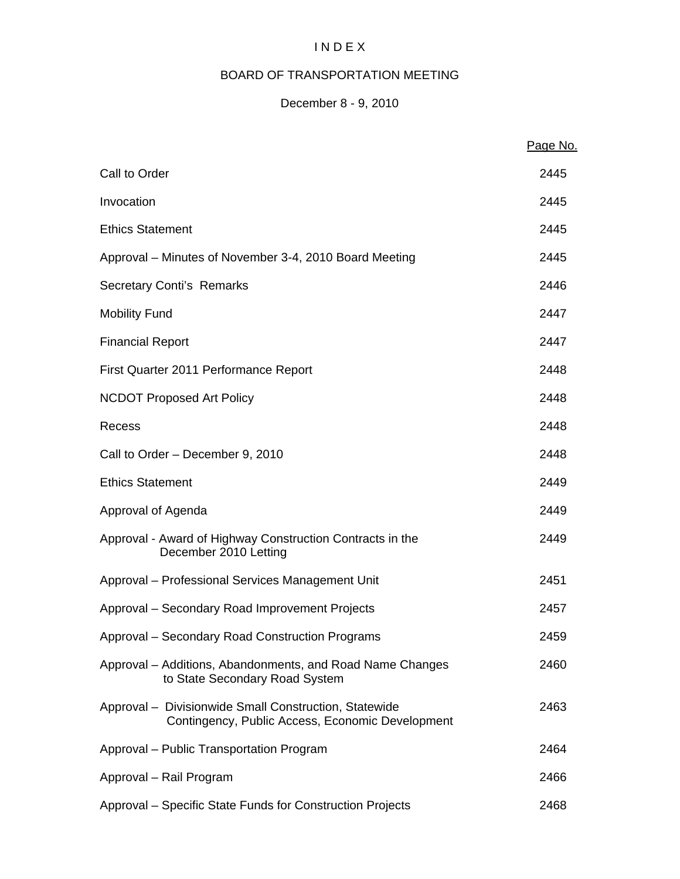# I N D E X

# BOARD OF TRANSPORTATION MEETING

# December 8 - 9, 2010

|                                                                                                           | Page No. |
|-----------------------------------------------------------------------------------------------------------|----------|
| Call to Order                                                                                             | 2445     |
| Invocation                                                                                                | 2445     |
| <b>Ethics Statement</b>                                                                                   | 2445     |
| Approval – Minutes of November 3-4, 2010 Board Meeting                                                    | 2445     |
| <b>Secretary Conti's Remarks</b>                                                                          | 2446     |
| <b>Mobility Fund</b>                                                                                      | 2447     |
| <b>Financial Report</b>                                                                                   | 2447     |
| First Quarter 2011 Performance Report                                                                     | 2448     |
| <b>NCDOT Proposed Art Policy</b>                                                                          | 2448     |
| Recess                                                                                                    | 2448     |
| Call to Order - December 9, 2010                                                                          | 2448     |
| <b>Ethics Statement</b>                                                                                   | 2449     |
| Approval of Agenda                                                                                        | 2449     |
| Approval - Award of Highway Construction Contracts in the<br>December 2010 Letting                        | 2449     |
| Approval - Professional Services Management Unit                                                          | 2451     |
| Approval – Secondary Road Improvement Projects                                                            | 2457     |
| Approval - Secondary Road Construction Programs                                                           | 2459     |
| Approval – Additions, Abandonments, and Road Name Changes<br>to State Secondary Road System               | 2460     |
| Approval - Divisionwide Small Construction, Statewide<br>Contingency, Public Access, Economic Development | 2463     |
| Approval - Public Transportation Program                                                                  | 2464     |
| Approval - Rail Program                                                                                   | 2466     |
| Approval - Specific State Funds for Construction Projects                                                 | 2468     |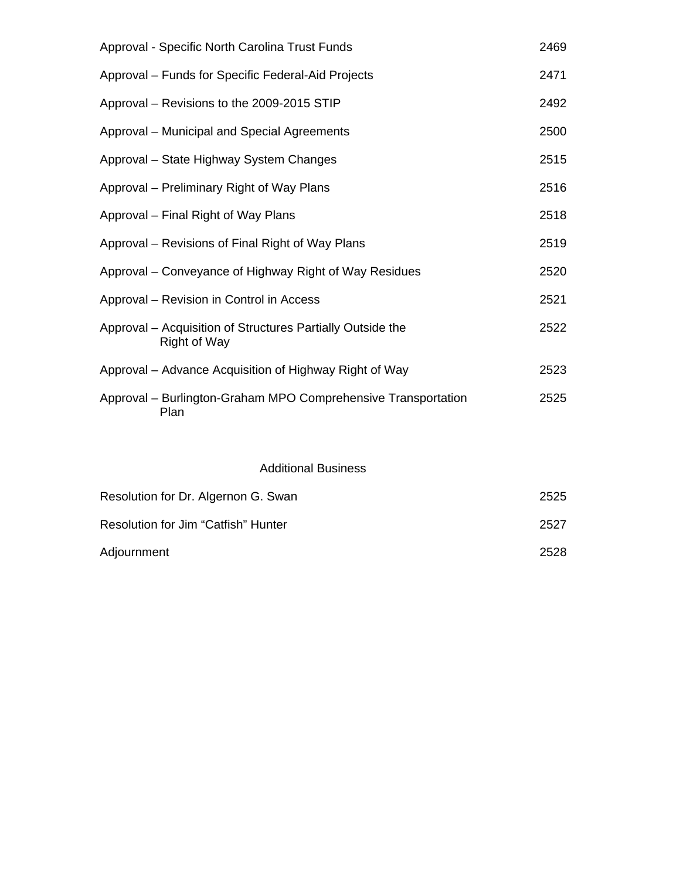| Approval - Specific North Carolina Trust Funds                                    | 2469 |
|-----------------------------------------------------------------------------------|------|
| Approval – Funds for Specific Federal-Aid Projects                                | 2471 |
| Approval - Revisions to the 2009-2015 STIP                                        | 2492 |
| Approval – Municipal and Special Agreements                                       | 2500 |
| Approval - State Highway System Changes                                           | 2515 |
| Approval – Preliminary Right of Way Plans                                         | 2516 |
| Approval – Final Right of Way Plans                                               | 2518 |
| Approval – Revisions of Final Right of Way Plans                                  | 2519 |
| Approval – Conveyance of Highway Right of Way Residues                            | 2520 |
| Approval – Revision in Control in Access                                          | 2521 |
| Approval – Acquisition of Structures Partially Outside the<br><b>Right of Way</b> | 2522 |
| Approval – Advance Acquisition of Highway Right of Way                            | 2523 |
| Approval - Burlington-Graham MPO Comprehensive Transportation<br>Plan             | 2525 |

# Additional Business

| Resolution for Dr. Algernon G. Swan | 2525 |
|-------------------------------------|------|
| Resolution for Jim "Catfish" Hunter | 2527 |
| Adjournment                         | 2528 |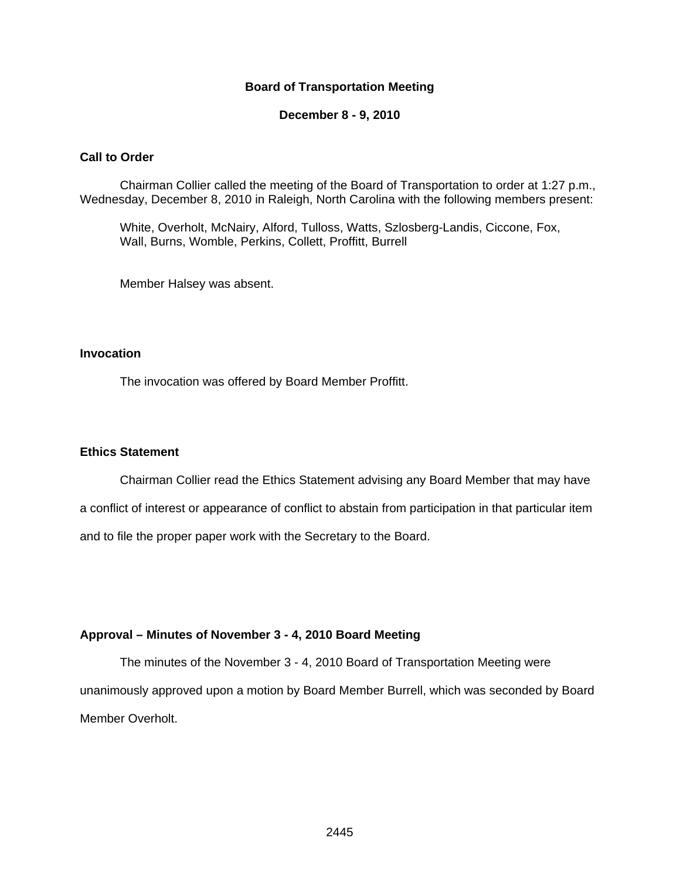#### **Board of Transportation Meeting**

**December 8 - 9, 2010** 

#### **Call to Order**

Chairman Collier called the meeting of the Board of Transportation to order at 1:27 p.m., Wednesday, December 8, 2010 in Raleigh, North Carolina with the following members present:

White, Overholt, McNairy, Alford, Tulloss, Watts, Szlosberg-Landis, Ciccone, Fox, Wall, Burns, Womble, Perkins, Collett, Proffitt, Burrell

Member Halsey was absent.

#### **Invocation**

The invocation was offered by Board Member Proffitt.

#### **Ethics Statement**

Chairman Collier read the Ethics Statement advising any Board Member that may have a conflict of interest or appearance of conflict to abstain from participation in that particular item and to file the proper paper work with the Secretary to the Board.

#### **Approval – Minutes of November 3 - 4, 2010 Board Meeting**

The minutes of the November 3 - 4, 2010 Board of Transportation Meeting were unanimously approved upon a motion by Board Member Burrell, which was seconded by Board Member Overholt.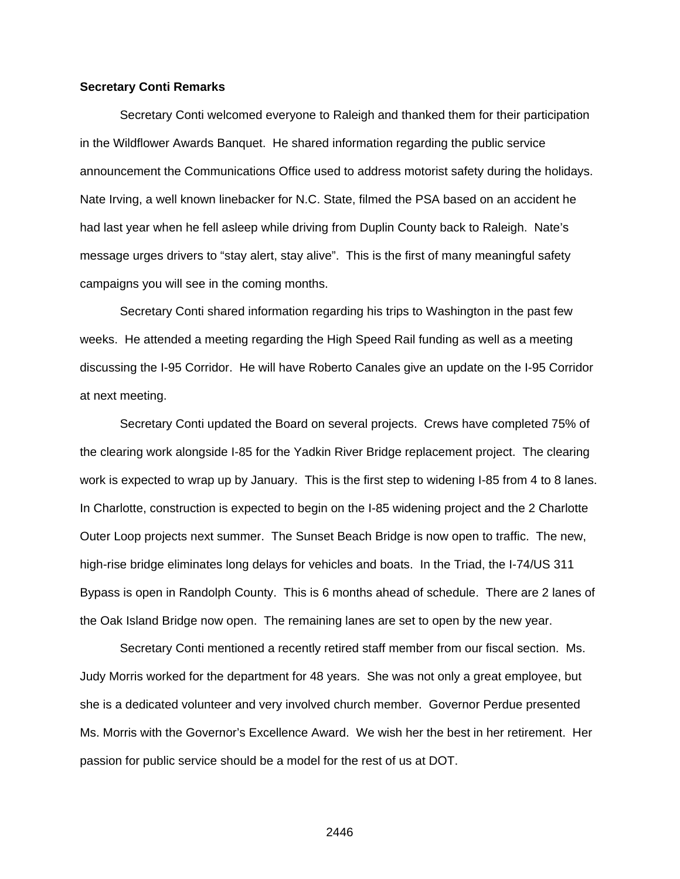#### **Secretary Conti Remarks**

 Secretary Conti welcomed everyone to Raleigh and thanked them for their participation in the Wildflower Awards Banquet. He shared information regarding the public service announcement the Communications Office used to address motorist safety during the holidays. Nate Irving, a well known linebacker for N.C. State, filmed the PSA based on an accident he had last year when he fell asleep while driving from Duplin County back to Raleigh. Nate's message urges drivers to "stay alert, stay alive". This is the first of many meaningful safety campaigns you will see in the coming months.

Secretary Conti shared information regarding his trips to Washington in the past few weeks. He attended a meeting regarding the High Speed Rail funding as well as a meeting discussing the I-95 Corridor. He will have Roberto Canales give an update on the I-95 Corridor at next meeting.

Secretary Conti updated the Board on several projects. Crews have completed 75% of the clearing work alongside I-85 for the Yadkin River Bridge replacement project. The clearing work is expected to wrap up by January. This is the first step to widening I-85 from 4 to 8 lanes. In Charlotte, construction is expected to begin on the I-85 widening project and the 2 Charlotte Outer Loop projects next summer. The Sunset Beach Bridge is now open to traffic. The new, high-rise bridge eliminates long delays for vehicles and boats. In the Triad, the I-74/US 311 Bypass is open in Randolph County. This is 6 months ahead of schedule. There are 2 lanes of the Oak Island Bridge now open. The remaining lanes are set to open by the new year.

Secretary Conti mentioned a recently retired staff member from our fiscal section. Ms. Judy Morris worked for the department for 48 years. She was not only a great employee, but she is a dedicated volunteer and very involved church member. Governor Perdue presented Ms. Morris with the Governor's Excellence Award. We wish her the best in her retirement. Her passion for public service should be a model for the rest of us at DOT.

<u>2446 година в 2446 година в 2446 година в 2446 година в 2446 година в 2446 година в 2446 година в 2446 година </u>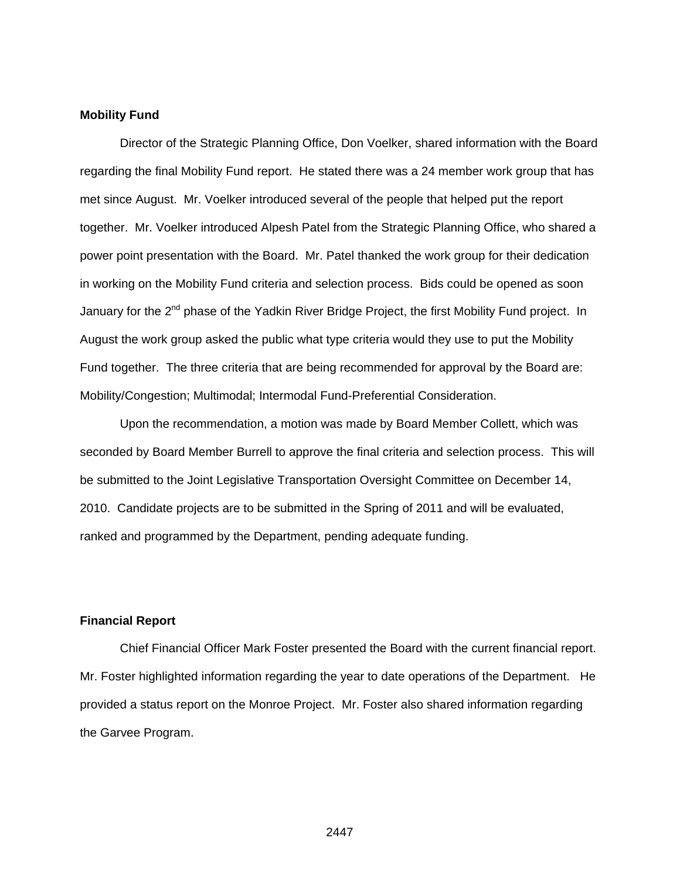#### **Mobility Fund**

Director of the Strategic Planning Office, Don Voelker, shared information with the Board regarding the final Mobility Fund report. He stated there was a 24 member work group that has met since August. Mr. Voelker introduced several of the people that helped put the report together. Mr. Voelker introduced Alpesh Patel from the Strategic Planning Office, who shared a power point presentation with the Board. Mr. Patel thanked the work group for their dedication in working on the Mobility Fund criteria and selection process. Bids could be opened as soon January for the 2<sup>nd</sup> phase of the Yadkin River Bridge Project, the first Mobility Fund project. In August the work group asked the public what type criteria would they use to put the Mobility Fund together. The three criteria that are being recommended for approval by the Board are: Mobility/Congestion; Multimodal; Intermodal Fund-Preferential Consideration.

Upon the recommendation, a motion was made by Board Member Collett, which was seconded by Board Member Burrell to approve the final criteria and selection process. This will be submitted to the Joint Legislative Transportation Oversight Committee on December 14, 2010. Candidate projects are to be submitted in the Spring of 2011 and will be evaluated, ranked and programmed by the Department, pending adequate funding.

#### **Financial Report**

Chief Financial Officer Mark Foster presented the Board with the current financial report. Mr. Foster highlighted information regarding the year to date operations of the Department. He provided a status report on the Monroe Project. Mr. Foster also shared information regarding the Garvee Program.

<u>2447 година в 2447 година в 2447 година в 244</u>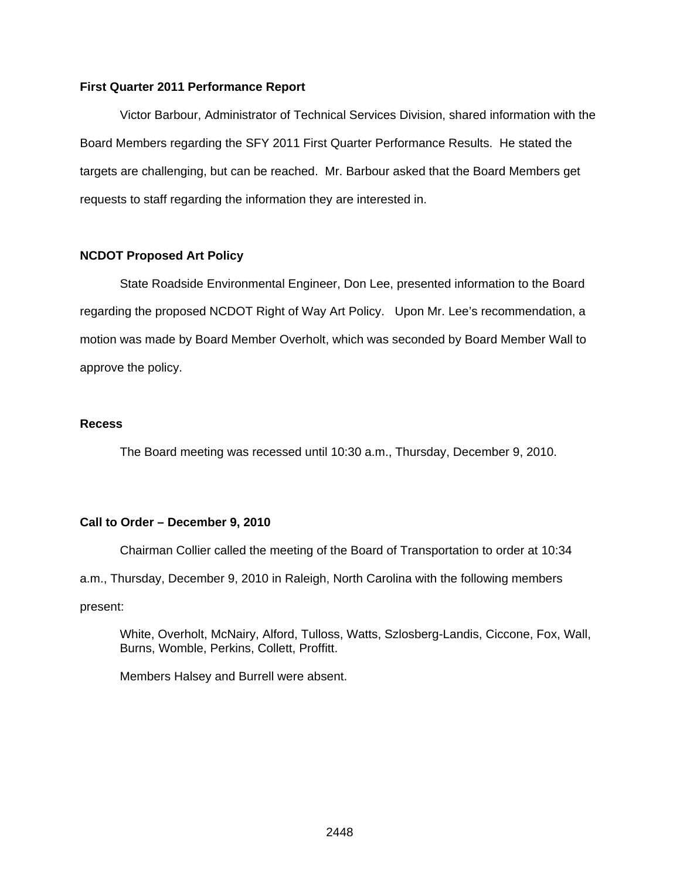#### **First Quarter 2011 Performance Report**

Victor Barbour, Administrator of Technical Services Division, shared information with the Board Members regarding the SFY 2011 First Quarter Performance Results. He stated the targets are challenging, but can be reached. Mr. Barbour asked that the Board Members get requests to staff regarding the information they are interested in.

#### **NCDOT Proposed Art Policy**

State Roadside Environmental Engineer, Don Lee, presented information to the Board regarding the proposed NCDOT Right of Way Art Policy. Upon Mr. Lee's recommendation, a motion was made by Board Member Overholt, which was seconded by Board Member Wall to approve the policy.

#### **Recess**

The Board meeting was recessed until 10:30 a.m., Thursday, December 9, 2010.

#### **Call to Order – December 9, 2010**

Chairman Collier called the meeting of the Board of Transportation to order at 10:34 a.m., Thursday, December 9, 2010 in Raleigh, North Carolina with the following members present:

White, Overholt, McNairy, Alford, Tulloss, Watts, Szlosberg-Landis, Ciccone, Fox, Wall, Burns, Womble, Perkins, Collett, Proffitt.

Members Halsey and Burrell were absent.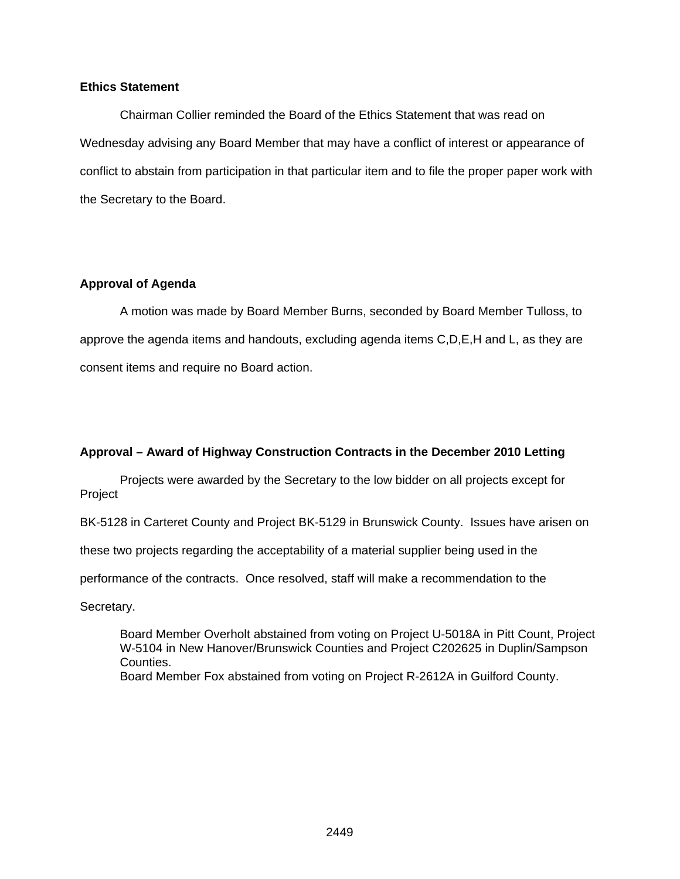## **Ethics Statement**

Chairman Collier reminded the Board of the Ethics Statement that was read on Wednesday advising any Board Member that may have a conflict of interest or appearance of conflict to abstain from participation in that particular item and to file the proper paper work with the Secretary to the Board.

#### **Approval of Agenda**

A motion was made by Board Member Burns, seconded by Board Member Tulloss, to approve the agenda items and handouts, excluding agenda items C,D,E,H and L, as they are consent items and require no Board action.

## **Approval – Award of Highway Construction Contracts in the December 2010 Letting**

Projects were awarded by the Secretary to the low bidder on all projects except for Project

BK-5128 in Carteret County and Project BK-5129 in Brunswick County. Issues have arisen on

these two projects regarding the acceptability of a material supplier being used in the

performance of the contracts. Once resolved, staff will make a recommendation to the

Secretary.

Board Member Overholt abstained from voting on Project U-5018A in Pitt Count, Project W-5104 in New Hanover/Brunswick Counties and Project C202625 in Duplin/Sampson Counties. Board Member Fox abstained from voting on Project R-2612A in Guilford County.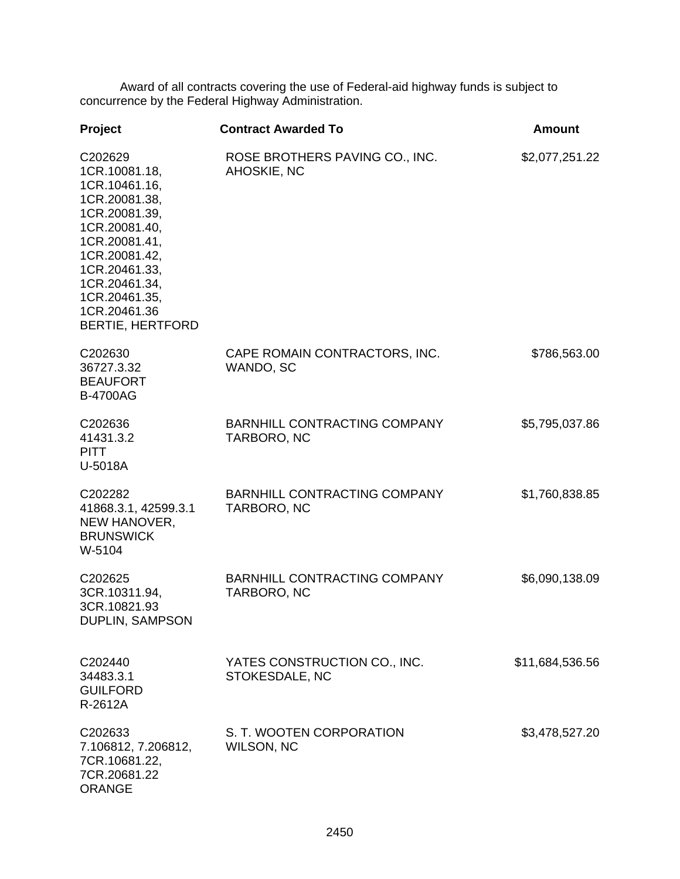Award of all contracts covering the use of Federal-aid highway funds is subject to concurrence by the Federal Highway Administration.

| Project                                                                                                                                                                                                                      | <b>Contract Awarded To</b>                         | <b>Amount</b>   |
|------------------------------------------------------------------------------------------------------------------------------------------------------------------------------------------------------------------------------|----------------------------------------------------|-----------------|
| C202629<br>1CR.10081.18,<br>1CR.10461.16,<br>1CR.20081.38,<br>1CR.20081.39,<br>1CR.20081.40,<br>1CR.20081.41,<br>1CR.20081.42,<br>1CR.20461.33,<br>1CR.20461.34,<br>1CR.20461.35,<br>1CR.20461.36<br><b>BERTIE, HERTFORD</b> | ROSE BROTHERS PAVING CO., INC.<br>AHOSKIE, NC      | \$2,077,251.22  |
| C202630<br>36727.3.32<br><b>BEAUFORT</b><br><b>B-4700AG</b>                                                                                                                                                                  | CAPE ROMAIN CONTRACTORS, INC.<br>WANDO, SC         | \$786,563.00    |
| C202636<br>41431.3.2<br><b>PITT</b><br>U-5018A                                                                                                                                                                               | <b>BARNHILL CONTRACTING COMPANY</b><br>TARBORO, NC | \$5,795,037.86  |
| C202282<br>41868.3.1, 42599.3.1<br>NEW HANOVER,<br><b>BRUNSWICK</b><br>W-5104                                                                                                                                                | <b>BARNHILL CONTRACTING COMPANY</b><br>TARBORO, NC | \$1,760,838.85  |
| C202625<br>3CR.10311.94,<br>3CR.10821.93<br>DUPLIN, SAMPSON                                                                                                                                                                  | BARNHILL CONTRACTING COMPANY<br>TARBORO, NC        | \$6,090,138.09  |
| C202440<br>34483.3.1<br><b>GUILFORD</b><br>R-2612A                                                                                                                                                                           | YATES CONSTRUCTION CO., INC.<br>STOKESDALE, NC     | \$11,684,536.56 |
| C202633<br>7.106812, 7.206812,<br>7CR.10681.22,<br>7CR.20681.22<br><b>ORANGE</b>                                                                                                                                             | S. T. WOOTEN CORPORATION<br>WILSON, NC             | \$3,478,527.20  |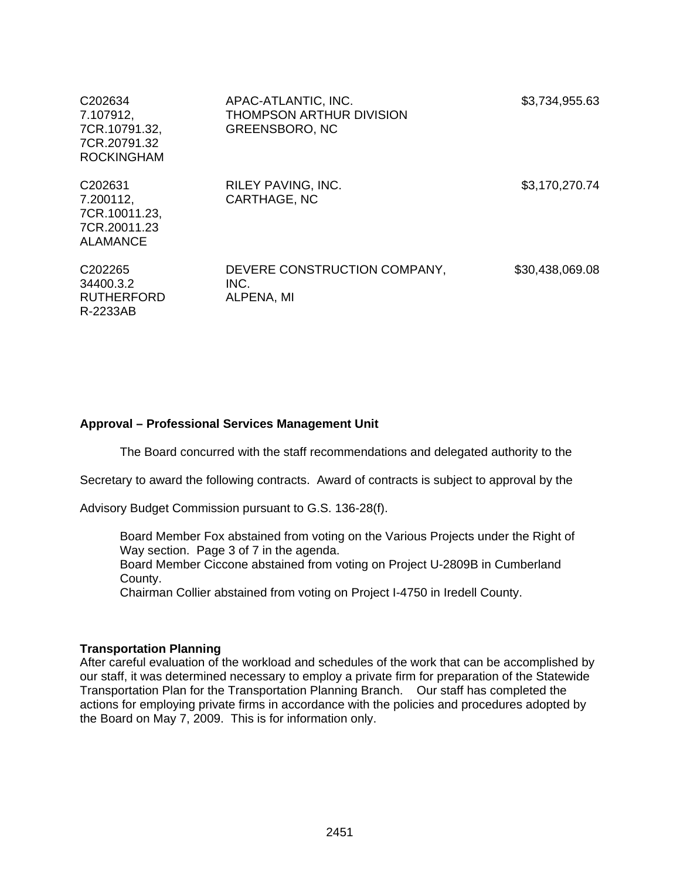| C <sub>202634</sub><br>7.107912,<br>7CR.10791.32,<br>7CR.20791.32<br><b>ROCKINGHAM</b> | APAC-ATLANTIC, INC.<br>THOMPSON ARTHUR DIVISION<br><b>GREENSBORO, NC</b> | \$3,734,955.63  |
|----------------------------------------------------------------------------------------|--------------------------------------------------------------------------|-----------------|
| C <sub>202631</sub><br>7.200112,<br>7CR.10011.23,<br>7CR.20011.23<br><b>ALAMANCE</b>   | <b>RILEY PAVING, INC.</b><br>CARTHAGE, NC                                | \$3,170,270.74  |
| C <sub>202265</sub><br>34400.3.2<br><b>RUTHERFORD</b><br>R-2233AB                      | DEVERE CONSTRUCTION COMPANY,<br>INC.<br>ALPENA, MI                       | \$30,438,069.08 |

## **Approval – Professional Services Management Unit**

The Board concurred with the staff recommendations and delegated authority to the

Secretary to award the following contracts. Award of contracts is subject to approval by the

Advisory Budget Commission pursuant to G.S. 136-28(f).

Board Member Fox abstained from voting on the Various Projects under the Right of Way section. Page 3 of 7 in the agenda.

Board Member Ciccone abstained from voting on Project U-2809B in Cumberland County.

Chairman Collier abstained from voting on Project I-4750 in Iredell County.

#### **Transportation Planning**

After careful evaluation of the workload and schedules of the work that can be accomplished by our staff, it was determined necessary to employ a private firm for preparation of the Statewide Transportation Plan for the Transportation Planning Branch. Our staff has completed the actions for employing private firms in accordance with the policies and procedures adopted by the Board on May 7, 2009. This is for information only.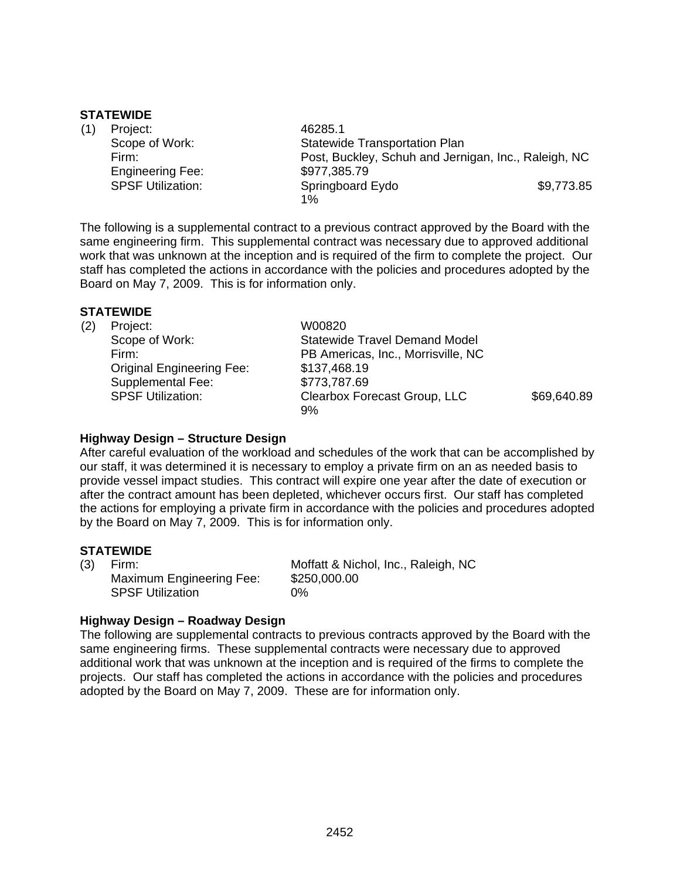#### **STATEWIDE**

| (1) | Project:                 | 46285.1                                              |            |
|-----|--------------------------|------------------------------------------------------|------------|
|     | Scope of Work:           | <b>Statewide Transportation Plan</b>                 |            |
|     | Firm:                    | Post, Buckley, Schuh and Jernigan, Inc., Raleigh, NC |            |
|     | <b>Engineering Fee:</b>  | \$977,385.79                                         |            |
|     | <b>SPSF Utilization:</b> | Springboard Eydo                                     | \$9,773.85 |
|     |                          | 1%                                                   |            |

The following is a supplemental contract to a previous contract approved by the Board with the same engineering firm. This supplemental contract was necessary due to approved additional work that was unknown at the inception and is required of the firm to complete the project. Our staff has completed the actions in accordance with the policies and procedures adopted by the Board on May 7, 2009. This is for information only.

## **STATEWIDE**

| (2) | Project:                         | W00820                               |             |
|-----|----------------------------------|--------------------------------------|-------------|
|     | Scope of Work:                   | <b>Statewide Travel Demand Model</b> |             |
|     | Firm:                            | PB Americas, Inc., Morrisville, NC   |             |
|     | <b>Original Engineering Fee:</b> | \$137,468.19                         |             |
|     | Supplemental Fee:                | \$773,787.69                         |             |
|     | <b>SPSF Utilization:</b>         | Clearbox Forecast Group, LLC<br>9%   | \$69,640.89 |

## **Highway Design – Structure Design**

After careful evaluation of the workload and schedules of the work that can be accomplished by our staff, it was determined it is necessary to employ a private firm on an as needed basis to provide vessel impact studies. This contract will expire one year after the date of execution or after the contract amount has been depleted, whichever occurs first. Our staff has completed the actions for employing a private firm in accordance with the policies and procedures adopted by the Board on May 7, 2009. This is for information only.

#### **STATEWIDE**

| (3) | Firm:                    | Moffatt & Nichol, Inc., Raleigh, NC |
|-----|--------------------------|-------------------------------------|
|     | Maximum Engineering Fee: | \$250,000.00                        |
|     | <b>SPSF Utilization</b>  | 0%                                  |

## **Highway Design – Roadway Design**

The following are supplemental contracts to previous contracts approved by the Board with the same engineering firms. These supplemental contracts were necessary due to approved additional work that was unknown at the inception and is required of the firms to complete the projects. Our staff has completed the actions in accordance with the policies and procedures adopted by the Board on May 7, 2009. These are for information only.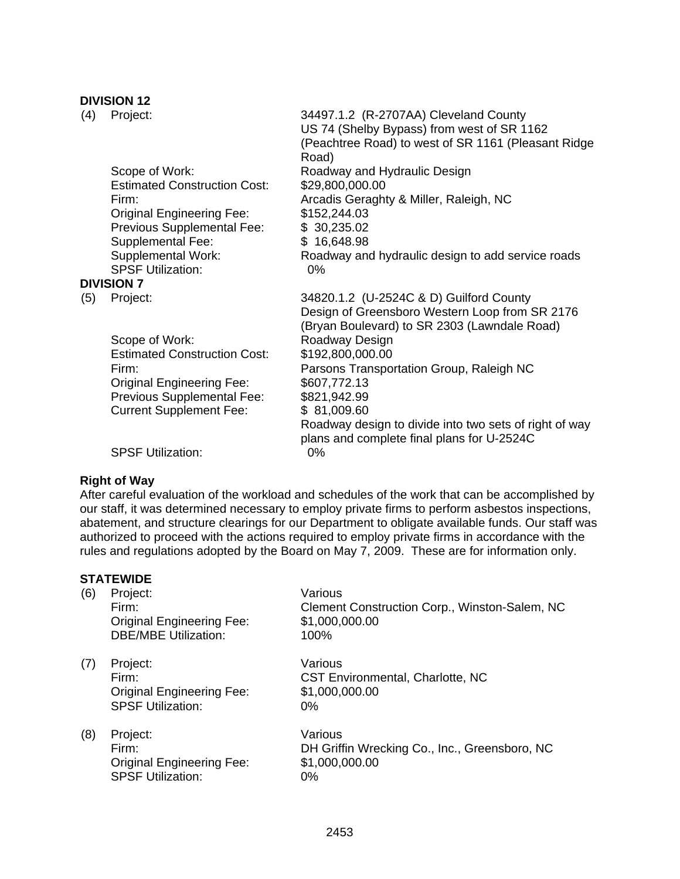# **DIVISION 12**

| (4) | Project:                                              | 34497.1.2 (R-2707AA) Cleveland County<br>US 74 (Shelby Bypass) from west of SR 1162<br>(Peachtree Road) to west of SR 1161 (Pleasant Ridge<br>Road) |
|-----|-------------------------------------------------------|-----------------------------------------------------------------------------------------------------------------------------------------------------|
|     | Scope of Work:                                        | Roadway and Hydraulic Design                                                                                                                        |
|     | <b>Estimated Construction Cost:</b>                   | \$29,800,000.00                                                                                                                                     |
|     | Firm:                                                 | Arcadis Geraghty & Miller, Raleigh, NC                                                                                                              |
|     | <b>Original Engineering Fee:</b>                      | \$152,244.03                                                                                                                                        |
|     | Previous Supplemental Fee:                            | \$30,235.02                                                                                                                                         |
|     | Supplemental Fee:                                     | \$16,648.98                                                                                                                                         |
|     | <b>Supplemental Work:</b><br><b>SPSF Utilization:</b> | Roadway and hydraulic design to add service roads                                                                                                   |
|     | <b>DIVISION 7</b>                                     | 0%                                                                                                                                                  |
|     |                                                       | 34820.1.2 (U-2524C & D) Guilford County                                                                                                             |
| (5) | Project:                                              | Design of Greensboro Western Loop from SR 2176<br>(Bryan Boulevard) to SR 2303 (Lawndale Road)                                                      |
|     | Scope of Work:                                        | Roadway Design                                                                                                                                      |
|     | <b>Estimated Construction Cost:</b>                   | \$192,800,000.00                                                                                                                                    |
|     | Firm:                                                 | Parsons Transportation Group, Raleigh NC                                                                                                            |
|     | <b>Original Engineering Fee:</b>                      | \$607,772.13                                                                                                                                        |
|     | Previous Supplemental Fee:                            | \$821,942.99                                                                                                                                        |
|     | <b>Current Supplement Fee:</b>                        | \$81,009.60<br>Roadway design to divide into two sets of right of way<br>plans and complete final plans for U-2524C                                 |
|     | <b>SPSF Utilization:</b>                              | 0%                                                                                                                                                  |

## **Right of Way**

After careful evaluation of the workload and schedules of the work that can be accomplished by our staff, it was determined necessary to employ private firms to perform asbestos inspections, abatement, and structure clearings for our Department to obligate available funds. Our staff was authorized to proceed with the actions required to employ private firms in accordance with the rules and regulations adopted by the Board on May 7, 2009. These are for information only.

| Project:                                                                          | Various                                                                          |
|-----------------------------------------------------------------------------------|----------------------------------------------------------------------------------|
| <b>Original Engineering Fee:</b><br><b>DBE/MBE Utilization:</b>                   | Clement Construction Corp., Winston-Salem, NC<br>\$1,000,000.00<br>100%          |
| Project:<br>Firm:<br><b>Original Engineering Fee:</b><br><b>SPSF Utilization:</b> | Various<br><b>CST Environmental, Charlotte, NC</b><br>\$1,000,000.00<br>0%       |
| Project:<br>Firm:<br><b>Original Engineering Fee:</b><br><b>SPSF Utilization:</b> | Various<br>DH Griffin Wrecking Co., Inc., Greensboro, NC<br>\$1,000,000.00<br>0% |
|                                                                                   | Firm:                                                                            |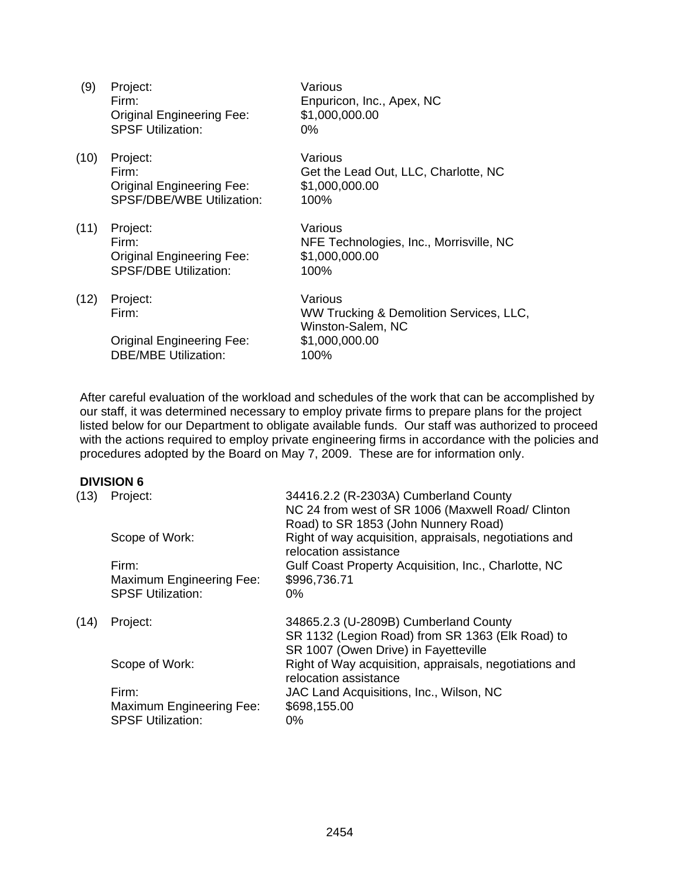| (9)  | Project:<br>Firm:<br><b>Original Engineering Fee:</b><br><b>SPSF Utilization:</b>         | Various<br>Enpuricon, Inc., Apex, NC<br>\$1,000,000.00<br>$0\%$                                   |
|------|-------------------------------------------------------------------------------------------|---------------------------------------------------------------------------------------------------|
| (10) | Project:<br>Firm:<br><b>Original Engineering Fee:</b><br><b>SPSF/DBE/WBE Utilization:</b> | Various<br>Get the Lead Out, LLC, Charlotte, NC<br>\$1,000,000.00<br>100%                         |
| (11) | Project:<br>Firm:<br><b>Original Engineering Fee:</b><br><b>SPSF/DBE Utilization:</b>     | Various<br>NFE Technologies, Inc., Morrisville, NC<br>\$1,000,000.00<br>100%                      |
| (12) | Project:<br>Firm:<br><b>Original Engineering Fee:</b><br><b>DBE/MBE Utilization:</b>      | Various<br>WW Trucking & Demolition Services, LLC,<br>Winston-Salem, NC<br>\$1,000,000.00<br>100% |

After careful evaluation of the workload and schedules of the work that can be accomplished by our staff, it was determined necessary to employ private firms to prepare plans for the project listed below for our Department to obligate available funds. Our staff was authorized to proceed with the actions required to employ private engineering firms in accordance with the policies and procedures adopted by the Board on May 7, 2009. These are for information only.

## **DIVISION 6**

| (13) | Project:<br>Scope of Work:<br>Firm:<br>Maximum Engineering Fee:<br><b>SPSF Utilization:</b> | 34416.2.2 (R-2303A) Cumberland County<br>NC 24 from west of SR 1006 (Maxwell Road/ Clinton<br>Road) to SR 1853 (John Nunnery Road)<br>Right of way acquisition, appraisals, negotiations and<br>relocation assistance<br>Gulf Coast Property Acquisition, Inc., Charlotte, NC<br>\$996,736.71<br>$0\%$ |
|------|---------------------------------------------------------------------------------------------|--------------------------------------------------------------------------------------------------------------------------------------------------------------------------------------------------------------------------------------------------------------------------------------------------------|
| (14) | Project:                                                                                    | 34865.2.3 (U-2809B) Cumberland County<br>SR 1132 (Legion Road) from SR 1363 (Elk Road) to<br>SR 1007 (Owen Drive) in Fayetteville                                                                                                                                                                      |
|      | Scope of Work:                                                                              | Right of Way acquisition, appraisals, negotiations and<br>relocation assistance                                                                                                                                                                                                                        |
|      | Firm:                                                                                       | JAC Land Acquisitions, Inc., Wilson, NC                                                                                                                                                                                                                                                                |
|      | Maximum Engineering Fee:<br><b>SPSF Utilization:</b>                                        | \$698,155.00<br>0%                                                                                                                                                                                                                                                                                     |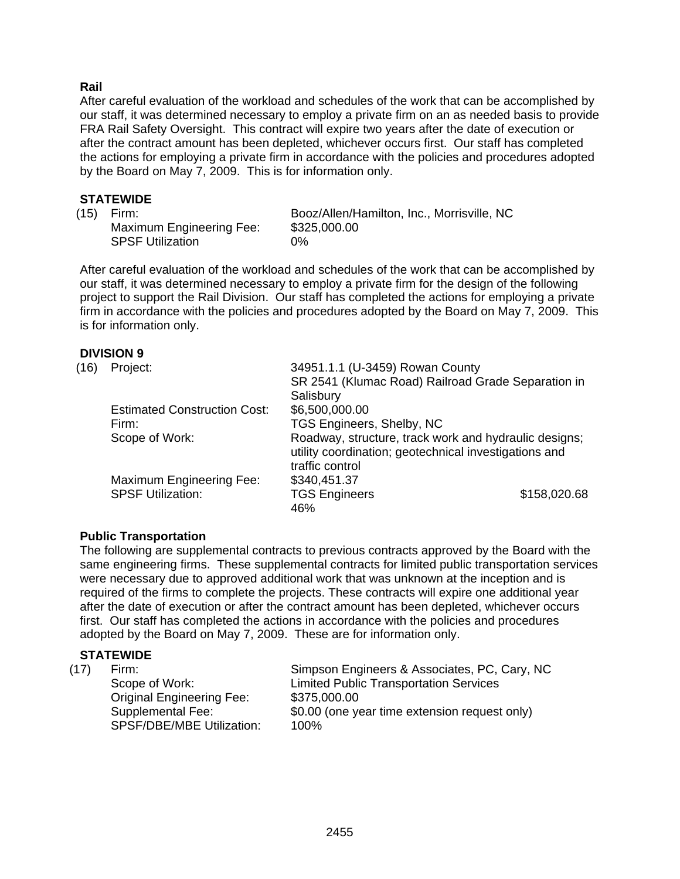## **Rail**

After careful evaluation of the workload and schedules of the work that can be accomplished by our staff, it was determined necessary to employ a private firm on an as needed basis to provide FRA Rail Safety Oversight. This contract will expire two years after the date of execution or after the contract amount has been depleted, whichever occurs first. Our staff has completed the actions for employing a private firm in accordance with the policies and procedures adopted by the Board on May 7, 2009. This is for information only.

## **STATEWIDE**

Maximum Engineering Fee: \$325,000.00 SPSF Utilization 0%

(15) Firm: Booz/Allen/Hamilton, Inc., Morrisville, NC

After careful evaluation of the workload and schedules of the work that can be accomplished by our staff, it was determined necessary to employ a private firm for the design of the following project to support the Rail Division. Our staff has completed the actions for employing a private firm in accordance with the policies and procedures adopted by the Board on May 7, 2009. This is for information only.

## **DIVISION 9**

| (16) | Project:                            | 34951.1.1 (U-3459) Rowan County                                                                                                   |              |
|------|-------------------------------------|-----------------------------------------------------------------------------------------------------------------------------------|--------------|
|      |                                     | SR 2541 (Klumac Road) Railroad Grade Separation in                                                                                |              |
|      |                                     | Salisbury                                                                                                                         |              |
|      | <b>Estimated Construction Cost:</b> | \$6,500,000.00                                                                                                                    |              |
|      | Firm:                               | TGS Engineers, Shelby, NC                                                                                                         |              |
|      | Scope of Work:                      | Roadway, structure, track work and hydraulic designs;<br>utility coordination; geotechnical investigations and<br>traffic control |              |
|      | Maximum Engineering Fee:            | \$340,451.37                                                                                                                      |              |
|      | <b>SPSF Utilization:</b>            | <b>TGS Engineers</b><br>46%                                                                                                       | \$158,020.68 |

## **Public Transportation**

The following are supplemental contracts to previous contracts approved by the Board with the same engineering firms. These supplemental contracts for limited public transportation services were necessary due to approved additional work that was unknown at the inception and is required of the firms to complete the projects. These contracts will expire one additional year after the date of execution or after the contract amount has been depleted, whichever occurs first. Our staff has completed the actions in accordance with the policies and procedures adopted by the Board on May 7, 2009. These are for information only.

## **STATEWIDE**

| (17) | Firm:<br>Scope of Work:<br><b>Original Engineering Fee:</b><br>Supplemental Fee: | Simpson Engineers & Associates, PC, Cary, NC<br><b>Limited Public Transportation Services</b><br>\$375,000.00<br>\$0.00 (one year time extension request only) |
|------|----------------------------------------------------------------------------------|----------------------------------------------------------------------------------------------------------------------------------------------------------------|
|      | <b>SPSF/DBE/MBE Utilization:</b>                                                 | $100\%$                                                                                                                                                        |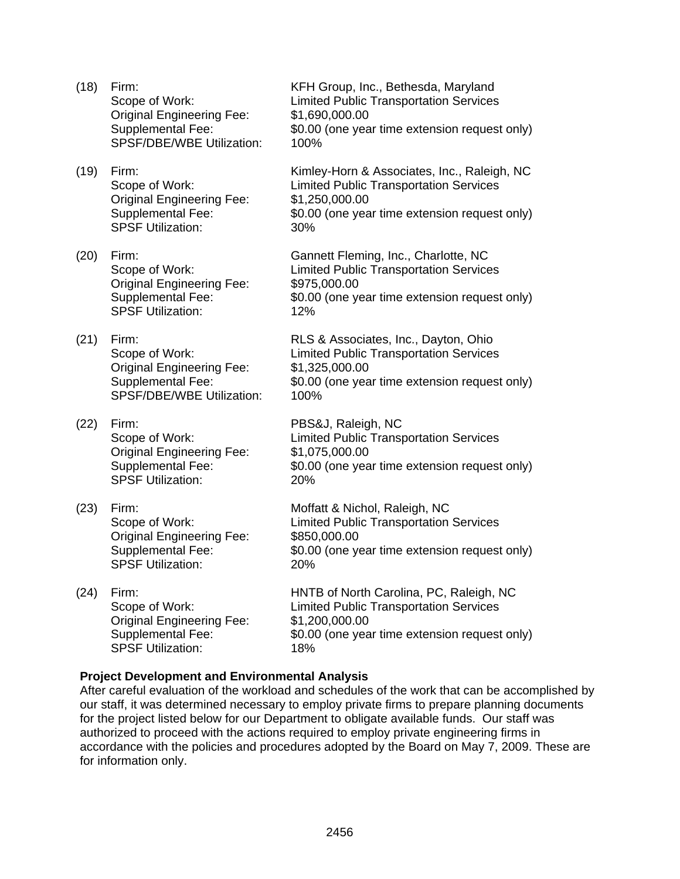- Original Engineering Fee: \$1,690,000.00<br>Supplemental Fee: \$0.00 (one yea SPSF/DBE/WBE Utilization: 100%
- Original Engineering Fee: \$1,250,000.00 SPSF Utilization: 30%
- Original Engineering Fee: \$975,000.00 SPSF Utilization: 12%
- Original Engineering Fee: \$1,325,000.00 SPSF/DBE/WBE Utilization: 100%
- (22) Firm: PBS&J, Raleigh, NC Original Engineering Fee: \$1,075,000.00 SPSF Utilization: 20%
- Original Engineering Fee: \$850,000.00<br>Supplemental Fee: \$0.00 (one ye SPSF Utilization: 20%
- Original Engineering Fee: \$1,200,000.00 SPSF Utilization: 18%

(18) Firm: KFH Group, Inc., Bethesda, Maryland Scope of Work: Limited Public Transportation Services \$0.00 (one year time extension request only)

(19) Firm: Kimley-Horn & Associates, Inc., Raleigh, NC Scope of Work: Limited Public Transportation Services Supplemental Fee:  $$0.00$  (one year time extension request only)

(20) Firm: Gannett Fleming, Inc., Charlotte, NC Scope of Work: Limited Public Transportation Services Supplemental Fee: \$0.00 (one year time extension request only)

(21) Firm: RLS & Associates, Inc., Dayton, Ohio Scope of Work: Limited Public Transportation Services Supplemental Fee: \$0.00 (one year time extension request only)

 Scope of Work: Limited Public Transportation Services Supplemental Fee: \$0.00 (one year time extension request only)

(23) Firm: Moffatt & Nichol, Raleigh, NC Scope of Work: Limited Public Transportation Services \$0.00 (one year time extension request only)

(24) Firm: HNTB of North Carolina, PC, Raleigh, NC Scope of Work: Limited Public Transportation Services Supplemental Fee:  $$0.00$  (one year time extension request only)

## **Project Development and Environmental Analysis**

After careful evaluation of the workload and schedules of the work that can be accomplished by our staff, it was determined necessary to employ private firms to prepare planning documents for the project listed below for our Department to obligate available funds. Our staff was authorized to proceed with the actions required to employ private engineering firms in accordance with the policies and procedures adopted by the Board on May 7, 2009. These are for information only.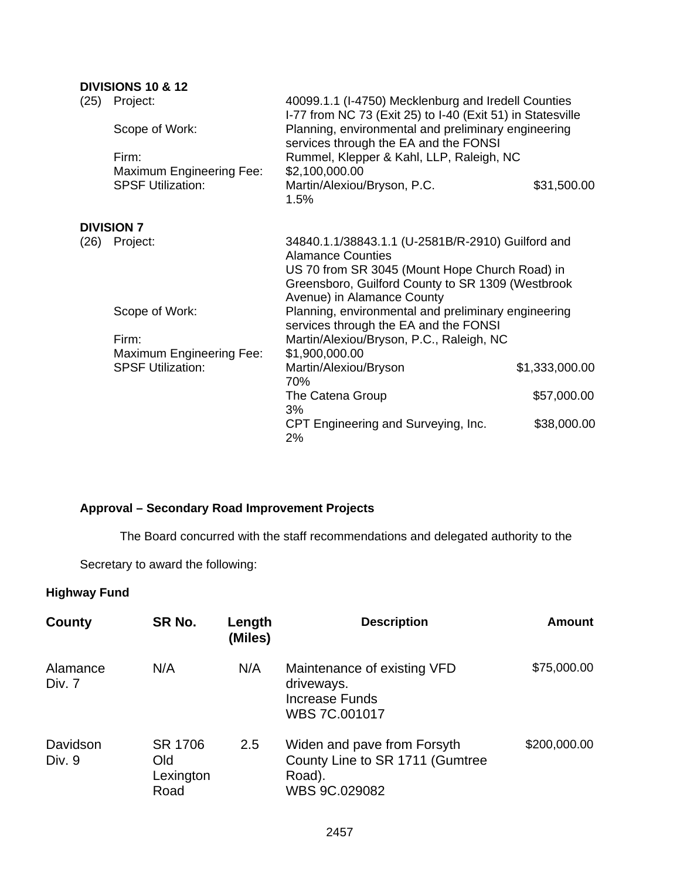## **DIVISIONS 10 & 12**

| (25) | Project:                                                    | 40099.1.1 (I-4750) Mecklenburg and Iredell Counties<br>I-77 from NC 73 (Exit 25) to I-40 (Exit 51) in Statesville                                                                                                  |                |  |
|------|-------------------------------------------------------------|--------------------------------------------------------------------------------------------------------------------------------------------------------------------------------------------------------------------|----------------|--|
|      | Scope of Work:                                              | Planning, environmental and preliminary engineering<br>services through the EA and the FONSI                                                                                                                       |                |  |
|      | Firm:<br>Maximum Engineering Fee:                           | Rummel, Klepper & Kahl, LLP, Raleigh, NC<br>\$2,100,000.00                                                                                                                                                         |                |  |
|      | <b>SPSF Utilization:</b>                                    | Martin/Alexiou/Bryson, P.C.<br>1.5%                                                                                                                                                                                | \$31,500.00    |  |
|      | <b>DIVISION 7</b>                                           |                                                                                                                                                                                                                    |                |  |
| (26) | Project:                                                    | 34840.1.1/38843.1.1 (U-2581B/R-2910) Guilford and<br><b>Alamance Counties</b><br>US 70 from SR 3045 (Mount Hope Church Road) in<br>Greensboro, Guilford County to SR 1309 (Westbrook<br>Avenue) in Alamance County |                |  |
|      | Scope of Work:                                              | Planning, environmental and preliminary engineering<br>services through the EA and the FONSI                                                                                                                       |                |  |
|      | Firm:                                                       | Martin/Alexiou/Bryson, P.C., Raleigh, NC                                                                                                                                                                           |                |  |
|      | <b>Maximum Engineering Fee:</b><br><b>SPSF Utilization:</b> | \$1,900,000.00<br>Martin/Alexiou/Bryson<br>70%                                                                                                                                                                     | \$1,333,000.00 |  |
|      |                                                             | The Catena Group<br>3%                                                                                                                                                                                             | \$57,000.00    |  |
|      |                                                             | CPT Engineering and Surveying, Inc.<br>2%                                                                                                                                                                          | \$38,000.00    |  |

# **Approval – Secondary Road Improvement Projects**

The Board concurred with the staff recommendations and delegated authority to the

Secretary to award the following:

## **Highway Fund**

| County             | SR No.                              | Length<br>(Miles) | <b>Description</b>                                                                        | <b>Amount</b> |
|--------------------|-------------------------------------|-------------------|-------------------------------------------------------------------------------------------|---------------|
| Alamance<br>Div. 7 | N/A                                 | N/A               | Maintenance of existing VFD<br>driveways.<br><b>Increase Funds</b><br>WBS 7C.001017       | \$75,000.00   |
| Davidson<br>Div. 9 | SR 1706<br>Old<br>Lexington<br>Road | 2.5               | Widen and pave from Forsyth<br>County Line to SR 1711 (Gumtree<br>Road).<br>WBS 9C.029082 | \$200,000.00  |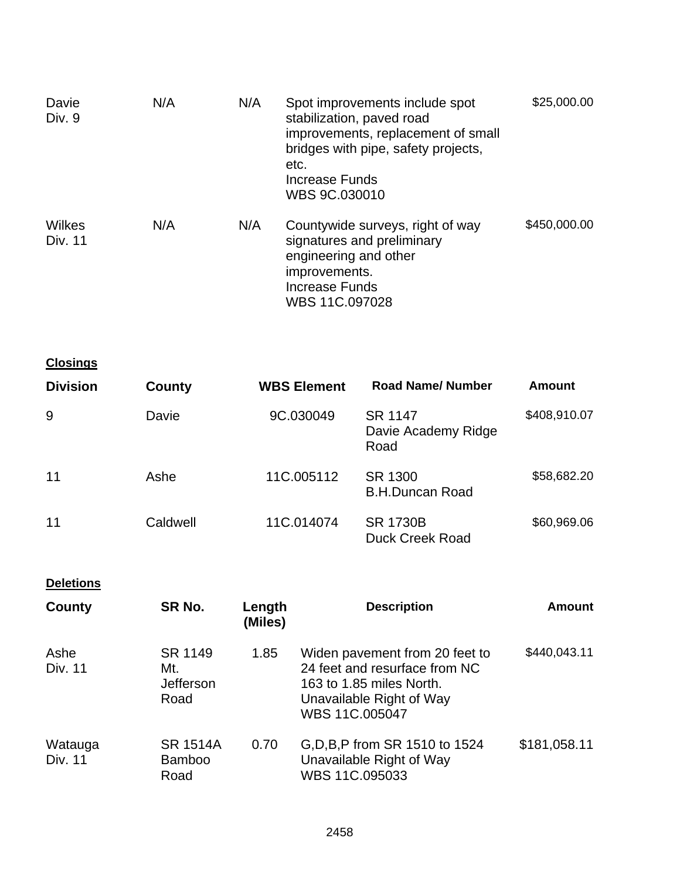| Davie<br>Div. 9   | N/A | N/A | Spot improvements include spot<br>stabilization, paved road<br>improvements, replacement of small<br>bridges with pipe, safety projects,<br>etc.<br>Increase Funds<br>WBS 9C.030010 | \$25,000.00  |
|-------------------|-----|-----|-------------------------------------------------------------------------------------------------------------------------------------------------------------------------------------|--------------|
| Wilkes<br>Div. 11 | N/A | N/A | Countywide surveys, right of way<br>signatures and preliminary<br>engineering and other<br>improvements.<br>Increase Funds<br>WBS 11C.097028                                        | \$450,000.00 |

| <b>Closings</b> |          |                    |                                           |              |
|-----------------|----------|--------------------|-------------------------------------------|--------------|
| <b>Division</b> | County   | <b>WBS Element</b> | <b>Road Name/Number</b>                   | Amount       |
| 9               | Davie    | 9C.030049          | SR 1147<br>Davie Academy Ridge<br>Road    | \$408,910.07 |
| 11              | Ashe     | 11C.005112         | SR 1300<br><b>B.H.Duncan Road</b>         | \$58,682.20  |
| 11              | Caldwell | 11C.014074         | <b>SR 1730B</b><br><b>Duck Creek Road</b> | \$60,969.06  |

**Deletions** 

| County             | SR No.                                   | Length<br>(Miles) | <b>Description</b>                                                                                                                        | <b>Amount</b> |
|--------------------|------------------------------------------|-------------------|-------------------------------------------------------------------------------------------------------------------------------------------|---------------|
| Ashe<br>Div. 11    | SR 1149<br>Mt.<br>Jefferson<br>Road      | 1.85              | Widen pavement from 20 feet to<br>24 feet and resurface from NC<br>163 to 1.85 miles North.<br>Unavailable Right of Way<br>WBS 11C.005047 | \$440,043.11  |
| Watauga<br>Div. 11 | <b>SR 1514A</b><br><b>Bamboo</b><br>Road | 0.70              | G, D, B, P from SR 1510 to 1524<br>Unavailable Right of Way<br>WBS 11C.095033                                                             | \$181,058.11  |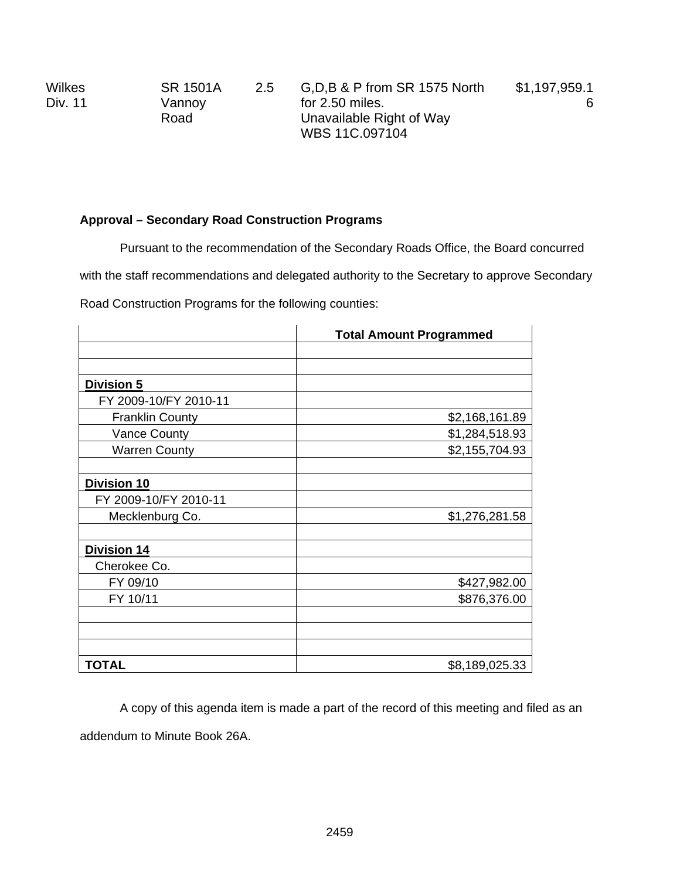| <b>Wilkes</b> | SR 1501A | 2.5 | G, D, B & P from SR 1575 North | \$1,197,959.1 |
|---------------|----------|-----|--------------------------------|---------------|
| Div. 11       | Vannoy   |     | for 2.50 miles.                |               |
|               | Road     |     | Unavailable Right of Way       |               |
|               |          |     | WBS 11C.097104                 |               |

# **Approval – Secondary Road Construction Programs**

Pursuant to the recommendation of the Secondary Roads Office, the Board concurred

with the staff recommendations and delegated authority to the Secretary to approve Secondary

Road Construction Programs for the following counties:

|                        | <b>Total Amount Programmed</b> |
|------------------------|--------------------------------|
|                        |                                |
|                        |                                |
| <b>Division 5</b>      |                                |
| FY 2009-10/FY 2010-11  |                                |
| <b>Franklin County</b> | \$2,168,161.89                 |
| <b>Vance County</b>    | \$1,284,518.93                 |
| <b>Warren County</b>   | \$2,155,704.93                 |
|                        |                                |
| <b>Division 10</b>     |                                |
| FY 2009-10/FY 2010-11  |                                |
| Mecklenburg Co.        | \$1,276,281.58                 |
|                        |                                |
| <b>Division 14</b>     |                                |
| Cherokee Co.           |                                |
| FY 09/10               | \$427,982.00                   |
| FY 10/11               | \$876,376.00                   |
|                        |                                |
|                        |                                |
|                        |                                |
| TOTAL                  | \$8,189,025.33                 |

 A copy of this agenda item is made a part of the record of this meeting and filed as an addendum to Minute Book 26A.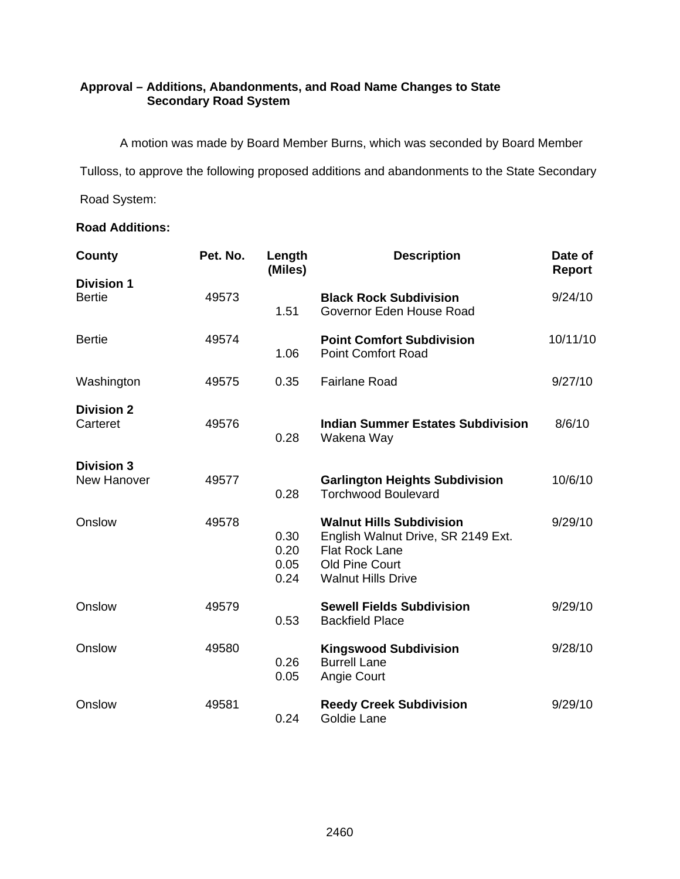# **Approval – Additions, Abandonments, and Road Name Changes to State Secondary Road System**

A motion was made by Board Member Burns, which was seconded by Board Member

Tulloss, to approve the following proposed additions and abandonments to the State Secondary

Road System:

## **Road Additions:**

| County                             | Pet. No. | Length<br>(Miles)            | <b>Description</b>                                                                                                                            | Date of<br>Report |
|------------------------------------|----------|------------------------------|-----------------------------------------------------------------------------------------------------------------------------------------------|-------------------|
| <b>Division 1</b><br><b>Bertie</b> | 49573    | 1.51                         | <b>Black Rock Subdivision</b><br>Governor Eden House Road                                                                                     | 9/24/10           |
| <b>Bertie</b>                      | 49574    | 1.06                         | <b>Point Comfort Subdivision</b><br><b>Point Comfort Road</b>                                                                                 | 10/11/10          |
| Washington                         | 49575    | 0.35                         | <b>Fairlane Road</b>                                                                                                                          | 9/27/10           |
| <b>Division 2</b><br>Carteret      | 49576    | 0.28                         | <b>Indian Summer Estates Subdivision</b><br>Wakena Way                                                                                        | 8/6/10            |
| <b>Division 3</b><br>New Hanover   | 49577    | 0.28                         | <b>Garlington Heights Subdivision</b><br><b>Torchwood Boulevard</b>                                                                           | 10/6/10           |
| Onslow                             | 49578    | 0.30<br>0.20<br>0.05<br>0.24 | <b>Walnut Hills Subdivision</b><br>English Walnut Drive, SR 2149 Ext.<br><b>Flat Rock Lane</b><br>Old Pine Court<br><b>Walnut Hills Drive</b> | 9/29/10           |
| Onslow                             | 49579    | 0.53                         | <b>Sewell Fields Subdivision</b><br><b>Backfield Place</b>                                                                                    | 9/29/10           |
| Onslow                             | 49580    | 0.26<br>0.05                 | <b>Kingswood Subdivision</b><br><b>Burrell Lane</b><br>Angie Court                                                                            | 9/28/10           |
| Onslow                             | 49581    | 0.24                         | <b>Reedy Creek Subdivision</b><br>Goldie Lane                                                                                                 | 9/29/10           |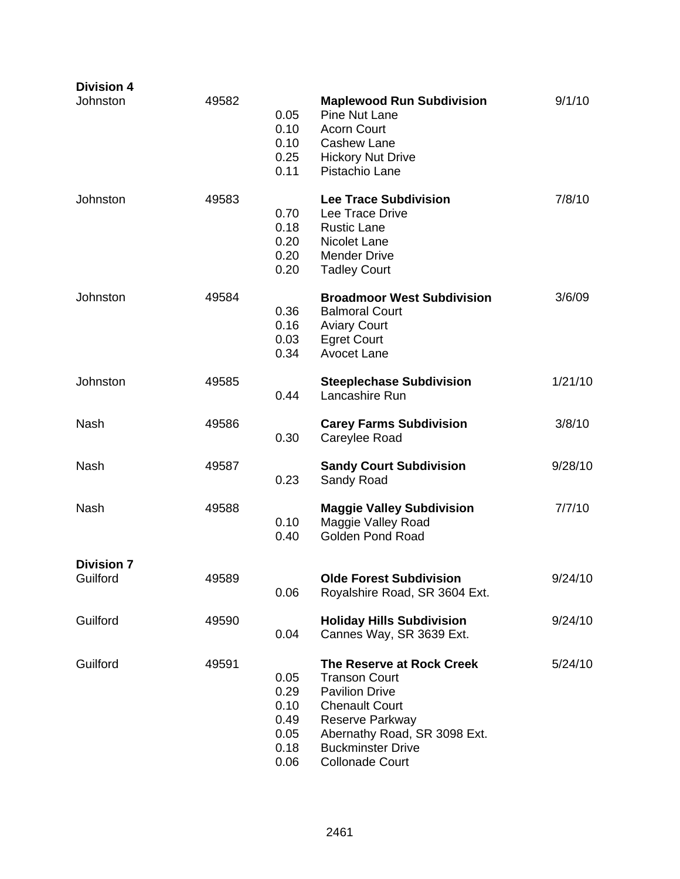| <b>Division 4</b>             |       |                                                      |                                                                                                                                                                                                              |         |
|-------------------------------|-------|------------------------------------------------------|--------------------------------------------------------------------------------------------------------------------------------------------------------------------------------------------------------------|---------|
| Johnston                      | 49582 | 0.05<br>0.10<br>0.10<br>0.25<br>0.11                 | <b>Maplewood Run Subdivision</b><br><b>Pine Nut Lane</b><br><b>Acorn Court</b><br><b>Cashew Lane</b><br><b>Hickory Nut Drive</b><br>Pistachio Lane                                                           | 9/1/10  |
| Johnston                      | 49583 | 0.70<br>0.18<br>0.20<br>0.20<br>0.20                 | <b>Lee Trace Subdivision</b><br>Lee Trace Drive<br><b>Rustic Lane</b><br>Nicolet Lane<br><b>Mender Drive</b><br><b>Tadley Court</b>                                                                          | 7/8/10  |
| Johnston                      | 49584 | 0.36<br>0.16<br>0.03<br>0.34                         | <b>Broadmoor West Subdivision</b><br><b>Balmoral Court</b><br><b>Aviary Court</b><br><b>Egret Court</b><br><b>Avocet Lane</b>                                                                                | 3/6/09  |
| Johnston                      | 49585 | 0.44                                                 | <b>Steeplechase Subdivision</b><br>Lancashire Run                                                                                                                                                            | 1/21/10 |
| Nash                          | 49586 | 0.30                                                 | <b>Carey Farms Subdivision</b><br>Careylee Road                                                                                                                                                              | 3/8/10  |
| <b>Nash</b>                   | 49587 | 0.23                                                 | <b>Sandy Court Subdivision</b><br>Sandy Road                                                                                                                                                                 | 9/28/10 |
| <b>Nash</b>                   | 49588 | 0.10<br>0.40                                         | <b>Maggie Valley Subdivision</b><br>Maggie Valley Road<br><b>Golden Pond Road</b>                                                                                                                            | 7/7/10  |
| <b>Division 7</b><br>Guilford | 49589 | 0.06                                                 | <b>Olde Forest Subdivision</b><br>Royalshire Road, SR 3604 Ext.                                                                                                                                              | 9/24/10 |
| Guilford                      | 49590 | 0.04                                                 | <b>Holiday Hills Subdivision</b><br>Cannes Way, SR 3639 Ext.                                                                                                                                                 | 9/24/10 |
| Guilford                      | 49591 | 0.05<br>0.29<br>0.10<br>0.49<br>0.05<br>0.18<br>0.06 | The Reserve at Rock Creek<br><b>Transon Court</b><br><b>Pavilion Drive</b><br><b>Chenault Court</b><br>Reserve Parkway<br>Abernathy Road, SR 3098 Ext.<br><b>Buckminster Drive</b><br><b>Collonade Court</b> | 5/24/10 |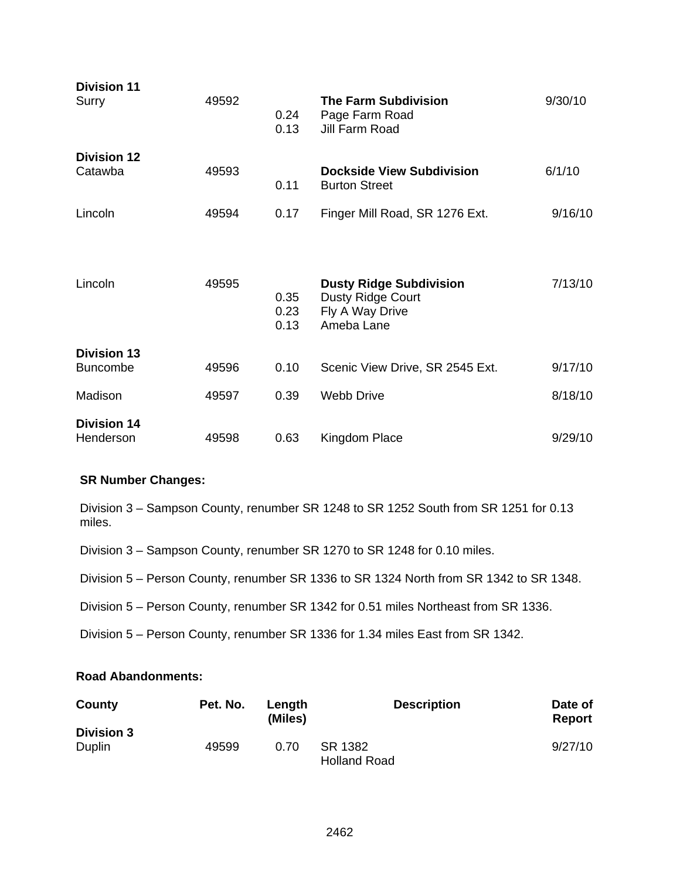| <b>Division 11</b><br>Surry           | 49592 | 0.24<br>0.13         | <b>The Farm Subdivision</b><br>Page Farm Road<br>Jill Farm Road                      | 9/30/10 |
|---------------------------------------|-------|----------------------|--------------------------------------------------------------------------------------|---------|
| <b>Division 12</b><br>Catawba         | 49593 | 0.11                 | <b>Dockside View Subdivision</b><br><b>Burton Street</b>                             | 6/1/10  |
| Lincoln                               | 49594 | 0.17                 | Finger Mill Road, SR 1276 Ext.                                                       | 9/16/10 |
| Lincoln                               | 49595 | 0.35<br>0.23<br>0.13 | <b>Dusty Ridge Subdivision</b><br>Dusty Ridge Court<br>Fly A Way Drive<br>Ameba Lane | 7/13/10 |
| <b>Division 13</b><br><b>Buncombe</b> | 49596 | 0.10                 | Scenic View Drive, SR 2545 Ext.                                                      | 9/17/10 |
| Madison                               | 49597 | 0.39                 | <b>Webb Drive</b>                                                                    | 8/18/10 |
| <b>Division 14</b><br>Henderson       | 49598 | 0.63                 | Kingdom Place                                                                        | 9/29/10 |

## **SR Number Changes:**

Division 3 – Sampson County, renumber SR 1248 to SR 1252 South from SR 1251 for 0.13 miles.

Division 3 – Sampson County, renumber SR 1270 to SR 1248 for 0.10 miles.

Division 5 – Person County, renumber SR 1336 to SR 1324 North from SR 1342 to SR 1348.

Division 5 – Person County, renumber SR 1342 for 0.51 miles Northeast from SR 1336.

Division 5 – Person County, renumber SR 1336 for 1.34 miles East from SR 1342.

#### **Road Abandonments:**

| County            | Pet. No. | Length<br>(Miles) | <b>Description</b>             | Date of<br>Report |
|-------------------|----------|-------------------|--------------------------------|-------------------|
| <b>Division 3</b> |          |                   |                                |                   |
| Duplin            | 49599    | 0.70              | SR 1382<br><b>Holland Road</b> | 9/27/10           |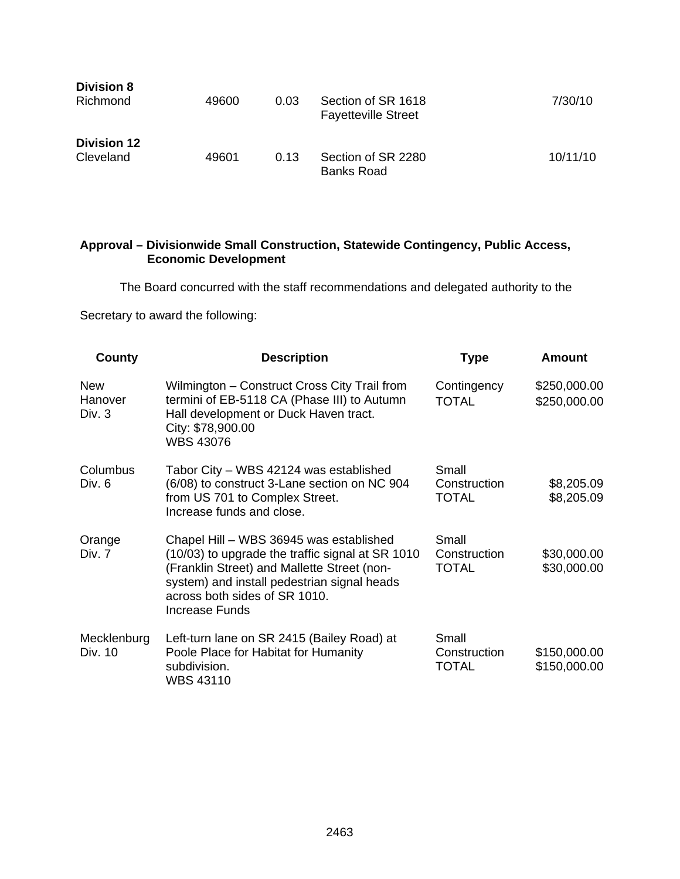| <b>Division 8</b><br>Richmond   | 49600 | 0.03 | Section of SR 1618<br><b>Fayetteville Street</b> | 7/30/10  |
|---------------------------------|-------|------|--------------------------------------------------|----------|
| <b>Division 12</b><br>Cleveland | 49601 | 0.13 | Section of SR 2280<br><b>Banks Road</b>          | 10/11/10 |

## **Approval – Divisionwide Small Construction, Statewide Contingency, Public Access, Economic Development**

The Board concurred with the staff recommendations and delegated authority to the

Secretary to award the following:

| County                          | <b>Description</b>                                                                                                                                                                                                                           | <b>Type</b>                           | Amount                       |
|---------------------------------|----------------------------------------------------------------------------------------------------------------------------------------------------------------------------------------------------------------------------------------------|---------------------------------------|------------------------------|
| <b>New</b><br>Hanover<br>Div. 3 | Wilmington – Construct Cross City Trail from<br>termini of EB-5118 CA (Phase III) to Autumn<br>Hall development or Duck Haven tract.<br>City: \$78,900.00<br><b>WBS 43076</b>                                                                | Contingency<br><b>TOTAL</b>           | \$250,000.00<br>\$250,000.00 |
| Columbus<br>Div. 6              | Tabor City – WBS 42124 was established<br>(6/08) to construct 3-Lane section on NC 904<br>from US 701 to Complex Street.<br>Increase funds and close.                                                                                        | Small<br>Construction<br><b>TOTAL</b> | \$8,205.09<br>\$8,205.09     |
| Orange<br>Div. 7                | Chapel Hill - WBS 36945 was established<br>(10/03) to upgrade the traffic signal at SR 1010<br>(Franklin Street) and Mallette Street (non-<br>system) and install pedestrian signal heads<br>across both sides of SR 1010.<br>Increase Funds | Small<br>Construction<br><b>TOTAL</b> | \$30,000.00<br>\$30,000.00   |
| Mecklenburg<br>Div. 10          | Left-turn lane on SR 2415 (Bailey Road) at<br>Poole Place for Habitat for Humanity<br>subdivision.<br><b>WBS 43110</b>                                                                                                                       | Small<br>Construction<br>TOTAL        | \$150,000.00<br>\$150,000.00 |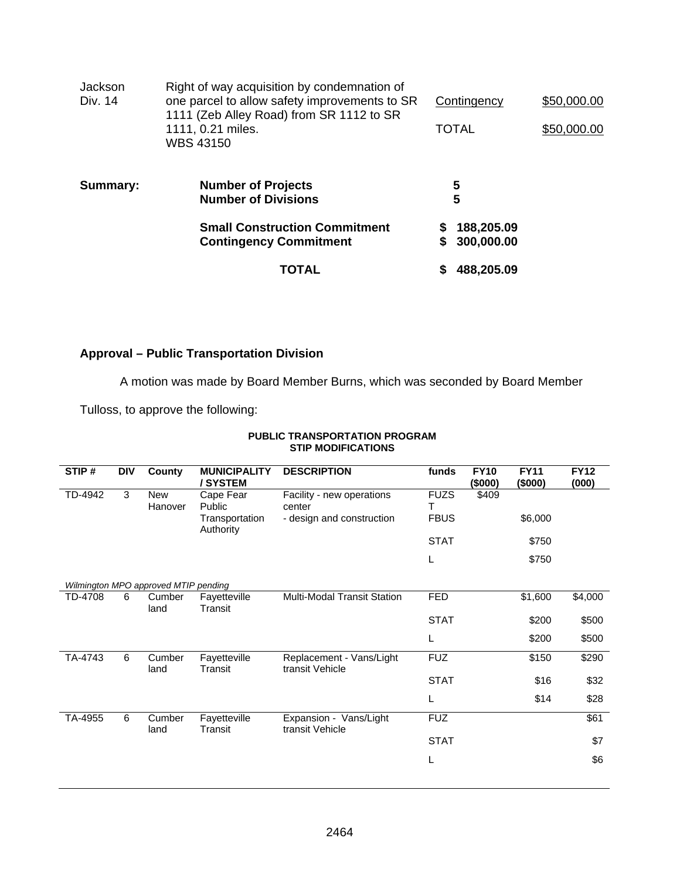| Jackson<br>Div. 14 | Right of way acquisition by condemnation of<br>one parcel to allow safety improvements to SR<br>1111 (Zeb Alley Road) from SR 1112 to SR<br>1111, 0.21 miles.<br>WBS 43150 | Contingency<br><b>TOTAL</b>        | \$50,000.00<br>\$50,000.00 |
|--------------------|----------------------------------------------------------------------------------------------------------------------------------------------------------------------------|------------------------------------|----------------------------|
| Summary:           | <b>Number of Projects</b><br><b>Number of Divisions</b>                                                                                                                    | 5<br>5                             |                            |
|                    | <b>Small Construction Commitment</b><br><b>Contingency Commitment</b>                                                                                                      | 188,205.09<br>S<br>300,000.00<br>S |                            |
|                    | TOTAL                                                                                                                                                                      | 488,205.09<br>S                    |                            |

## **Approval – Public Transportation Division**

A motion was made by Board Member Burns, which was seconded by Board Member

Tulloss, to approve the following:

#### **PUBLIC TRANSPORTATION PROGRAM STIP MODIFICATIONS**

| STIP#   | <b>DIV</b> | County                               | <b>MUNICIPALITY</b><br>/SYSTEM | <b>DESCRIPTION</b>                          | funds       | <b>FY10</b><br>(\$000) | <b>FY11</b><br>(\$000) | <b>FY12</b><br>(000) |
|---------|------------|--------------------------------------|--------------------------------|---------------------------------------------|-------------|------------------------|------------------------|----------------------|
| TD-4942 | 3          | <b>New</b>                           | Cape Fear                      | Facility - new operations                   | <b>FUZS</b> | \$409                  |                        |                      |
|         |            | Hanover                              | Public                         | center                                      | Т           |                        |                        |                      |
|         |            |                                      | Transportation<br>Authority    | - design and construction                   | <b>FBUS</b> |                        | \$6,000                |                      |
|         |            |                                      |                                |                                             | <b>STAT</b> |                        | \$750                  |                      |
|         |            |                                      |                                |                                             | L           |                        | \$750                  |                      |
|         |            | Wilmington MPO approved MTIP pending |                                |                                             |             |                        |                        |                      |
| TD-4708 | 6          | Cumber                               | Fayetteville                   | Multi-Modal Transit Station                 | <b>FED</b>  |                        | \$1,600                | \$4,000              |
|         |            | land                                 | Transit                        |                                             |             |                        |                        |                      |
|         |            |                                      |                                |                                             | <b>STAT</b> |                        | \$200                  | \$500                |
|         |            |                                      |                                |                                             | L           |                        | \$200                  | \$500                |
| TA-4743 | 6          | Cumber<br>land                       | Fayetteville<br>Transit        | Replacement - Vans/Light<br>transit Vehicle | <b>FUZ</b>  |                        | \$150                  | \$290                |
|         |            |                                      |                                |                                             | <b>STAT</b> |                        | \$16                   | \$32                 |
|         |            |                                      |                                |                                             | L           |                        | \$14                   | \$28                 |
| TA-4955 | 6          | Cumber<br>land                       | Fayetteville<br>Transit        | Expansion - Vans/Light<br>transit Vehicle   | <b>FUZ</b>  |                        |                        | \$61                 |
|         |            |                                      |                                |                                             | <b>STAT</b> |                        |                        | \$7                  |
|         |            |                                      |                                |                                             | L           |                        |                        | \$6                  |
|         |            |                                      |                                |                                             |             |                        |                        |                      |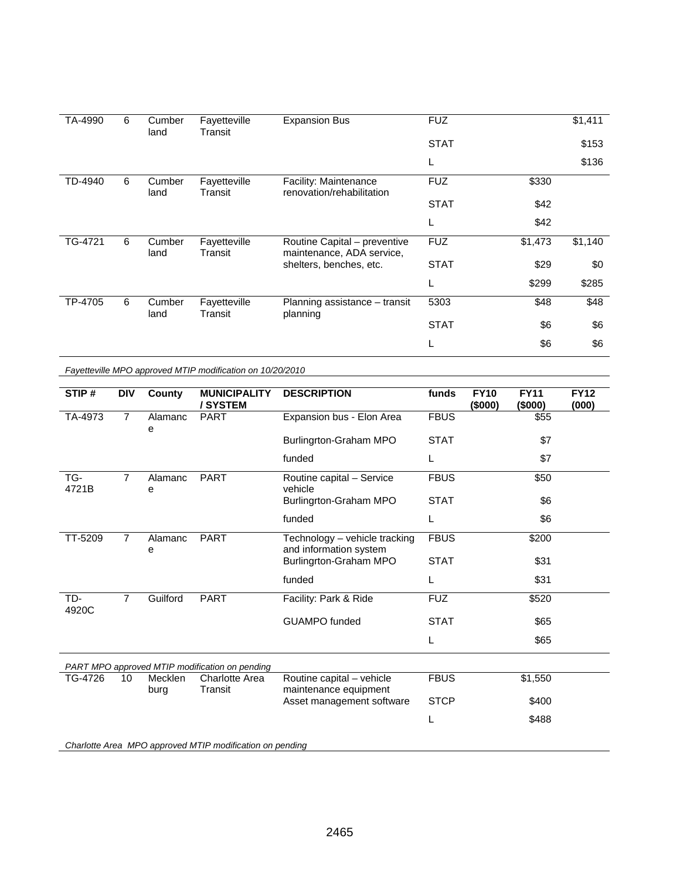| TA-4990 | 6 | Cumber<br>land | Fayetteville<br>Transit | <b>Expansion Bus</b>                                      | <b>FUZ</b>  |         | \$1,411 |
|---------|---|----------------|-------------------------|-----------------------------------------------------------|-------------|---------|---------|
|         |   |                |                         |                                                           | <b>STAT</b> |         | \$153   |
|         |   |                |                         |                                                           | L           |         | \$136   |
| TD-4940 | 6 | Cumber<br>land | Fayetteville<br>Transit | Facility: Maintenance<br>renovation/rehabilitation        | <b>FUZ</b>  | \$330   |         |
|         |   |                |                         |                                                           | <b>STAT</b> | \$42    |         |
|         |   |                |                         |                                                           | L           | \$42    |         |
| TG-4721 | 6 | Cumber<br>land | Fayetteville<br>Transit | Routine Capital - preventive<br>maintenance, ADA service, | <b>FUZ</b>  | \$1,473 | \$1,140 |
|         |   |                |                         | shelters, benches, etc.                                   | <b>STAT</b> | \$29    | \$0     |
|         |   |                |                         |                                                           | L           | \$299   | \$285   |
| TP-4705 | 6 | Cumber<br>land | Fayetteville<br>Transit | Planning assistance - transit<br>planning                 | 5303        | \$48    | \$48    |
|         |   |                |                         |                                                           | <b>STAT</b> | \$6     | \$6     |
|         |   |                |                         |                                                           | L           | \$6     | \$6     |

*Fayetteville MPO approved MTIP modification on 10/20/2010* 

| STIP#        | <b>DIV</b>     | County          | <b>MUNICIPALITY</b><br>/SYSTEM                           | <b>DESCRIPTION</b>                                      | funds       | <b>FY10</b><br>(\$000) | <b>FY11</b><br>(\$000) | <b>FY12</b><br>(000) |
|--------------|----------------|-----------------|----------------------------------------------------------|---------------------------------------------------------|-------------|------------------------|------------------------|----------------------|
| TA-4973      | $\overline{7}$ | Alamanc<br>е    | <b>PART</b>                                              | Expansion bus - Elon Area                               | <b>FBUS</b> |                        | \$55                   |                      |
|              |                |                 |                                                          | Burlingrton-Graham MPO                                  | <b>STAT</b> |                        | \$7                    |                      |
|              |                |                 |                                                          | funded                                                  | L           |                        | \$7                    |                      |
| TG-<br>4721B | $\overline{7}$ | Alamanc<br>е    | <b>PART</b>                                              | Routine capital - Service<br>vehicle                    | <b>FBUS</b> |                        | \$50                   |                      |
|              |                |                 |                                                          | Burlingrton-Graham MPO                                  | <b>STAT</b> |                        | \$6                    |                      |
|              |                |                 |                                                          | funded                                                  | L           |                        | \$6                    |                      |
| TT-5209      | $\overline{7}$ | Alamanc<br>е    | <b>PART</b>                                              | Technology - vehicle tracking<br>and information system | <b>FBUS</b> |                        | \$200                  |                      |
|              |                |                 |                                                          | Burlingrton-Graham MPO                                  | <b>STAT</b> |                        | \$31                   |                      |
|              |                |                 |                                                          | funded                                                  | L           |                        | \$31                   |                      |
| TD-<br>4920C | 7              | Guilford        | <b>PART</b>                                              | Facility: Park & Ride                                   | <b>FUZ</b>  |                        | \$520                  |                      |
|              |                |                 |                                                          | <b>GUAMPO</b> funded                                    | <b>STAT</b> |                        | \$65                   |                      |
|              |                |                 |                                                          |                                                         | L           |                        | \$65                   |                      |
|              |                |                 | PART MPO approved MTIP modification on pending           |                                                         |             |                        |                        |                      |
| TG-4726      | 10             | Mecklen<br>burg | <b>Charlotte Area</b><br>Transit                         | Routine capital - vehicle<br>maintenance equipment      | <b>FBUS</b> |                        | \$1,550                |                      |
|              |                |                 |                                                          | Asset management software                               | <b>STCP</b> |                        | \$400                  |                      |
|              |                |                 |                                                          |                                                         | L           |                        | \$488                  |                      |
|              |                |                 | Charlotte Area MPO approved MTIP modification on pending |                                                         |             |                        |                        |                      |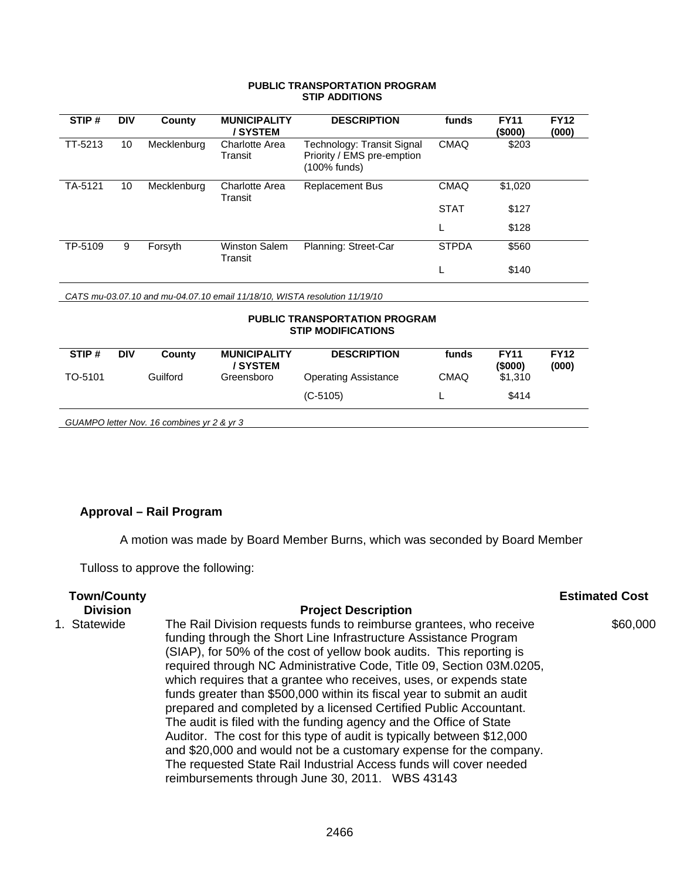#### **PUBLIC TRANSPORTATION PROGRAM STIP ADDITIONS**

| STIP#                                                                      | <b>DIV</b> | County      | <b>MUNICIPALITY</b><br>/ SYSTEM  | <b>DESCRIPTION</b>                                                       | funds        | <b>FY11</b><br>(\$000) | <b>FY12</b><br>(000) |  |  |
|----------------------------------------------------------------------------|------------|-------------|----------------------------------|--------------------------------------------------------------------------|--------------|------------------------|----------------------|--|--|
| TT-5213                                                                    | 10         | Mecklenburg | <b>Charlotte Area</b><br>Transit | Technology: Transit Signal<br>Priority / EMS pre-emption<br>(100% funds) | <b>CMAQ</b>  | \$203                  |                      |  |  |
| TA-5121                                                                    | 10         | Mecklenburg | Charlotte Area<br>Transit        | <b>Replacement Bus</b>                                                   | <b>CMAQ</b>  | \$1,020                |                      |  |  |
|                                                                            |            |             |                                  |                                                                          | <b>STAT</b>  | \$127                  |                      |  |  |
|                                                                            |            |             |                                  |                                                                          |              | \$128                  |                      |  |  |
| TP-5109                                                                    | 9          | Forsyth     | <b>Winston Salem</b><br>Transit  | Planning: Street-Car                                                     | <b>STPDA</b> | \$560                  |                      |  |  |
|                                                                            |            |             |                                  |                                                                          |              | \$140                  |                      |  |  |
| CATS mu-03.07.10 and mu-04.07.10 email 11/18/10, WISTA resolution 11/19/10 |            |             |                                  |                                                                          |              |                        |                      |  |  |
| <b>PUBLIC TRANSPORTATION PROGRAM</b><br><b>STIP MODIFICATIONS</b>          |            |             |                                  |                                                                          |              |                        |                      |  |  |

| STIP#                                      | <b>DIV</b> | County   | <b>MUNICIPALITY</b><br>/ SYSTEM | <b>DESCRIPTION</b>          | funds       | <b>FY11</b><br>(5000) | <b>FY12</b><br>(000) |  |  |
|--------------------------------------------|------------|----------|---------------------------------|-----------------------------|-------------|-----------------------|----------------------|--|--|
| TO-5101                                    |            | Guilford | Greensboro                      | <b>Operating Assistance</b> | <b>CMAQ</b> | \$1,310               |                      |  |  |
|                                            |            |          |                                 | $(C-5105)$                  |             | \$414                 |                      |  |  |
| GUAMPO letter Nov. 16 combines yr 2 & yr 3 |            |          |                                 |                             |             |                       |                      |  |  |

# **Approval – Rail Program**

A motion was made by Board Member Burns, which was seconded by Board Member

Tulloss to approve the following:

| <b>Town/County</b> |                                                                                                                                                                                                                                                                                                                                                                                                                                                                                                                                                                                                                                                                                                                                                                                                                                                             | <b>Estimated Cost</b> |
|--------------------|-------------------------------------------------------------------------------------------------------------------------------------------------------------------------------------------------------------------------------------------------------------------------------------------------------------------------------------------------------------------------------------------------------------------------------------------------------------------------------------------------------------------------------------------------------------------------------------------------------------------------------------------------------------------------------------------------------------------------------------------------------------------------------------------------------------------------------------------------------------|-----------------------|
| <b>Division</b>    | <b>Project Description</b>                                                                                                                                                                                                                                                                                                                                                                                                                                                                                                                                                                                                                                                                                                                                                                                                                                  |                       |
| 1. Statewide       | The Rail Division requests funds to reimburse grantees, who receive<br>funding through the Short Line Infrastructure Assistance Program<br>(SIAP), for 50% of the cost of yellow book audits. This reporting is<br>required through NC Administrative Code, Title 09, Section 03M.0205,<br>which requires that a grantee who receives, uses, or expends state<br>funds greater than \$500,000 within its fiscal year to submit an audit<br>prepared and completed by a licensed Certified Public Accountant.<br>The audit is filed with the funding agency and the Office of State<br>Auditor. The cost for this type of audit is typically between \$12,000<br>and \$20,000 and would not be a customary expense for the company.<br>The requested State Rail Industrial Access funds will cover needed<br>reimbursements through June 30, 2011. WBS 43143 | \$60,000              |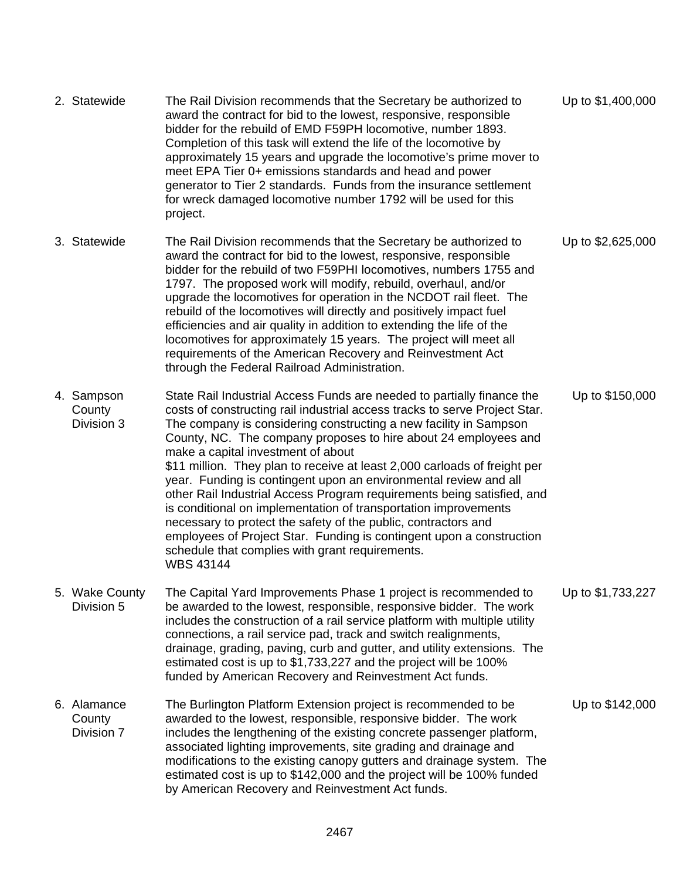| 2. Statewide                        | The Rail Division recommends that the Secretary be authorized to<br>award the contract for bid to the lowest, responsive, responsible<br>bidder for the rebuild of EMD F59PH locomotive, number 1893.<br>Completion of this task will extend the life of the locomotive by<br>approximately 15 years and upgrade the locomotive's prime mover to<br>meet EPA Tier 0+ emissions standards and head and power<br>generator to Tier 2 standards. Funds from the insurance settlement<br>for wreck damaged locomotive number 1792 will be used for this<br>project.                                                                                                                                                                                                                                                                                   | Up to \$1,400,000 |
|-------------------------------------|---------------------------------------------------------------------------------------------------------------------------------------------------------------------------------------------------------------------------------------------------------------------------------------------------------------------------------------------------------------------------------------------------------------------------------------------------------------------------------------------------------------------------------------------------------------------------------------------------------------------------------------------------------------------------------------------------------------------------------------------------------------------------------------------------------------------------------------------------|-------------------|
| 3. Statewide                        | The Rail Division recommends that the Secretary be authorized to<br>award the contract for bid to the lowest, responsive, responsible<br>bidder for the rebuild of two F59PHI locomotives, numbers 1755 and<br>1797. The proposed work will modify, rebuild, overhaul, and/or<br>upgrade the locomotives for operation in the NCDOT rail fleet. The<br>rebuild of the locomotives will directly and positively impact fuel<br>efficiencies and air quality in addition to extending the life of the<br>locomotives for approximately 15 years. The project will meet all<br>requirements of the American Recovery and Reinvestment Act<br>through the Federal Railroad Administration.                                                                                                                                                            | Up to \$2,625,000 |
| 4. Sampson<br>County<br>Division 3  | State Rail Industrial Access Funds are needed to partially finance the<br>costs of constructing rail industrial access tracks to serve Project Star.<br>The company is considering constructing a new facility in Sampson<br>County, NC. The company proposes to hire about 24 employees and<br>make a capital investment of about<br>\$11 million. They plan to receive at least 2,000 carloads of freight per<br>year. Funding is contingent upon an environmental review and all<br>other Rail Industrial Access Program requirements being satisfied, and<br>is conditional on implementation of transportation improvements<br>necessary to protect the safety of the public, contractors and<br>employees of Project Star. Funding is contingent upon a construction<br>schedule that complies with grant requirements.<br><b>WBS 43144</b> | Up to \$150,000   |
| 5. Wake County<br>Division 5        | The Capital Yard Improvements Phase 1 project is recommended to<br>be awarded to the lowest, responsible, responsive bidder. The work<br>includes the construction of a rail service platform with multiple utility<br>connections, a rail service pad, track and switch realignments,<br>drainage, grading, paving, curb and gutter, and utility extensions. The<br>estimated cost is up to \$1,733,227 and the project will be 100%<br>funded by American Recovery and Reinvestment Act funds.                                                                                                                                                                                                                                                                                                                                                  | Up to \$1,733,227 |
| 6. Alamance<br>County<br>Division 7 | The Burlington Platform Extension project is recommended to be<br>awarded to the lowest, responsible, responsive bidder. The work<br>includes the lengthening of the existing concrete passenger platform,<br>associated lighting improvements, site grading and drainage and<br>modifications to the existing canopy gutters and drainage system. The<br>estimated cost is up to \$142,000 and the project will be 100% funded<br>by American Recovery and Reinvestment Act funds.                                                                                                                                                                                                                                                                                                                                                               | Up to \$142,000   |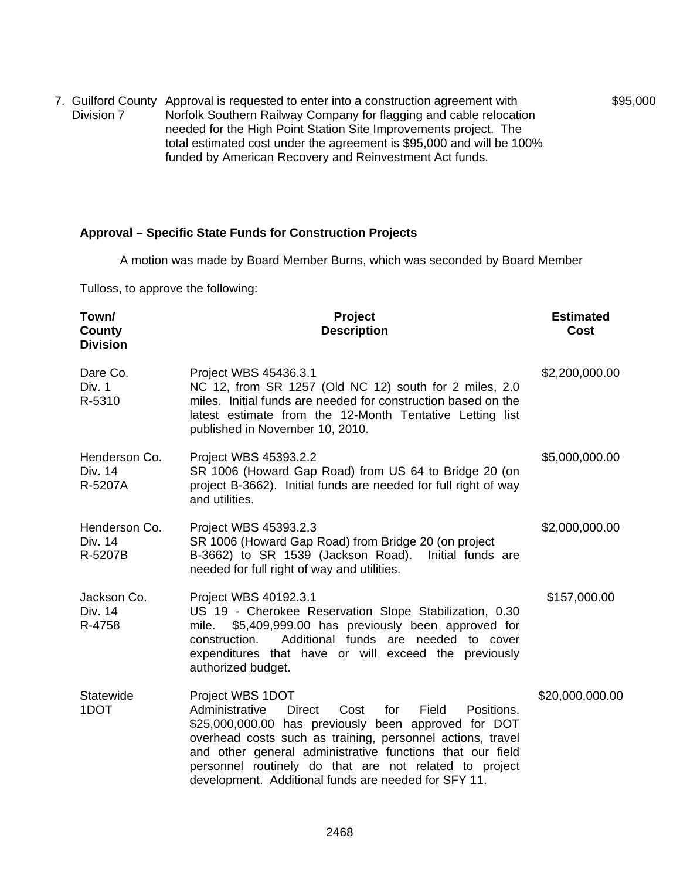7. Guilford County Approval is requested to enter into a construction agreement with Division 7 Norfolk Southern Railway Company for flagging and cable relocation needed for the High Point Station Site Improvements project. The total estimated cost under the agreement is \$95,000 and will be 100% funded by American Recovery and Reinvestment Act funds.

## **Approval – Specific State Funds for Construction Projects**

A motion was made by Board Member Burns, which was seconded by Board Member

\$95,000

Tulloss, to approve the following:

| Town/<br>County<br><b>Division</b>  | Project<br><b>Description</b>                                                                                                                                                                                                                                                                                                                                                                  | <b>Estimated</b><br>Cost |
|-------------------------------------|------------------------------------------------------------------------------------------------------------------------------------------------------------------------------------------------------------------------------------------------------------------------------------------------------------------------------------------------------------------------------------------------|--------------------------|
| Dare Co.<br>Div. 1<br>R-5310        | Project WBS 45436.3.1<br>NC 12, from SR 1257 (Old NC 12) south for 2 miles, 2.0<br>miles. Initial funds are needed for construction based on the<br>latest estimate from the 12-Month Tentative Letting list<br>published in November 10, 2010.                                                                                                                                                | \$2,200,000.00           |
| Henderson Co.<br>Div. 14<br>R-5207A | Project WBS 45393.2.2<br>SR 1006 (Howard Gap Road) from US 64 to Bridge 20 (on<br>project B-3662). Initial funds are needed for full right of way<br>and utilities.                                                                                                                                                                                                                            | \$5,000,000.00           |
| Henderson Co.<br>Div. 14<br>R-5207B | Project WBS 45393.2.3<br>SR 1006 (Howard Gap Road) from Bridge 20 (on project<br>B-3662) to SR 1539 (Jackson Road).<br>Initial funds are<br>needed for full right of way and utilities.                                                                                                                                                                                                        | \$2,000,000.00           |
| Jackson Co.<br>Div. 14<br>R-4758    | Project WBS 40192.3.1<br>US 19 - Cherokee Reservation Slope Stabilization, 0.30<br>\$5,409,999.00 has previously been approved for<br>mile.<br>Additional funds are needed to cover<br>construction.<br>expenditures that have or will exceed the previously<br>authorized budget.                                                                                                             | \$157,000.00             |
| Statewide<br>1DOT                   | Project WBS 1DOT<br>Administrative<br><b>Direct</b><br>Cost<br>for<br>Field<br>Positions.<br>\$25,000,000.00 has previously been approved for DOT<br>overhead costs such as training, personnel actions, travel<br>and other general administrative functions that our field<br>personnel routinely do that are not related to project<br>development. Additional funds are needed for SFY 11. | \$20,000,000.00          |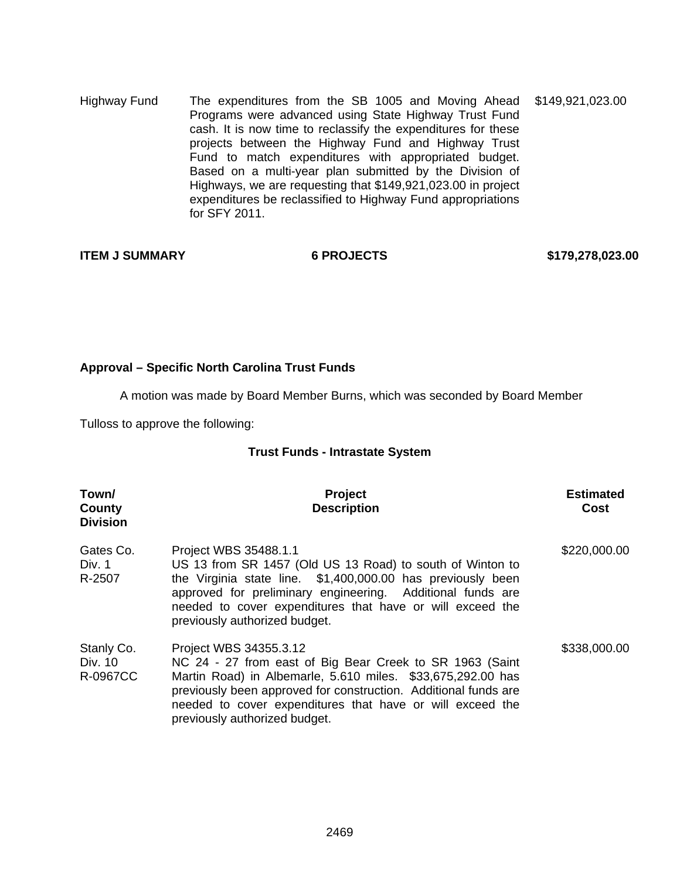Highway Fund The expenditures from the SB 1005 and Moving Ahead Programs were advanced using State Highway Trust Fund cash. It is now time to reclassify the expenditures for these projects between the Highway Fund and Highway Trust Fund to match expenditures with appropriated budget. Based on a multi-year plan submitted by the Division of Highways, we are requesting that \$149,921,023.00 in project expenditures be reclassified to Highway Fund appropriations for SFY 2011. \$149,921,023.00

**ITEM J SUMMARY 6 PROJECTS \$179,278,023.00** 

## **Approval – Specific North Carolina Trust Funds**

A motion was made by Board Member Burns, which was seconded by Board Member

Tulloss to approve the following:

## **Trust Funds - Intrastate System**

| Town/<br>County<br><b>Division</b> | <b>Project</b><br><b>Description</b>                                                                                                                                                                                                                                                                               | <b>Estimated</b><br>Cost |
|------------------------------------|--------------------------------------------------------------------------------------------------------------------------------------------------------------------------------------------------------------------------------------------------------------------------------------------------------------------|--------------------------|
| Gates Co.<br>Div. 1<br>R-2507      | Project WBS 35488.1.1<br>US 13 from SR 1457 (Old US 13 Road) to south of Winton to<br>the Virginia state line. \$1,400,000.00 has previously been<br>approved for preliminary engineering. Additional funds are<br>needed to cover expenditures that have or will exceed the<br>previously authorized budget.      | \$220,000.00             |
| Stanly Co.<br>Div. 10<br>R-0967CC  | Project WBS 34355.3.12<br>NC 24 - 27 from east of Big Bear Creek to SR 1963 (Saint<br>Martin Road) in Albemarle, 5.610 miles. \$33,675,292.00 has<br>previously been approved for construction. Additional funds are<br>needed to cover expenditures that have or will exceed the<br>previously authorized budget. | \$338,000.00             |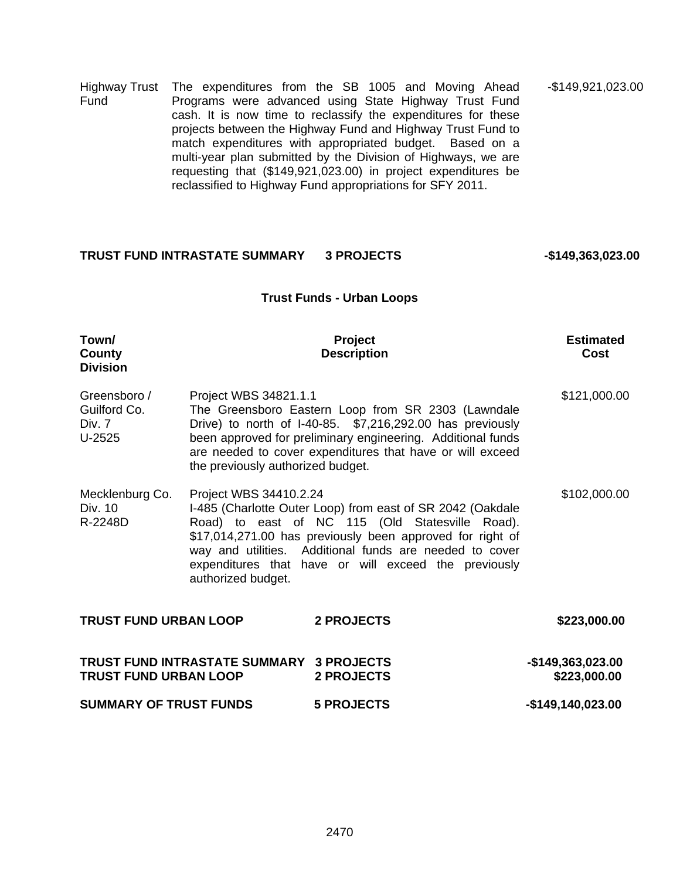Highway Trust Fund The expenditures from the SB 1005 and Moving Ahead Programs were advanced using State Highway Trust Fund cash. It is now time to reclassify the expenditures for these projects between the Highway Fund and Highway Trust Fund to match expenditures with appropriated budget. Based on a multi-year plan submitted by the Division of Highways, we are requesting that (\$149,921,023.00) in project expenditures be reclassified to Highway Fund appropriations for SFY 2011. -\$149,921,023.00

## TRUST FUND INTRASTATE SUMMARY 3 PROJECTS 4149,363,023.00

#### **Trust Funds - Urban Loops**

| Town/<br>County<br><b>Division</b>               |                                                                                                                                                                                                                                                                                                                                               | Project<br><b>Description</b>                                                                                                                                                                                                               | <b>Estimated</b><br>Cost          |
|--------------------------------------------------|-----------------------------------------------------------------------------------------------------------------------------------------------------------------------------------------------------------------------------------------------------------------------------------------------------------------------------------------------|---------------------------------------------------------------------------------------------------------------------------------------------------------------------------------------------------------------------------------------------|-----------------------------------|
| Greensboro /<br>Guilford Co.<br>Div. 7<br>U-2525 | Project WBS 34821.1.1<br>the previously authorized budget.                                                                                                                                                                                                                                                                                    | The Greensboro Eastern Loop from SR 2303 (Lawndale<br>Drive) to north of I-40-85. \$7,216,292.00 has previously<br>been approved for preliminary engineering. Additional funds<br>are needed to cover expenditures that have or will exceed | \$121,000.00                      |
| Mecklenburg Co.<br>Div. 10<br>R-2248D            | Project WBS 34410.2.24<br>I-485 (Charlotte Outer Loop) from east of SR 2042 (Oakdale<br>Road) to east of NC 115 (Old Statesville Road).<br>\$17,014,271.00 has previously been approved for right of<br>way and utilities. Additional funds are needed to cover<br>expenditures that have or will exceed the previously<br>authorized budget. |                                                                                                                                                                                                                                             | \$102,000.00                      |
| <b>TRUST FUND URBAN LOOP</b>                     |                                                                                                                                                                                                                                                                                                                                               | 2 PROJECTS                                                                                                                                                                                                                                  | \$223,000.00                      |
| <b>TRUST FUND URBAN LOOP</b>                     | TRUST FUND INTRASTATE SUMMARY 3 PROJECTS                                                                                                                                                                                                                                                                                                      | 2 PROJECTS                                                                                                                                                                                                                                  | -\$149,363,023.00<br>\$223,000.00 |
| <b>SUMMARY OF TRUST FUNDS</b>                    |                                                                                                                                                                                                                                                                                                                                               | <b>5 PROJECTS</b>                                                                                                                                                                                                                           | $-$149,140,023.00$                |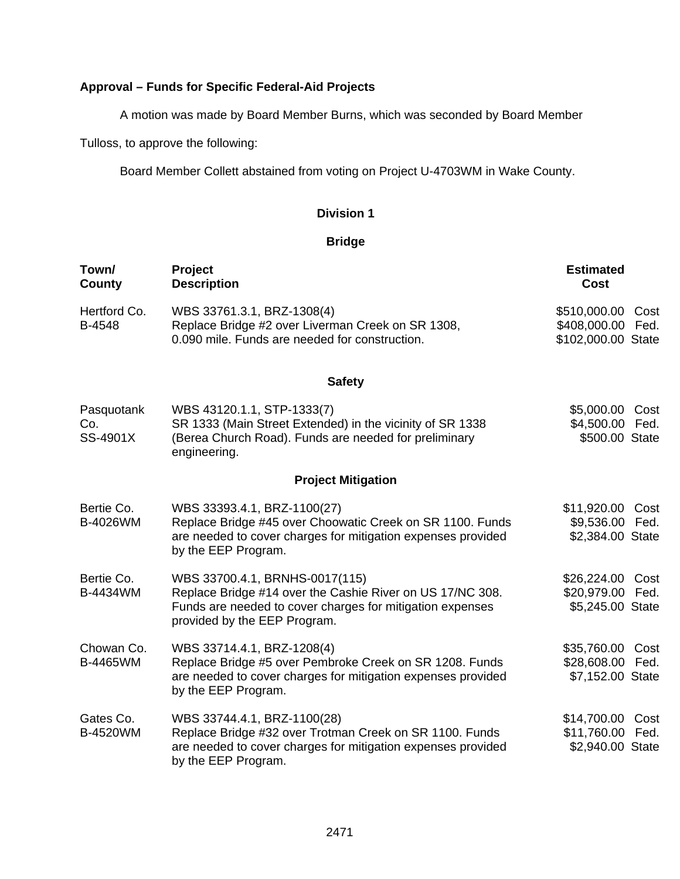# **Approval – Funds for Specific Federal-Aid Projects**

A motion was made by Board Member Burns, which was seconded by Board Member

Tulloss, to approve the following:

Board Member Collett abstained from voting on Project U-4703WM in Wake County.

## **Division 1**

# **Bridge**

| Town/<br><b>County</b>        | <b>Project</b><br><b>Description</b>                                                                                                                                                     | <b>Estimated</b><br><b>Cost</b>                                    |
|-------------------------------|------------------------------------------------------------------------------------------------------------------------------------------------------------------------------------------|--------------------------------------------------------------------|
| Hertford Co.<br>B-4548        | WBS 33761.3.1, BRZ-1308(4)<br>Replace Bridge #2 over Liverman Creek on SR 1308,<br>0.090 mile. Funds are needed for construction.                                                        | \$510,000.00<br>Cost<br>\$408,000.00<br>Fed.<br>\$102,000.00 State |
|                               | <b>Safety</b>                                                                                                                                                                            |                                                                    |
| Pasquotank<br>Co.<br>SS-4901X | WBS 43120.1.1, STP-1333(7)<br>SR 1333 (Main Street Extended) in the vicinity of SR 1338<br>(Berea Church Road). Funds are needed for preliminary<br>engineering.                         | \$5,000.00<br>Cost<br>\$4,500.00 Fed.<br>\$500.00 State            |
|                               | <b>Project Mitigation</b>                                                                                                                                                                |                                                                    |
| Bertie Co.<br>B-4026WM        | WBS 33393.4.1, BRZ-1100(27)<br>Replace Bridge #45 over Choowatic Creek on SR 1100. Funds<br>are needed to cover charges for mitigation expenses provided<br>by the EEP Program.          | \$11,920.00<br>Cost<br>\$9,536.00<br>Fed.<br>\$2,384.00 State      |
| Bertie Co.<br>B-4434WM        | WBS 33700.4.1, BRNHS-0017(115)<br>Replace Bridge #14 over the Cashie River on US 17/NC 308.<br>Funds are needed to cover charges for mitigation expenses<br>provided by the EEP Program. | \$26,224.00 Cost<br>\$20,979.00 Fed.<br>\$5,245.00 State           |
| Chowan Co.<br>B-4465WM        | WBS 33714.4.1, BRZ-1208(4)<br>Replace Bridge #5 over Pembroke Creek on SR 1208. Funds<br>are needed to cover charges for mitigation expenses provided<br>by the EEP Program.             | \$35,760.00<br>Cost<br>\$28,608.00 Fed.<br>\$7,152.00 State        |
| Gates Co.<br>B-4520WM         | WBS 33744.4.1, BRZ-1100(28)<br>Replace Bridge #32 over Trotman Creek on SR 1100. Funds<br>are needed to cover charges for mitigation expenses provided<br>by the EEP Program.            | \$14,700.00<br>Cost<br>\$11,760.00<br>Fed.<br>\$2,940.00 State     |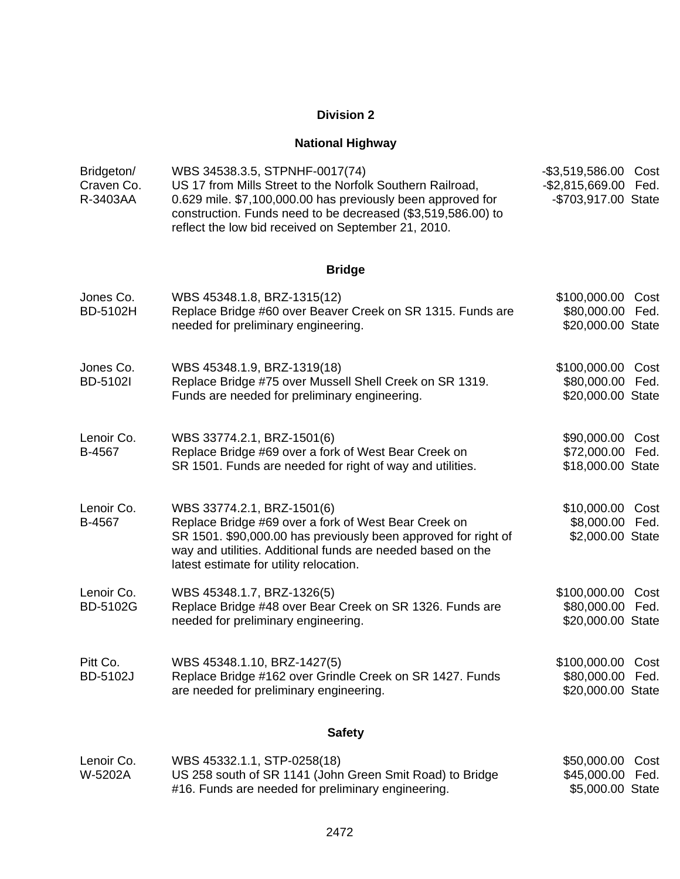# **Division 2**

# **National Highway**

| Bridgeton/<br>Craven Co.<br>R-3403AA | WBS 34538.3.5, STPNHF-0017(74)<br>US 17 from Mills Street to the Norfolk Southern Railroad,<br>0.629 mile. \$7,100,000.00 has previously been approved for<br>construction. Funds need to be decreased (\$3,519,586.00) to<br>reflect the low bid received on September 21, 2010. | -\$3,519,586.00 Cost<br>-\$2,815,669.00 Fed.<br>-\$703,917.00 State |              |
|--------------------------------------|-----------------------------------------------------------------------------------------------------------------------------------------------------------------------------------------------------------------------------------------------------------------------------------|---------------------------------------------------------------------|--------------|
|                                      | <b>Bridge</b>                                                                                                                                                                                                                                                                     |                                                                     |              |
| Jones Co.<br>BD-5102H                | WBS 45348.1.8, BRZ-1315(12)<br>Replace Bridge #60 over Beaver Creek on SR 1315. Funds are<br>needed for preliminary engineering.                                                                                                                                                  | \$100,000.00 Cost<br>\$80,000.00 Fed.<br>\$20,000.00 State          |              |
| Jones Co.<br><b>BD-5102I</b>         | WBS 45348.1.9, BRZ-1319(18)<br>Replace Bridge #75 over Mussell Shell Creek on SR 1319.<br>Funds are needed for preliminary engineering.                                                                                                                                           | \$100,000.00<br>\$80,000.00<br>\$20,000.00 State                    | Cost<br>Fed. |
| Lenoir Co.<br>B-4567                 | WBS 33774.2.1, BRZ-1501(6)<br>Replace Bridge #69 over a fork of West Bear Creek on<br>SR 1501. Funds are needed for right of way and utilities.                                                                                                                                   | \$90,000.00 Cost<br>\$72,000.00 Fed.<br>\$18,000.00 State           |              |
| Lenoir Co.<br>B-4567                 | WBS 33774.2.1, BRZ-1501(6)<br>Replace Bridge #69 over a fork of West Bear Creek on<br>SR 1501. \$90,000.00 has previously been approved for right of<br>way and utilities. Additional funds are needed based on the<br>latest estimate for utility relocation.                    | \$10,000.00 Cost<br>\$8,000.00 Fed.<br>\$2,000.00 State             |              |
| Lenoir Co.<br><b>BD-5102G</b>        | WBS 45348.1.7, BRZ-1326(5)<br>Replace Bridge #48 over Bear Creek on SR 1326. Funds are<br>needed for preliminary engineering.                                                                                                                                                     | \$100,000.00 Cost<br>\$80,000.00 Fed.<br>\$20,000.00 State          |              |
| Pitt Co.<br>BD-5102J                 | WBS 45348.1.10, BRZ-1427(5)<br>Replace Bridge #162 over Grindle Creek on SR 1427. Funds<br>are needed for preliminary engineering.                                                                                                                                                | \$100,000.00 Cost<br>\$80,000.00 Fed.<br>\$20,000.00 State          |              |
|                                      | <b>Safety</b>                                                                                                                                                                                                                                                                     |                                                                     |              |
|                                      | $MDC$ $ATQQQA$ $A$ $CTD$ $QQTQ(AQ)$                                                                                                                                                                                                                                               | ዮ፫ስ ስስስ ስስ                                                          |              |

| Lenoir Co. | WBS 45332.1.1, STP-0258(18)                              | \$50,000.00 Cost |  |
|------------|----------------------------------------------------------|------------------|--|
| W-5202A    | US 258 south of SR 1141 (John Green Smit Road) to Bridge | \$45,000.00 Fed. |  |
|            | #16. Funds are needed for preliminary engineering.       | \$5,000.00 State |  |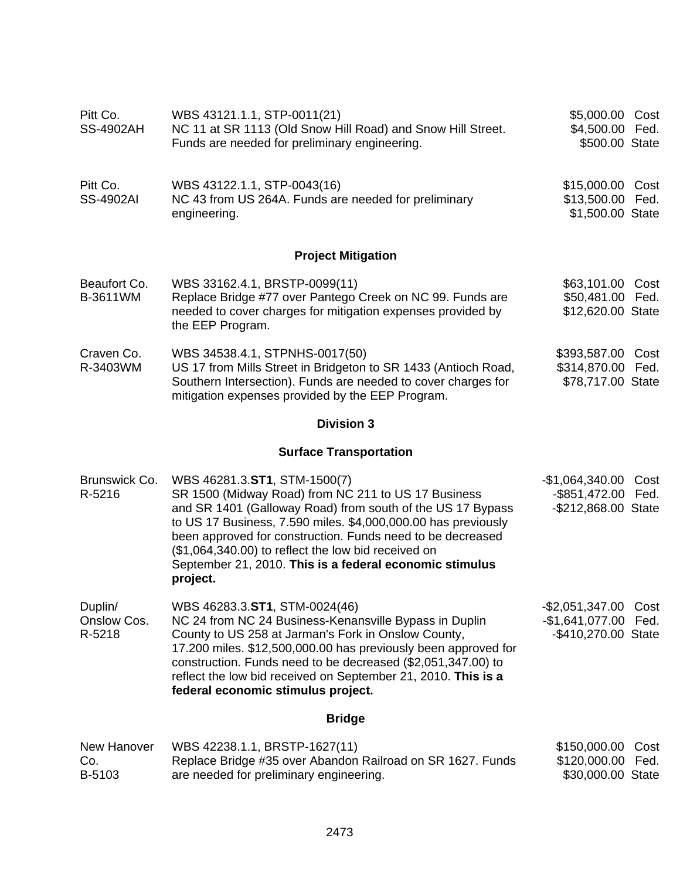| Pitt Co.<br><b>SS-4902AH</b>     | WBS 43121.1.1, STP-0011(21)<br>NC 11 at SR 1113 (Old Snow Hill Road) and Snow Hill Street.<br>Funds are needed for preliminary engineering.                                                                                                                                                                                                                                                                    | \$5,000.00 Cost<br>\$4,500.00 Fed.<br>\$500.00 State                    |
|----------------------------------|----------------------------------------------------------------------------------------------------------------------------------------------------------------------------------------------------------------------------------------------------------------------------------------------------------------------------------------------------------------------------------------------------------------|-------------------------------------------------------------------------|
| Pitt Co.<br><b>SS-4902AI</b>     | WBS 43122.1.1, STP-0043(16)<br>NC 43 from US 264A. Funds are needed for preliminary<br>engineering.                                                                                                                                                                                                                                                                                                            | \$15,000.00 Cost<br>\$13,500.00 Fed.<br>\$1,500.00 State                |
|                                  | <b>Project Mitigation</b>                                                                                                                                                                                                                                                                                                                                                                                      |                                                                         |
| Beaufort Co.<br>B-3611WM         | WBS 33162.4.1, BRSTP-0099(11)<br>Replace Bridge #77 over Pantego Creek on NC 99. Funds are<br>needed to cover charges for mitigation expenses provided by<br>the EEP Program.                                                                                                                                                                                                                                  | \$63,101.00 Cost<br>\$50,481.00 Fed.<br>\$12,620.00 State               |
| Craven Co.<br>R-3403WM           | WBS 34538.4.1, STPNHS-0017(50)<br>US 17 from Mills Street in Bridgeton to SR 1433 (Antioch Road,<br>Southern Intersection). Funds are needed to cover charges for<br>mitigation expenses provided by the EEP Program.                                                                                                                                                                                          | \$393,587.00 Cost<br>\$314,870.00 Fed.<br>\$78,717.00 State             |
|                                  | <b>Division 3</b>                                                                                                                                                                                                                                                                                                                                                                                              |                                                                         |
|                                  | <b>Surface Transportation</b>                                                                                                                                                                                                                                                                                                                                                                                  |                                                                         |
| Brunswick Co.<br>R-5216          | WBS 46281.3.ST1, STM-1500(7)<br>SR 1500 (Midway Road) from NC 211 to US 17 Business<br>and SR 1401 (Galloway Road) from south of the US 17 Bypass<br>to US 17 Business, 7.590 miles. \$4,000,000.00 has previously<br>been approved for construction. Funds need to be decreased<br>(\$1,064,340.00) to reflect the low bid received on<br>September 21, 2010. This is a federal economic stimulus<br>project. | $-$1,064,340.00$<br>Cost<br>-\$851,472.00 Fed.<br>-\$212,868.00 State   |
| Duplin/<br>Onslow Cos.<br>R-5218 | WBS 46283.3.ST1, STM-0024(46)<br>NC 24 from NC 24 Business-Kenansville Bypass in Duplin<br>County to US 258 at Jarman's Fork in Onslow County,<br>17.200 miles. \$12,500,000.00 has previously been approved for<br>construction. Funds need to be decreased (\$2,051,347.00) to<br>reflect the low bid received on September 21, 2010. This is a<br>federal economic stimulus project.                        | -\$2,051,347.00 Cost<br>$-$1,641,077.00$<br>Fed.<br>-\$410,270.00 State |
|                                  | <b>Bridge</b>                                                                                                                                                                                                                                                                                                                                                                                                  |                                                                         |
| New Hanover<br>Co.<br>B-5103     | WBS 42238.1.1, BRSTP-1627(11)<br>Replace Bridge #35 over Abandon Railroad on SR 1627. Funds<br>are needed for preliminary engineering.                                                                                                                                                                                                                                                                         | \$150,000.00<br>Cost<br>\$120,000.00<br>Fed.<br>\$30,000.00 State       |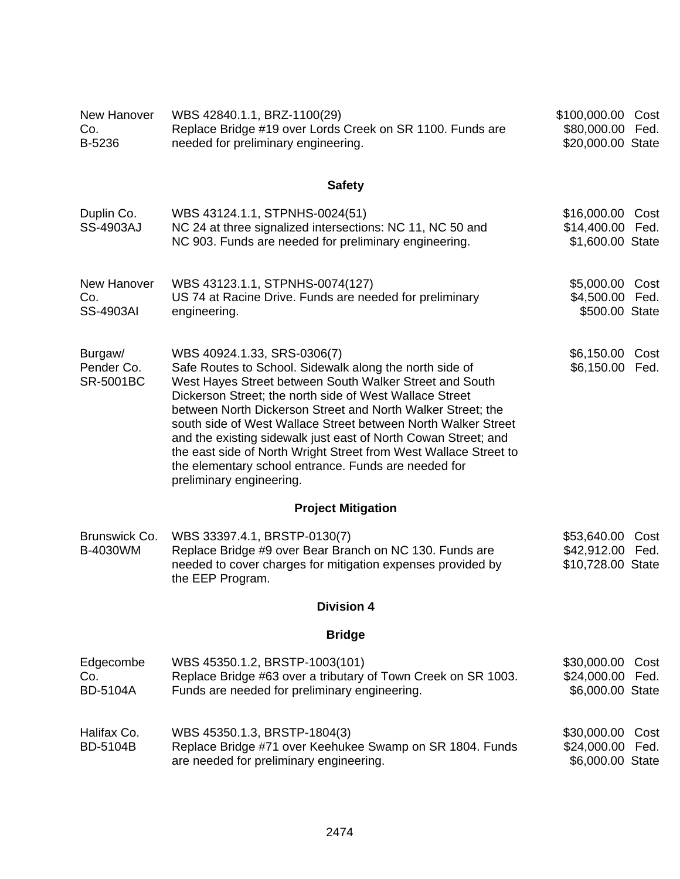| New Hanover<br>Co.<br>B-5236              | WBS 42840.1.1, BRZ-1100(29)<br>Replace Bridge #19 over Lords Creek on SR 1100. Funds are<br>needed for preliminary engineering.                                                                                                                                                                                                                                                                                                                                                                                                                                        | \$100,000.00 Cost<br>\$80,000.00 Fed.<br>\$20,000.00 State  |
|-------------------------------------------|------------------------------------------------------------------------------------------------------------------------------------------------------------------------------------------------------------------------------------------------------------------------------------------------------------------------------------------------------------------------------------------------------------------------------------------------------------------------------------------------------------------------------------------------------------------------|-------------------------------------------------------------|
|                                           | <b>Safety</b>                                                                                                                                                                                                                                                                                                                                                                                                                                                                                                                                                          |                                                             |
| Duplin Co.<br><b>SS-4903AJ</b>            | WBS 43124.1.1, STPNHS-0024(51)<br>NC 24 at three signalized intersections: NC 11, NC 50 and<br>NC 903. Funds are needed for preliminary engineering.                                                                                                                                                                                                                                                                                                                                                                                                                   | \$16,000.00<br>Cost<br>\$14,400.00 Fed.<br>\$1,600.00 State |
| New Hanover<br>Co.<br><b>SS-4903AI</b>    | WBS 43123.1.1, STPNHS-0074(127)<br>US 74 at Racine Drive. Funds are needed for preliminary<br>engineering.                                                                                                                                                                                                                                                                                                                                                                                                                                                             | \$5,000.00 Cost<br>\$4,500.00 Fed.<br>\$500.00 State        |
| Burgaw/<br>Pender Co.<br><b>SR-5001BC</b> | WBS 40924.1.33, SRS-0306(7)<br>Safe Routes to School. Sidewalk along the north side of<br>West Hayes Street between South Walker Street and South<br>Dickerson Street; the north side of West Wallace Street<br>between North Dickerson Street and North Walker Street; the<br>south side of West Wallace Street between North Walker Street<br>and the existing sidewalk just east of North Cowan Street; and<br>the east side of North Wright Street from West Wallace Street to<br>the elementary school entrance. Funds are needed for<br>preliminary engineering. | \$6,150.00<br>Cost<br>\$6,150.00<br>Fed.                    |
|                                           | <b>Project Mitigation</b>                                                                                                                                                                                                                                                                                                                                                                                                                                                                                                                                              |                                                             |
| Brunswick Co.<br>B-4030WM                 | WBS 33397.4.1, BRSTP-0130(7)<br>Replace Bridge #9 over Bear Branch on NC 130. Funds are<br>needed to cover charges for mitigation expenses provided by<br>the EEP Program.                                                                                                                                                                                                                                                                                                                                                                                             | \$53,640.00 Cost<br>\$42,912.00 Fed.<br>\$10,728.00 State   |
|                                           | <b>Division 4</b>                                                                                                                                                                                                                                                                                                                                                                                                                                                                                                                                                      |                                                             |
|                                           | <b>Bridge</b>                                                                                                                                                                                                                                                                                                                                                                                                                                                                                                                                                          |                                                             |
| Edgecombe<br>Co.<br><b>BD-5104A</b>       | WBS 45350.1.2, BRSTP-1003(101)<br>Replace Bridge #63 over a tributary of Town Creek on SR 1003.<br>Funds are needed for preliminary engineering.                                                                                                                                                                                                                                                                                                                                                                                                                       | \$30,000.00<br>Cost<br>\$24,000.00 Fed.<br>\$6,000.00 State |
| Halifax Co.<br><b>BD-5104B</b>            | WBS 45350.1.3, BRSTP-1804(3)<br>Replace Bridge #71 over Keehukee Swamp on SR 1804. Funds<br>are needed for preliminary engineering.                                                                                                                                                                                                                                                                                                                                                                                                                                    | \$30,000.00<br>Cost<br>\$24,000.00 Fed.<br>\$6,000.00 State |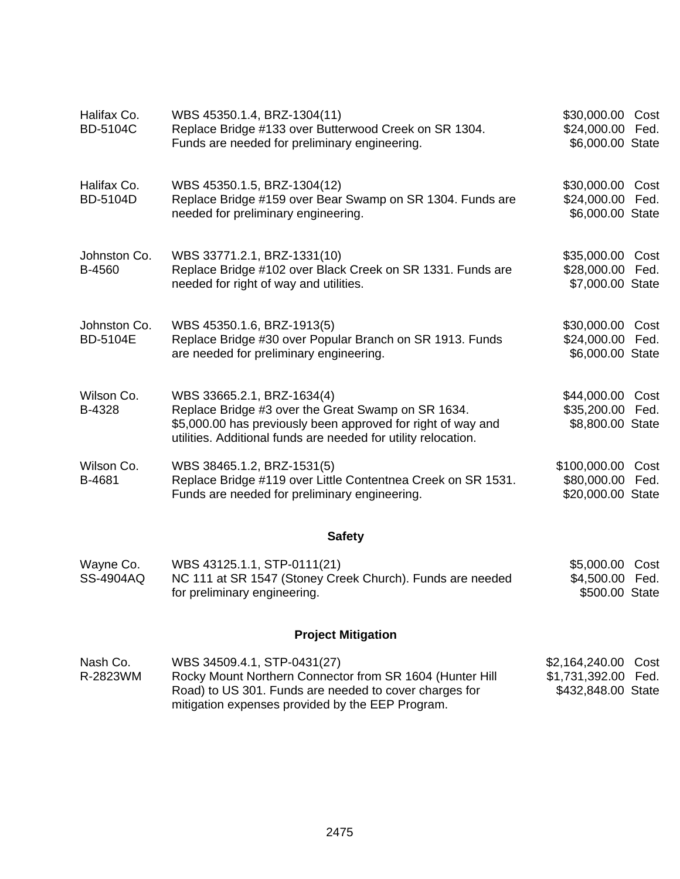| Halifax Co.<br><b>BD-5104C</b>  | WBS 45350.1.4, BRZ-1304(11)<br>Replace Bridge #133 over Butterwood Creek on SR 1304.<br>Funds are needed for preliminary engineering.                                                                              | \$30,000.00 Cost<br>\$24,000.00 Fed.<br>\$6,000.00 State    |              |
|---------------------------------|--------------------------------------------------------------------------------------------------------------------------------------------------------------------------------------------------------------------|-------------------------------------------------------------|--------------|
| Halifax Co.<br><b>BD-5104D</b>  | WBS 45350.1.5, BRZ-1304(12)<br>Replace Bridge #159 over Bear Swamp on SR 1304. Funds are<br>needed for preliminary engineering.                                                                                    | \$30,000.00 Cost<br>\$24,000.00 Fed.<br>\$6,000.00 State    |              |
| Johnston Co.<br>B-4560          | WBS 33771.2.1, BRZ-1331(10)<br>Replace Bridge #102 over Black Creek on SR 1331. Funds are<br>needed for right of way and utilities.                                                                                | \$35,000.00<br>\$28,000.00 Fed.<br>\$7,000.00 State         | Cost         |
| Johnston Co.<br><b>BD-5104E</b> | WBS 45350.1.6, BRZ-1913(5)<br>Replace Bridge #30 over Popular Branch on SR 1913. Funds<br>are needed for preliminary engineering.                                                                                  | \$30,000.00 Cost<br>\$24,000.00 Fed.<br>\$6,000.00 State    |              |
| Wilson Co.<br>B-4328            | WBS 33665.2.1, BRZ-1634(4)<br>Replace Bridge #3 over the Great Swamp on SR 1634.<br>\$5,000.00 has previously been approved for right of way and<br>utilities. Additional funds are needed for utility relocation. | \$44,000.00 Cost<br>\$35,200.00 Fed.<br>\$8,800.00 State    |              |
| Wilson Co.<br>B-4681            | WBS 38465.1.2, BRZ-1531(5)<br>Replace Bridge #119 over Little Contentnea Creek on SR 1531.<br>Funds are needed for preliminary engineering.                                                                        | \$100,000.00<br>\$80,000.00<br>\$20,000.00 State            | Cost<br>Fed. |
|                                 | <b>Safety</b>                                                                                                                                                                                                      |                                                             |              |
| Wayne Co.<br>SS-4904AQ          | WBS 43125.1.1, STP-0111(21)<br>NC 111 at SR 1547 (Stoney Creek Church). Funds are needed<br>for preliminary engineering.                                                                                           | \$5,000.00 Cost<br>\$4,500.00 Fed.<br>\$500.00 State        |              |
|                                 | <b>Project Mitigation</b>                                                                                                                                                                                          |                                                             |              |
| Nash Co.<br>R-2823WM            | WBS 34509.4.1, STP-0431(27)<br>Rocky Mount Northern Connector from SR 1604 (Hunter Hill<br>Road) to US 301. Funds are needed to cover charges for                                                                  | \$2,164,240.00<br>\$1,731,392.00 Fed.<br>\$432,848.00 State | Cost         |

mitigation expenses provided by the EEP Program.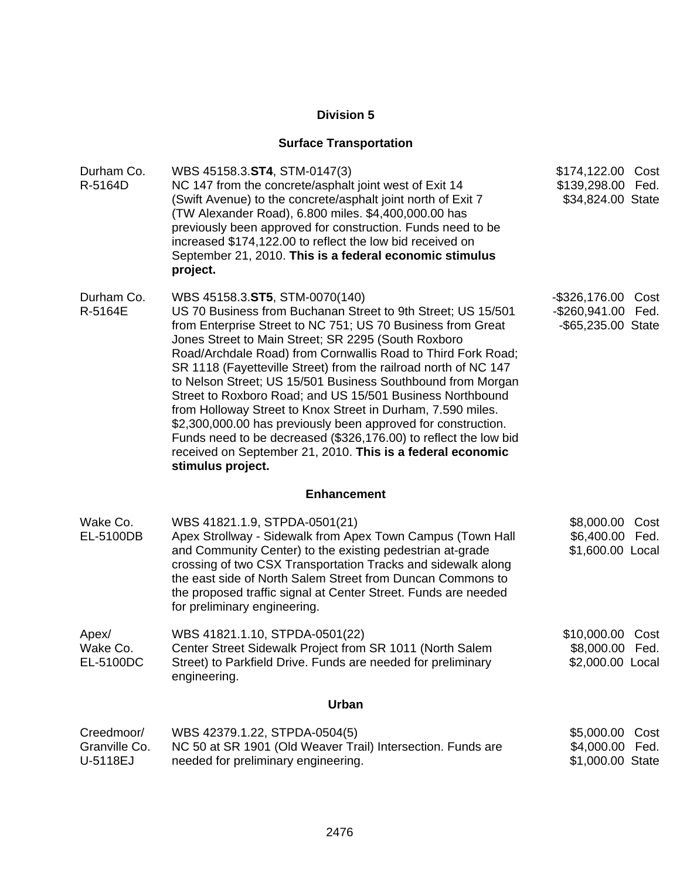# **Division 5**

# **Surface Transportation**

| Durham Co.<br>R-5164D                   | WBS 45158.3.ST4, STM-0147(3)<br>NC 147 from the concrete/asphalt joint west of Exit 14<br>(Swift Avenue) to the concrete/asphalt joint north of Exit 7<br>(TW Alexander Road), 6.800 miles. \$4,400,000.00 has<br>previously been approved for construction. Funds need to be<br>increased \$174,122.00 to reflect the low bid received on<br>September 21, 2010. This is a federal economic stimulus<br>project.                                                                                                                                                                                                                                                                                                                                                          | \$174,122.00 Cost<br>\$139,298.00 Fed.<br>\$34,824.00 State  |              |
|-----------------------------------------|----------------------------------------------------------------------------------------------------------------------------------------------------------------------------------------------------------------------------------------------------------------------------------------------------------------------------------------------------------------------------------------------------------------------------------------------------------------------------------------------------------------------------------------------------------------------------------------------------------------------------------------------------------------------------------------------------------------------------------------------------------------------------|--------------------------------------------------------------|--------------|
| Durham Co.<br>R-5164E                   | WBS 45158.3.ST5, STM-0070(140)<br>US 70 Business from Buchanan Street to 9th Street; US 15/501<br>from Enterprise Street to NC 751; US 70 Business from Great<br>Jones Street to Main Street; SR 2295 (South Roxboro<br>Road/Archdale Road) from Cornwallis Road to Third Fork Road;<br>SR 1118 (Fayetteville Street) from the railroad north of NC 147<br>to Nelson Street; US 15/501 Business Southbound from Morgan<br>Street to Roxboro Road; and US 15/501 Business Northbound<br>from Holloway Street to Knox Street in Durham, 7.590 miles.<br>\$2,300,000.00 has previously been approved for construction.<br>Funds need to be decreased (\$326,176.00) to reflect the low bid<br>received on September 21, 2010. This is a federal economic<br>stimulus project. | $-$ \$326,176.00<br>-\$260,941.00 Fed.<br>-\$65,235.00 State | Cost         |
|                                         | <b>Enhancement</b>                                                                                                                                                                                                                                                                                                                                                                                                                                                                                                                                                                                                                                                                                                                                                         |                                                              |              |
| Wake Co.<br>EL-5100DB                   | WBS 41821.1.9, STPDA-0501(21)<br>Apex Strollway - Sidewalk from Apex Town Campus (Town Hall<br>and Community Center) to the existing pedestrian at-grade<br>crossing of two CSX Transportation Tracks and sidewalk along<br>the east side of North Salem Street from Duncan Commons to<br>the proposed traffic signal at Center Street. Funds are needed<br>for preliminary engineering.                                                                                                                                                                                                                                                                                                                                                                                   | \$8,000.00<br>\$6,400.00<br>\$1,600.00 Local                 | Cost<br>Fed. |
| Apex/<br>Wake Co.<br>EL-5100DC          | WBS 41821.1.10, STPDA-0501(22)<br>Center Street Sidewalk Project from SR 1011 (North Salem<br>Street) to Parkfield Drive. Funds are needed for preliminary<br>engineering.                                                                                                                                                                                                                                                                                                                                                                                                                                                                                                                                                                                                 | \$10,000.00<br>\$8,000.00 Fed.<br>\$2,000.00 Local           | Cost         |
|                                         | Urban                                                                                                                                                                                                                                                                                                                                                                                                                                                                                                                                                                                                                                                                                                                                                                      |                                                              |              |
| Creedmoor/<br>Granville Co.<br>U-5118EJ | WBS 42379.1.22, STPDA-0504(5)<br>NC 50 at SR 1901 (Old Weaver Trail) Intersection. Funds are<br>needed for preliminary engineering.                                                                                                                                                                                                                                                                                                                                                                                                                                                                                                                                                                                                                                        | \$5,000.00<br>\$4,000.00 Fed.<br>\$1,000.00 State            | Cost         |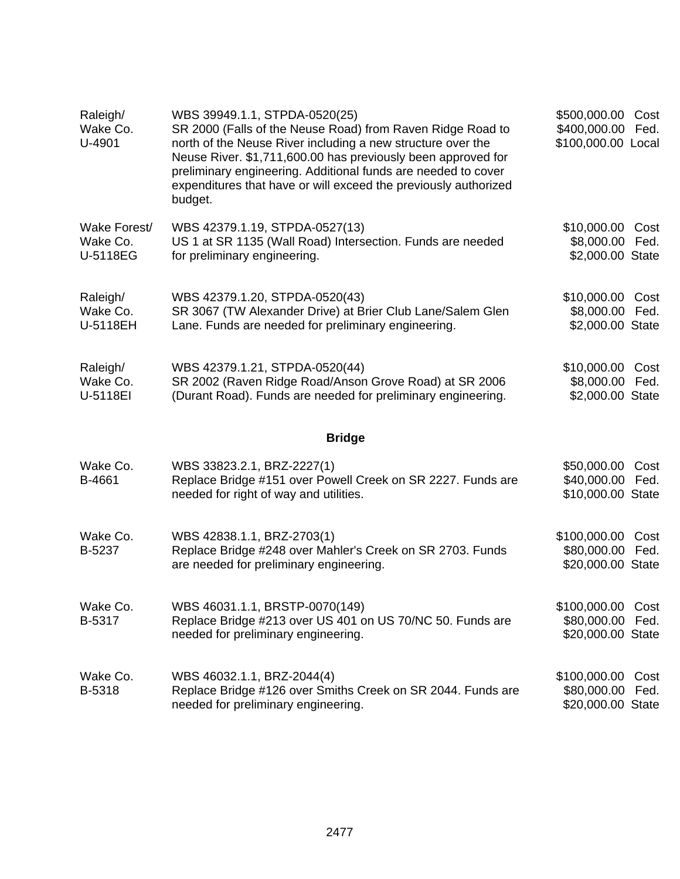| Raleigh/<br>Wake Co.<br>U-4901       | WBS 39949.1.1, STPDA-0520(25)<br>SR 2000 (Falls of the Neuse Road) from Raven Ridge Road to<br>north of the Neuse River including a new structure over the<br>Neuse River. \$1,711,600.00 has previously been approved for<br>preliminary engineering. Additional funds are needed to cover<br>expenditures that have or will exceed the previously authorized<br>budget. | \$500,000.00 Cost<br>\$400,000.00 Fed.<br>\$100,000.00 Local |              |
|--------------------------------------|---------------------------------------------------------------------------------------------------------------------------------------------------------------------------------------------------------------------------------------------------------------------------------------------------------------------------------------------------------------------------|--------------------------------------------------------------|--------------|
| Wake Forest/<br>Wake Co.<br>U-5118EG | WBS 42379.1.19, STPDA-0527(13)<br>US 1 at SR 1135 (Wall Road) Intersection. Funds are needed<br>for preliminary engineering.                                                                                                                                                                                                                                              | \$10,000.00 Cost<br>\$8,000.00 Fed.<br>\$2,000.00 State      |              |
| Raleigh/<br>Wake Co.<br>U-5118EH     | WBS 42379.1.20, STPDA-0520(43)<br>SR 3067 (TW Alexander Drive) at Brier Club Lane/Salem Glen<br>Lane. Funds are needed for preliminary engineering.                                                                                                                                                                                                                       | \$10,000.00 Cost<br>\$8,000.00<br>\$2,000.00 State           | Fed.         |
| Raleigh/<br>Wake Co.<br>U-5118EI     | WBS 42379.1.21, STPDA-0520(44)<br>SR 2002 (Raven Ridge Road/Anson Grove Road) at SR 2006<br>(Durant Road). Funds are needed for preliminary engineering.                                                                                                                                                                                                                  | \$10,000.00 Cost<br>\$8,000.00 Fed.<br>\$2,000.00 State      |              |
|                                      | <b>Bridge</b>                                                                                                                                                                                                                                                                                                                                                             |                                                              |              |
| Wake Co.<br>B-4661                   | WBS 33823.2.1, BRZ-2227(1)<br>Replace Bridge #151 over Powell Creek on SR 2227. Funds are<br>needed for right of way and utilities.                                                                                                                                                                                                                                       | \$50,000.00 Cost<br>\$40,000.00 Fed.<br>\$10,000.00 State    |              |
| Wake Co.<br>B-5237                   | WBS 42838.1.1, BRZ-2703(1)<br>Replace Bridge #248 over Mahler's Creek on SR 2703. Funds<br>are needed for preliminary engineering.                                                                                                                                                                                                                                        | \$100,000.00<br>\$80,000.00<br>\$20,000.00 State             | Cost<br>Fed. |
| Wake Co.<br>B-5317                   | WBS 46031.1.1, BRSTP-0070(149)<br>Replace Bridge #213 over US 401 on US 70/NC 50. Funds are<br>needed for preliminary engineering.                                                                                                                                                                                                                                        | \$100,000.00 Cost<br>\$80,000.00 Fed.<br>\$20,000.00 State   |              |
| Wake Co.<br>B-5318                   | WBS 46032.1.1, BRZ-2044(4)<br>Replace Bridge #126 over Smiths Creek on SR 2044. Funds are<br>needed for preliminary engineering.                                                                                                                                                                                                                                          | \$100,000.00<br>\$80,000.00<br>\$20,000.00 State             | Cost<br>Fed. |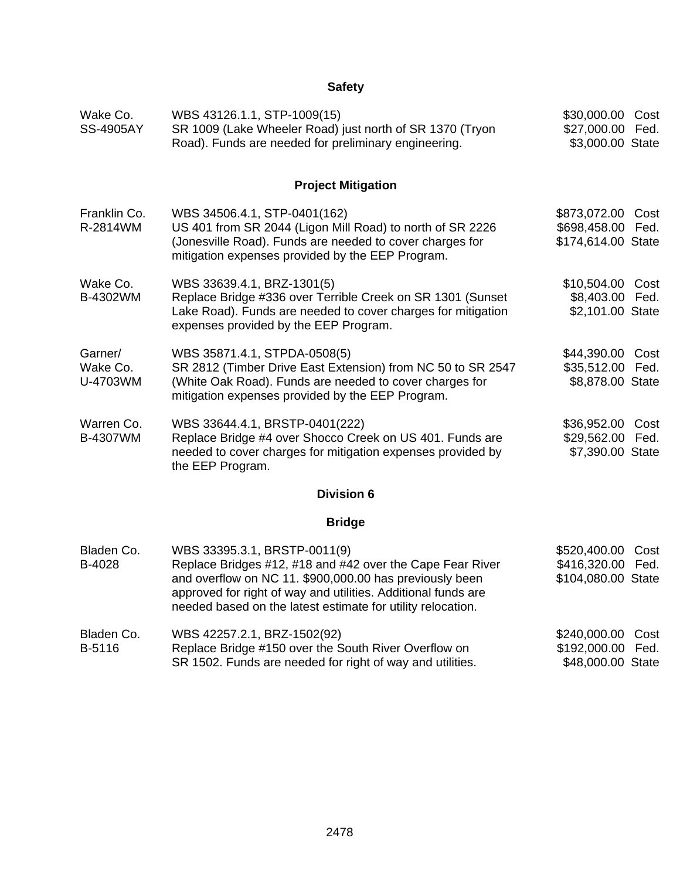# **Safety**

| Wake Co.<br><b>SS-4905AY</b>    | WBS 43126.1.1, STP-1009(15)<br>SR 1009 (Lake Wheeler Road) just north of SR 1370 (Tryon<br>Road). Funds are needed for preliminary engineering.                                                                                                                                      | \$30,000.00 Cost<br>\$27,000.00 Fed.<br>\$3,000.00 State     |  |
|---------------------------------|--------------------------------------------------------------------------------------------------------------------------------------------------------------------------------------------------------------------------------------------------------------------------------------|--------------------------------------------------------------|--|
|                                 | <b>Project Mitigation</b>                                                                                                                                                                                                                                                            |                                                              |  |
| Franklin Co.<br>R-2814WM        | WBS 34506.4.1, STP-0401(162)<br>US 401 from SR 2044 (Ligon Mill Road) to north of SR 2226<br>(Jonesville Road). Funds are needed to cover charges for<br>mitigation expenses provided by the EEP Program.                                                                            | \$873,072.00 Cost<br>\$698,458.00 Fed.<br>\$174,614.00 State |  |
| Wake Co.<br>B-4302WM            | WBS 33639.4.1, BRZ-1301(5)<br>Replace Bridge #336 over Terrible Creek on SR 1301 (Sunset<br>Lake Road). Funds are needed to cover charges for mitigation<br>expenses provided by the EEP Program.                                                                                    | \$10,504.00 Cost<br>\$8,403.00 Fed.<br>\$2,101.00 State      |  |
| Garner/<br>Wake Co.<br>U-4703WM | WBS 35871.4.1, STPDA-0508(5)<br>SR 2812 (Timber Drive East Extension) from NC 50 to SR 2547<br>(White Oak Road). Funds are needed to cover charges for<br>mitigation expenses provided by the EEP Program.                                                                           | \$44,390.00 Cost<br>\$35,512.00 Fed.<br>\$8,878.00 State     |  |
| Warren Co.<br>B-4307WM          | WBS 33644.4.1, BRSTP-0401(222)<br>Replace Bridge #4 over Shocco Creek on US 401. Funds are<br>needed to cover charges for mitigation expenses provided by<br>the EEP Program.                                                                                                        | \$36,952.00 Cost<br>\$29,562.00 Fed.<br>\$7,390.00 State     |  |
|                                 | <b>Division 6</b>                                                                                                                                                                                                                                                                    |                                                              |  |
|                                 | <b>Bridge</b>                                                                                                                                                                                                                                                                        |                                                              |  |
| Bladen Co.<br>B-4028            | WBS 33395.3.1, BRSTP-0011(9)<br>Replace Bridges #12, #18 and #42 over the Cape Fear River<br>and overflow on NC 11. \$900,000.00 has previously been<br>approved for right of way and utilities. Additional funds are<br>needed based on the latest estimate for utility relocation. | \$520,400.00 Cost<br>\$416,320.00 Fed.<br>\$104,080.00 State |  |
| Bladen Co.<br>B-5116            | WBS 42257.2.1, BRZ-1502(92)<br>Replace Bridge #150 over the South River Overflow on<br>SR 1502. Funds are needed for right of way and utilities.                                                                                                                                     | \$240,000.00 Cost<br>\$192,000.00 Fed.<br>\$48,000.00 State  |  |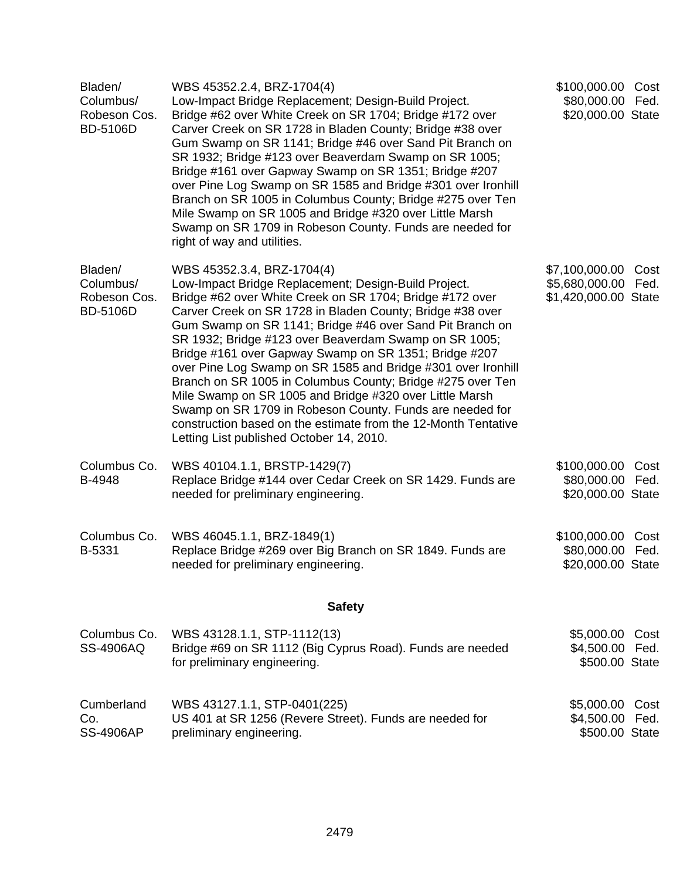| Bladen/<br>Columbus/<br>Robeson Cos.<br><b>BD-5106D</b> | WBS 45352.2.4, BRZ-1704(4)<br>Low-Impact Bridge Replacement; Design-Build Project.<br>Bridge #62 over White Creek on SR 1704; Bridge #172 over<br>Carver Creek on SR 1728 in Bladen County; Bridge #38 over<br>Gum Swamp on SR 1141; Bridge #46 over Sand Pit Branch on<br>SR 1932; Bridge #123 over Beaverdam Swamp on SR 1005;<br>Bridge #161 over Gapway Swamp on SR 1351; Bridge #207<br>over Pine Log Swamp on SR 1585 and Bridge #301 over Ironhill<br>Branch on SR 1005 in Columbus County; Bridge #275 over Ten<br>Mile Swamp on SR 1005 and Bridge #320 over Little Marsh<br>Swamp on SR 1709 in Robeson County. Funds are needed for<br>right of way and utilities.                                                                                | \$100,000.00 Cost<br>\$80,000.00 Fed.<br>\$20,000.00 State |              |
|---------------------------------------------------------|--------------------------------------------------------------------------------------------------------------------------------------------------------------------------------------------------------------------------------------------------------------------------------------------------------------------------------------------------------------------------------------------------------------------------------------------------------------------------------------------------------------------------------------------------------------------------------------------------------------------------------------------------------------------------------------------------------------------------------------------------------------|------------------------------------------------------------|--------------|
| Bladen/<br>Columbus/<br>Robeson Cos.<br><b>BD-5106D</b> | WBS 45352.3.4, BRZ-1704(4)<br>Low-Impact Bridge Replacement; Design-Build Project.<br>Bridge #62 over White Creek on SR 1704; Bridge #172 over<br>Carver Creek on SR 1728 in Bladen County; Bridge #38 over<br>Gum Swamp on SR 1141; Bridge #46 over Sand Pit Branch on<br>SR 1932; Bridge #123 over Beaverdam Swamp on SR 1005;<br>Bridge #161 over Gapway Swamp on SR 1351; Bridge #207<br>over Pine Log Swamp on SR 1585 and Bridge #301 over Ironhill<br>Branch on SR 1005 in Columbus County; Bridge #275 over Ten<br>Mile Swamp on SR 1005 and Bridge #320 over Little Marsh<br>Swamp on SR 1709 in Robeson County. Funds are needed for<br>construction based on the estimate from the 12-Month Tentative<br>Letting List published October 14, 2010. | \$7,100,000.00<br>\$5,680,000.00<br>\$1,420,000.00 State   | Cost<br>Fed. |
| Columbus Co.<br>B-4948                                  | WBS 40104.1.1, BRSTP-1429(7)<br>Replace Bridge #144 over Cedar Creek on SR 1429. Funds are<br>needed for preliminary engineering.                                                                                                                                                                                                                                                                                                                                                                                                                                                                                                                                                                                                                            | \$100,000.00 Cost<br>\$80,000.00 Fed.<br>\$20,000.00 State |              |
| Columbus Co.<br>B-5331                                  | WBS 46045.1.1, BRZ-1849(1)<br>Replace Bridge #269 over Big Branch on SR 1849. Funds are<br>needed for preliminary engineering.                                                                                                                                                                                                                                                                                                                                                                                                                                                                                                                                                                                                                               | \$100,000.00<br>\$80,000.00<br>\$20,000.00 State           | Cost<br>Fed. |
|                                                         | <b>Safety</b>                                                                                                                                                                                                                                                                                                                                                                                                                                                                                                                                                                                                                                                                                                                                                |                                                            |              |
| Columbus Co.<br><b>SS-4906AQ</b>                        | WBS 43128.1.1, STP-1112(13)<br>Bridge #69 on SR 1112 (Big Cyprus Road). Funds are needed<br>for preliminary engineering.                                                                                                                                                                                                                                                                                                                                                                                                                                                                                                                                                                                                                                     | \$5,000.00<br>\$4,500.00 Fed.<br>\$500.00 State            | Cost         |
| Cumberland<br>Co.<br><b>SS-4906AP</b>                   | WBS 43127.1.1, STP-0401(225)<br>US 401 at SR 1256 (Revere Street). Funds are needed for<br>preliminary engineering.                                                                                                                                                                                                                                                                                                                                                                                                                                                                                                                                                                                                                                          | \$5,000.00 Cost<br>\$4,500.00 Fed.<br>\$500.00 State       |              |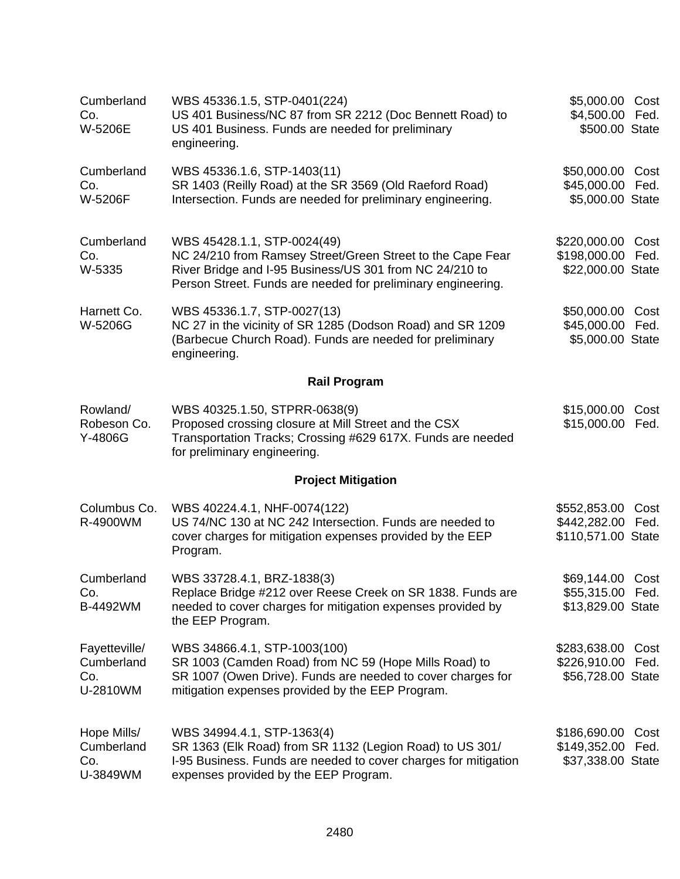| Cumberland<br>Co.<br>W-5206E                   | WBS 45336.1.5, STP-0401(224)<br>US 401 Business/NC 87 from SR 2212 (Doc Bennett Road) to<br>US 401 Business. Funds are needed for preliminary<br>engineering.                                                        | \$5,000.00<br>\$4,500.00<br>\$500.00 State                | Cost<br>Fed. |
|------------------------------------------------|----------------------------------------------------------------------------------------------------------------------------------------------------------------------------------------------------------------------|-----------------------------------------------------------|--------------|
| Cumberland<br>Co.<br>W-5206F                   | WBS 45336.1.6, STP-1403(11)<br>SR 1403 (Reilly Road) at the SR 3569 (Old Raeford Road)<br>Intersection. Funds are needed for preliminary engineering.                                                                | \$50,000.00<br>\$45,000.00<br>\$5,000.00 State            | Cost<br>Fed. |
| Cumberland<br>Co.<br>W-5335                    | WBS 45428.1.1, STP-0024(49)<br>NC 24/210 from Ramsey Street/Green Street to the Cape Fear<br>River Bridge and I-95 Business/US 301 from NC 24/210 to<br>Person Street. Funds are needed for preliminary engineering. | \$220,000.00<br>\$198,000.00<br>\$22,000.00 State         | Cost<br>Fed. |
| Harnett Co.<br>W-5206G                         | WBS 45336.1.7, STP-0027(13)<br>NC 27 in the vicinity of SR 1285 (Dodson Road) and SR 1209<br>(Barbecue Church Road). Funds are needed for preliminary<br>engineering.                                                | \$50,000.00<br>\$45,000.00 Fed.<br>\$5,000.00 State       | Cost         |
|                                                | <b>Rail Program</b>                                                                                                                                                                                                  |                                                           |              |
| Rowland/<br>Robeson Co.<br>Y-4806G             | WBS 40325.1.50, STPRR-0638(9)<br>Proposed crossing closure at Mill Street and the CSX<br>Transportation Tracks; Crossing #629 617X. Funds are needed<br>for preliminary engineering.                                 | \$15,000.00<br>\$15,000.00 Fed.                           | Cost         |
|                                                | <b>Project Mitigation</b>                                                                                                                                                                                            |                                                           |              |
| Columbus Co.<br>R-4900WM                       | WBS 40224.4.1, NHF-0074(122)<br>US 74/NC 130 at NC 242 Intersection. Funds are needed to<br>cover charges for mitigation expenses provided by the EEP<br>Program.                                                    | \$552,853.00<br>\$442,282.00 Fed.<br>\$110,571.00 State   | Cost         |
| Cumberland<br>Co.<br>B-4492WM                  | WBS 33728.4.1, BRZ-1838(3)<br>Replace Bridge #212 over Reese Creek on SR 1838. Funds are<br>needed to cover charges for mitigation expenses provided by<br>the EEP Program.                                          | \$69,144.00 Cost<br>\$55,315.00 Fed.<br>\$13,829.00 State |              |
| Fayetteville/<br>Cumberland<br>Co.<br>U-2810WM | WBS 34866.4.1, STP-1003(100)<br>SR 1003 (Camden Road) from NC 59 (Hope Mills Road) to<br>SR 1007 (Owen Drive). Funds are needed to cover charges for<br>mitigation expenses provided by the EEP Program.             | \$283,638.00<br>\$226,910.00<br>\$56,728.00 State         | Cost<br>Fed. |
| Hope Mills/<br>Cumberland<br>Co.<br>U-3849WM   | WBS 34994.4.1, STP-1363(4)<br>SR 1363 (Elk Road) from SR 1132 (Legion Road) to US 301/<br>I-95 Business. Funds are needed to cover charges for mitigation<br>expenses provided by the EEP Program.                   | \$186,690.00<br>\$149,352.00<br>\$37,338.00 State         | Cost<br>Fed. |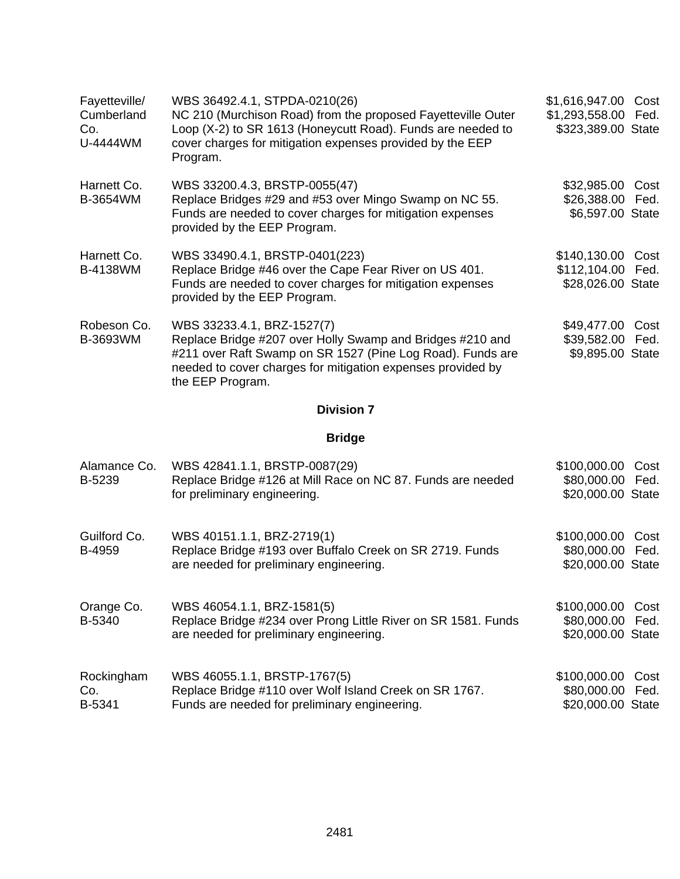| Fayetteville/<br>Cumberland<br>Co.<br>U-4444WM | WBS 36492.4.1, STPDA-0210(26)<br>NC 210 (Murchison Road) from the proposed Fayetteville Outer<br>Loop (X-2) to SR 1613 (Honeycutt Road). Funds are needed to<br>cover charges for mitigation expenses provided by the EEP<br>Program.    | \$1,616,947.00 Cost<br>\$1,293,558.00 Fed.<br>\$323,389.00 State |
|------------------------------------------------|------------------------------------------------------------------------------------------------------------------------------------------------------------------------------------------------------------------------------------------|------------------------------------------------------------------|
| Harnett Co.<br>B-3654WM                        | WBS 33200.4.3, BRSTP-0055(47)<br>Replace Bridges #29 and #53 over Mingo Swamp on NC 55.<br>Funds are needed to cover charges for mitigation expenses<br>provided by the EEP Program.                                                     | \$32,985.00 Cost<br>\$26,388.00 Fed.<br>\$6,597.00 State         |
| Harnett Co.<br><b>B-4138WM</b>                 | WBS 33490.4.1, BRSTP-0401(223)<br>Replace Bridge #46 over the Cape Fear River on US 401.<br>Funds are needed to cover charges for mitigation expenses<br>provided by the EEP Program.                                                    | \$140,130.00 Cost<br>\$112,104.00 Fed.<br>\$28,026.00 State      |
| Robeson Co.<br>B-3693WM                        | WBS 33233.4.1, BRZ-1527(7)<br>Replace Bridge #207 over Holly Swamp and Bridges #210 and<br>#211 over Raft Swamp on SR 1527 (Pine Log Road). Funds are<br>needed to cover charges for mitigation expenses provided by<br>the EEP Program. | \$49,477.00 Cost<br>\$39,582.00 Fed.<br>\$9,895.00 State         |
|                                                | <b>Division 7</b>                                                                                                                                                                                                                        |                                                                  |
|                                                | <b>Bridge</b>                                                                                                                                                                                                                            |                                                                  |
| Alamance Co.<br>B-5239                         | WBS 42841.1.1, BRSTP-0087(29)<br>Replace Bridge #126 at Mill Race on NC 87. Funds are needed<br>for preliminary engineering.                                                                                                             | \$100,000.00 Cost<br>\$80,000.00 Fed.<br>\$20,000.00 State       |
| Guilford Co.<br>B-4959                         | WBS 40151.1.1, BRZ-2719(1)<br>Replace Bridge #193 over Buffalo Creek on SR 2719. Funds<br>are needed for preliminary engineering.                                                                                                        | \$100,000.00 Cost<br>\$80,000.00 Fed.<br>\$20,000.00 State       |
| Orange Co.<br>B-5340                           | WBS 46054.1.1, BRZ-1581(5)<br>Replace Bridge #234 over Prong Little River on SR 1581. Funds<br>are needed for preliminary engineering.                                                                                                   | \$100,000.00 Cost<br>\$80,000.00 Fed.<br>\$20,000.00 State       |

| Rockingham | WBS 46055.1.1, BRSTP-1767(5)                           | \$100,000.00 Cost |  |
|------------|--------------------------------------------------------|-------------------|--|
| Co.        | Replace Bridge #110 over Wolf Island Creek on SR 1767. | \$80,000.00 Fed.  |  |
| B-5341     | Funds are needed for preliminary engineering.          | \$20,000.00 State |  |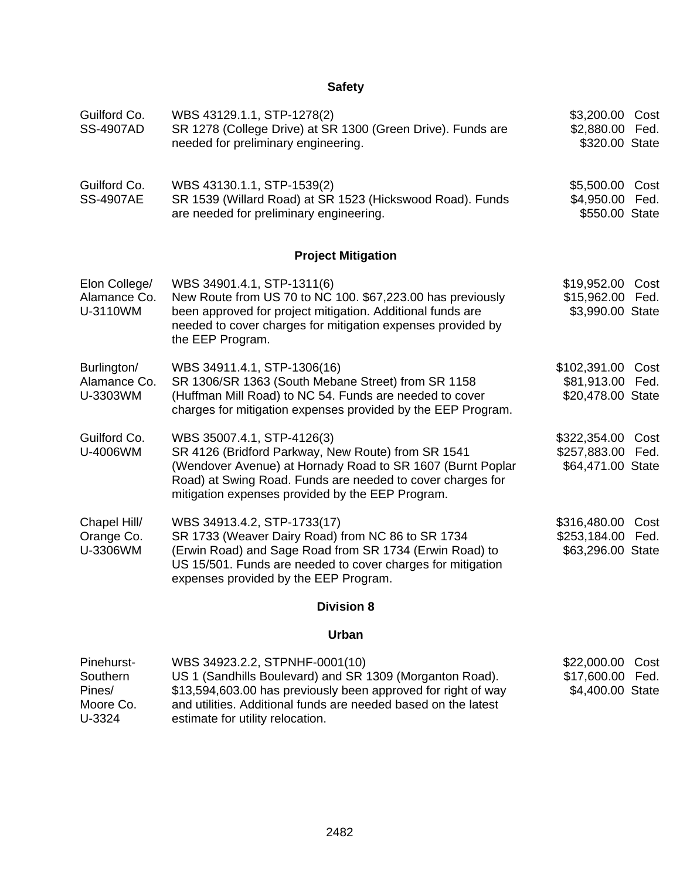| Guilford Co.<br><b>SS-4907AD</b>          | WBS 43129.1.1, STP-1278(2)<br>SR 1278 (College Drive) at SR 1300 (Green Drive). Funds are<br>needed for preliminary engineering.                                                                                                                                 | \$3,200.00 Cost<br>\$2,880.00 Fed.<br>\$320.00 State        |             |
|-------------------------------------------|------------------------------------------------------------------------------------------------------------------------------------------------------------------------------------------------------------------------------------------------------------------|-------------------------------------------------------------|-------------|
| Guilford Co.<br><b>SS-4907AE</b>          | WBS 43130.1.1, STP-1539(2)<br>SR 1539 (Willard Road) at SR 1523 (Hickswood Road). Funds<br>are needed for preliminary engineering.                                                                                                                               | \$5,500.00 Cost<br>\$4,950.00 Fed.<br>\$550.00 State        |             |
|                                           | <b>Project Mitigation</b>                                                                                                                                                                                                                                        |                                                             |             |
| Elon College/<br>Alamance Co.<br>U-3110WM | WBS 34901.4.1, STP-1311(6)<br>New Route from US 70 to NC 100. \$67,223.00 has previously<br>been approved for project mitigation. Additional funds are<br>needed to cover charges for mitigation expenses provided by<br>the EEP Program.                        | \$19,952.00 Cost<br>\$15,962.00 Fed.<br>\$3,990.00 State    |             |
| Burlington/<br>Alamance Co.<br>U-3303WM   | WBS 34911.4.1, STP-1306(16)<br>SR 1306/SR 1363 (South Mebane Street) from SR 1158<br>(Huffman Mill Road) to NC 54. Funds are needed to cover<br>charges for mitigation expenses provided by the EEP Program.                                                     | \$102,391.00 Cost<br>\$81,913.00 Fed.<br>\$20,478.00 State  |             |
| Guilford Co.<br>U-4006WM                  | WBS 35007.4.1, STP-4126(3)<br>SR 4126 (Bridford Parkway, New Route) from SR 1541<br>(Wendover Avenue) at Hornady Road to SR 1607 (Burnt Poplar<br>Road) at Swing Road. Funds are needed to cover charges for<br>mitigation expenses provided by the EEP Program. | \$322,354.00<br>\$257,883.00 Fed.<br>\$64,471.00 State      | Cost        |
| Chapel Hill/<br>Orange Co.<br>U-3306WM    | WBS 34913.4.2, STP-1733(17)<br>SR 1733 (Weaver Dairy Road) from NC 86 to SR 1734<br>(Erwin Road) and Sage Road from SR 1734 (Erwin Road) to<br>US 15/501. Funds are needed to cover charges for mitigation<br>expenses provided by the EEP Program.              | \$316,480.00 Cost<br>\$253,184.00 Fed.<br>\$63,296.00 State |             |
|                                           | <b>Division 8</b>                                                                                                                                                                                                                                                |                                                             |             |
|                                           | <b>Urban</b>                                                                                                                                                                                                                                                     |                                                             |             |
| $\mathbf{D}$ is a labeled $\mathbf{D}$    | MDC 24002 22 5 6                                                                                                                                                                                                                                                 | $\sim$ $\sim$ $\sim$                                        | $\sim$ $-1$ |

| Pinehurst- | WBS 34923.2.2, STPNHF-0001(10)                                 | \$22,000.00 Cost |
|------------|----------------------------------------------------------------|------------------|
| Southern   | US 1 (Sandhills Boulevard) and SR 1309 (Morganton Road).       | \$17,600.00 Fed. |
| Pines/     | \$13,594,603.00 has previously been approved for right of way  | \$4,400.00 State |
| Moore Co.  | and utilities. Additional funds are needed based on the latest |                  |
| U-3324     | estimate for utility relocation.                               |                  |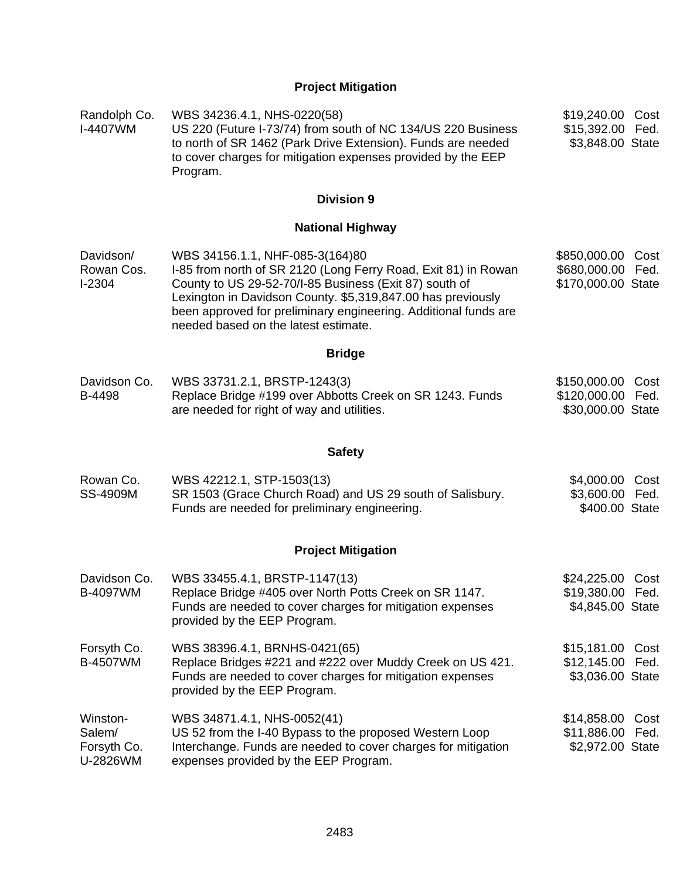# **Project Mitigation**

| Randolph Co.<br>I-4407WM                      | WBS 34236.4.1, NHS-0220(58)<br>US 220 (Future I-73/74) from south of NC 134/US 220 Business<br>to north of SR 1462 (Park Drive Extension). Funds are needed<br>to cover charges for mitigation expenses provided by the EEP<br>Program.                                                                                               | \$19,240.00<br>\$15,392.00 Fed.<br>\$3,848.00 State      | Cost |
|-----------------------------------------------|---------------------------------------------------------------------------------------------------------------------------------------------------------------------------------------------------------------------------------------------------------------------------------------------------------------------------------------|----------------------------------------------------------|------|
|                                               | <b>Division 9</b>                                                                                                                                                                                                                                                                                                                     |                                                          |      |
|                                               | <b>National Highway</b>                                                                                                                                                                                                                                                                                                               |                                                          |      |
| Davidson/<br>Rowan Cos.<br>$I-2304$           | WBS 34156.1.1, NHF-085-3(164)80<br>I-85 from north of SR 2120 (Long Ferry Road, Exit 81) in Rowan<br>County to US 29-52-70/I-85 Business (Exit 87) south of<br>Lexington in Davidson County. \$5,319,847.00 has previously<br>been approved for preliminary engineering. Additional funds are<br>needed based on the latest estimate. | \$850,000.00<br>\$680,000.00 Fed.<br>\$170,000.00 State  | Cost |
|                                               | <b>Bridge</b>                                                                                                                                                                                                                                                                                                                         |                                                          |      |
| Davidson Co.<br>B-4498                        | WBS 33731.2.1, BRSTP-1243(3)<br>Replace Bridge #199 over Abbotts Creek on SR 1243. Funds<br>are needed for right of way and utilities.                                                                                                                                                                                                | \$150,000.00<br>\$120,000.00 Fed.<br>\$30,000.00 State   | Cost |
|                                               | <b>Safety</b>                                                                                                                                                                                                                                                                                                                         |                                                          |      |
| Rowan Co.<br>SS-4909M                         | WBS 42212.1, STP-1503(13)<br>SR 1503 (Grace Church Road) and US 29 south of Salisbury.<br>Funds are needed for preliminary engineering.                                                                                                                                                                                               | \$4,000.00<br>\$3,600.00 Fed.<br>\$400.00 State          | Cost |
|                                               | <b>Project Mitigation</b>                                                                                                                                                                                                                                                                                                             |                                                          |      |
| Davidson Co.<br><b>B-4097WM</b>               | WBS 33455.4.1, BRSTP-1147(13)<br>Replace Bridge #405 over North Potts Creek on SR 1147.<br>Funds are needed to cover charges for mitigation expenses<br>provided by the EEP Program.                                                                                                                                                  | \$24,225.00 Cost<br>\$19,380.00 Fed.<br>\$4,845.00 State |      |
| Forsyth Co.<br>B-4507WM                       | WBS 38396.4.1, BRNHS-0421(65)<br>Replace Bridges #221 and #222 over Muddy Creek on US 421.<br>Funds are needed to cover charges for mitigation expenses<br>provided by the EEP Program.                                                                                                                                               | \$15,181.00<br>\$12,145.00 Fed.<br>\$3,036.00 State      | Cost |
| Winston-<br>Salem/<br>Forsyth Co.<br>U-2826WM | WBS 34871.4.1, NHS-0052(41)<br>US 52 from the I-40 Bypass to the proposed Western Loop<br>Interchange. Funds are needed to cover charges for mitigation<br>expenses provided by the EEP Program.                                                                                                                                      | \$14,858.00 Cost<br>\$11,886.00 Fed.<br>\$2,972.00 State |      |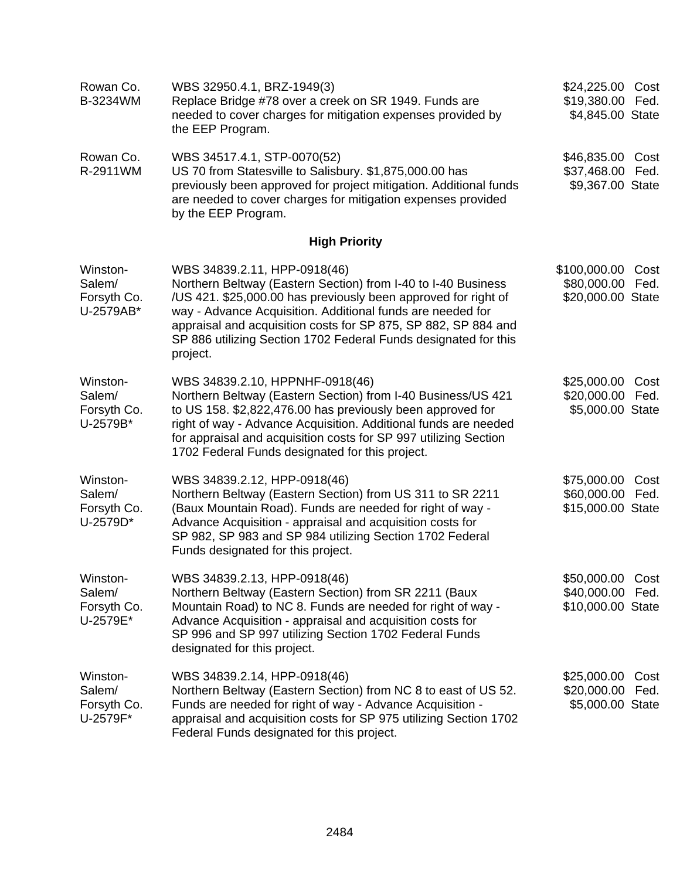| Rowan Co.<br>B-3234WM                          | WBS 32950.4.1, BRZ-1949(3)<br>Replace Bridge #78 over a creek on SR 1949. Funds are<br>needed to cover charges for mitigation expenses provided by<br>the EEP Program.                                                                                                                                                                                                         | \$24,225.00 Cost<br>\$19,380.00 Fed.<br>\$4,845.00 State  |              |
|------------------------------------------------|--------------------------------------------------------------------------------------------------------------------------------------------------------------------------------------------------------------------------------------------------------------------------------------------------------------------------------------------------------------------------------|-----------------------------------------------------------|--------------|
| Rowan Co.<br>R-2911WM                          | WBS 34517.4.1, STP-0070(52)<br>US 70 from Statesville to Salisbury. \$1,875,000.00 has<br>previously been approved for project mitigation. Additional funds<br>are needed to cover charges for mitigation expenses provided<br>by the EEP Program.                                                                                                                             | \$46,835.00 Cost<br>\$37,468.00 Fed.<br>\$9,367.00 State  |              |
|                                                | <b>High Priority</b>                                                                                                                                                                                                                                                                                                                                                           |                                                           |              |
| Winston-<br>Salem/<br>Forsyth Co.<br>U-2579AB* | WBS 34839.2.11, HPP-0918(46)<br>Northern Beltway (Eastern Section) from I-40 to I-40 Business<br>/US 421. \$25,000.00 has previously been approved for right of<br>way - Advance Acquisition. Additional funds are needed for<br>appraisal and acquisition costs for SP 875, SP 882, SP 884 and<br>SP 886 utilizing Section 1702 Federal Funds designated for this<br>project. | \$100,000.00<br>\$80,000.00<br>\$20,000.00 State          | Cost<br>Fed. |
| Winston-<br>Salem/<br>Forsyth Co.<br>U-2579B*  | WBS 34839.2.10, HPPNHF-0918(46)<br>Northern Beltway (Eastern Section) from I-40 Business/US 421<br>to US 158. \$2,822,476.00 has previously been approved for<br>right of way - Advance Acquisition. Additional funds are needed<br>for appraisal and acquisition costs for SP 997 utilizing Section<br>1702 Federal Funds designated for this project.                        | \$25,000.00<br>\$20,000.00 Fed.<br>\$5,000.00 State       | Cost         |
| Winston-<br>Salem/<br>Forsyth Co.<br>U-2579D*  | WBS 34839.2.12, HPP-0918(46)<br>Northern Beltway (Eastern Section) from US 311 to SR 2211<br>(Baux Mountain Road). Funds are needed for right of way -<br>Advance Acquisition - appraisal and acquisition costs for<br>SP 982, SP 983 and SP 984 utilizing Section 1702 Federal<br>Funds designated for this project.                                                          | \$75,000.00<br>\$60,000.00 Fed.<br>\$15,000.00 State      | Cost         |
| Winston-<br>Salem/<br>Forsyth Co.<br>U-2579E*  | WBS 34839.2.13, HPP-0918(46)<br>Northern Beltway (Eastern Section) from SR 2211 (Baux<br>Mountain Road) to NC 8. Funds are needed for right of way -<br>Advance Acquisition - appraisal and acquisition costs for<br>SP 996 and SP 997 utilizing Section 1702 Federal Funds<br>designated for this project.                                                                    | \$50,000.00 Cost<br>\$40,000.00 Fed.<br>\$10,000.00 State |              |
| Winston-<br>Salem/<br>Forsyth Co.<br>U-2579F*  | WBS 34839.2.14, HPP-0918(46)<br>Northern Beltway (Eastern Section) from NC 8 to east of US 52.<br>Funds are needed for right of way - Advance Acquisition -<br>appraisal and acquisition costs for SP 975 utilizing Section 1702<br>Federal Funds designated for this project.                                                                                                 | \$25,000.00<br>\$20,000.00<br>\$5,000.00 State            | Cost<br>Fed. |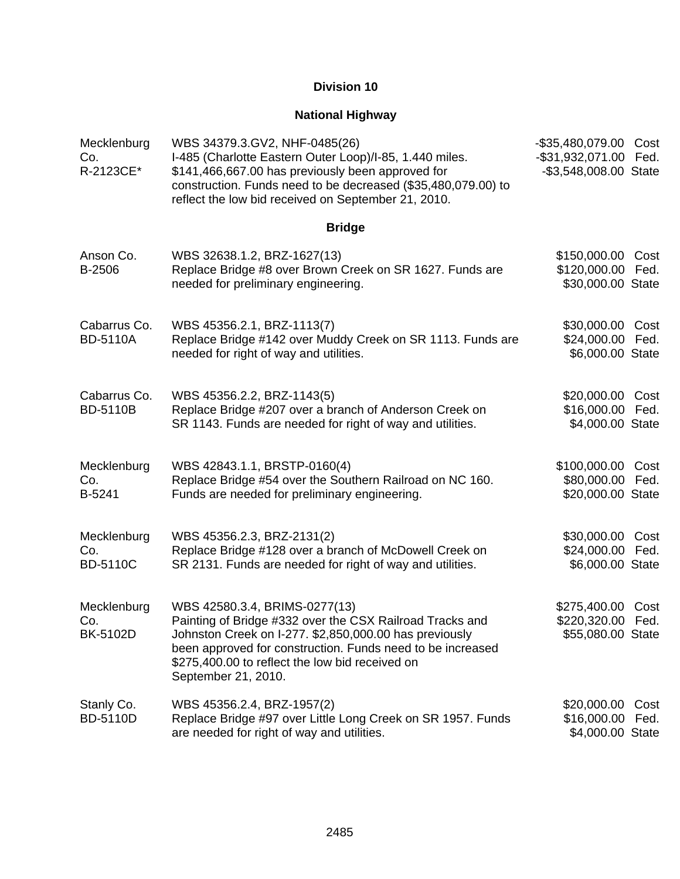### **National Highway**

| Mecklenburg<br>Co.<br>R-2123CE*       | WBS 34379.3.GV2, NHF-0485(26)<br>I-485 (Charlotte Eastern Outer Loop)/I-85, 1.440 miles.<br>\$141,466,667.00 has previously been approved for<br>construction. Funds need to be decreased (\$35,480,079.00) to<br>reflect the low bid received on September 21, 2010.                       | $-$ \$35,480,079.00<br>-\$31,932,071.00<br>-\$3,548,008.00 State | Cost<br>Fed. |
|---------------------------------------|---------------------------------------------------------------------------------------------------------------------------------------------------------------------------------------------------------------------------------------------------------------------------------------------|------------------------------------------------------------------|--------------|
|                                       | <b>Bridge</b>                                                                                                                                                                                                                                                                               |                                                                  |              |
| Anson Co.<br>B-2506                   | WBS 32638.1.2, BRZ-1627(13)<br>Replace Bridge #8 over Brown Creek on SR 1627. Funds are<br>needed for preliminary engineering.                                                                                                                                                              | \$150,000.00<br>\$120,000.00 Fed.<br>\$30,000.00 State           | Cost         |
| Cabarrus Co.<br><b>BD-5110A</b>       | WBS 45356.2.1, BRZ-1113(7)<br>Replace Bridge #142 over Muddy Creek on SR 1113. Funds are<br>needed for right of way and utilities.                                                                                                                                                          | \$30,000.00<br>\$24,000.00 Fed.<br>\$6,000.00 State              | Cost         |
| Cabarrus Co.<br><b>BD-5110B</b>       | WBS 45356.2.2, BRZ-1143(5)<br>Replace Bridge #207 over a branch of Anderson Creek on<br>SR 1143. Funds are needed for right of way and utilities.                                                                                                                                           | \$20,000.00<br>\$16,000.00 Fed.<br>\$4,000.00 State              | Cost         |
| Mecklenburg<br>Co.<br>B-5241          | WBS 42843.1.1, BRSTP-0160(4)<br>Replace Bridge #54 over the Southern Railroad on NC 160.<br>Funds are needed for preliminary engineering.                                                                                                                                                   | \$100,000.00<br>\$80,000.00 Fed.<br>\$20,000.00 State            | Cost         |
| Mecklenburg<br>Co.<br><b>BD-5110C</b> | WBS 45356.2.3, BRZ-2131(2)<br>Replace Bridge #128 over a branch of McDowell Creek on<br>SR 2131. Funds are needed for right of way and utilities.                                                                                                                                           | \$30,000.00<br>\$24,000.00<br>\$6,000.00 State                   | Cost<br>Fed. |
| Mecklenburg<br>Co.<br>BK-5102D        | WBS 42580.3.4, BRIMS-0277(13)<br>Painting of Bridge #332 over the CSX Railroad Tracks and<br>Johnston Creek on I-277. \$2,850,000.00 has previously<br>been approved for construction. Funds need to be increased<br>\$275,400.00 to reflect the low bid received on<br>September 21, 2010. | \$275,400.00 Cost<br>\$220,320.00 Fed.<br>\$55,080.00 State      |              |
| Stanly Co.<br><b>BD-5110D</b>         | WBS 45356.2.4, BRZ-1957(2)<br>Replace Bridge #97 over Little Long Creek on SR 1957. Funds<br>are needed for right of way and utilities.                                                                                                                                                     | \$20,000.00<br>\$16,000.00<br>\$4,000.00 State                   | Cost<br>Fed. |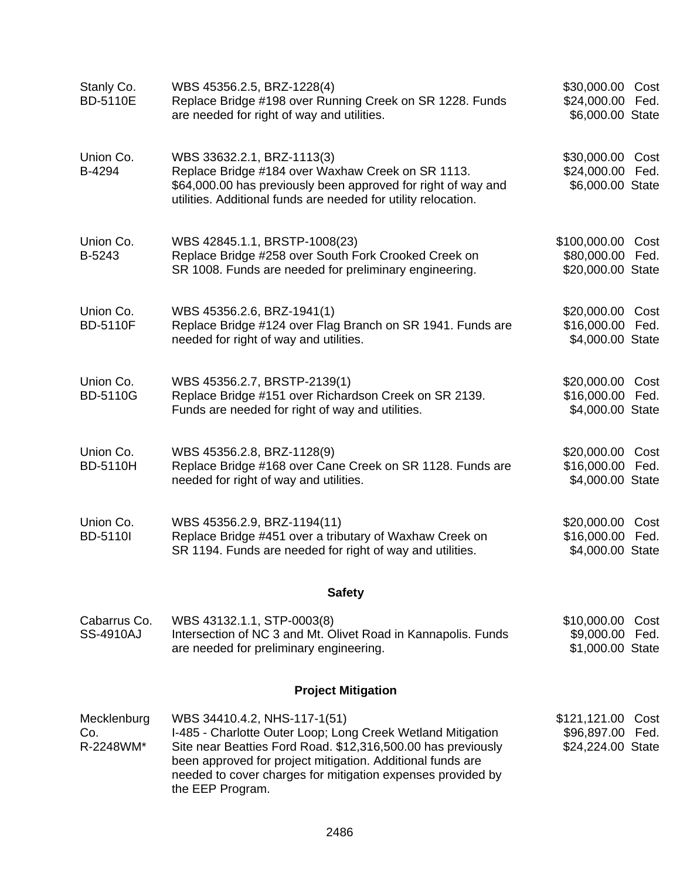| Stanly Co.<br><b>BD-5110E</b>    | WBS 45356.2.5, BRZ-1228(4)<br>Replace Bridge #198 over Running Creek on SR 1228. Funds<br>are needed for right of way and utilities.                                                                                                                                                                         | \$30,000.00 Cost<br>\$24,000.00 Fed.<br>\$6,000.00 State   |              |
|----------------------------------|--------------------------------------------------------------------------------------------------------------------------------------------------------------------------------------------------------------------------------------------------------------------------------------------------------------|------------------------------------------------------------|--------------|
| Union Co.<br>B-4294              | WBS 33632.2.1, BRZ-1113(3)<br>Replace Bridge #184 over Waxhaw Creek on SR 1113.<br>\$64,000.00 has previously been approved for right of way and<br>utilities. Additional funds are needed for utility relocation.                                                                                           | \$30,000.00 Cost<br>\$24,000.00 Fed.<br>\$6,000.00 State   |              |
| Union Co.<br>B-5243              | WBS 42845.1.1, BRSTP-1008(23)<br>Replace Bridge #258 over South Fork Crooked Creek on<br>SR 1008. Funds are needed for preliminary engineering.                                                                                                                                                              | \$100,000.00<br>\$80,000.00<br>\$20,000.00 State           | Cost<br>Fed. |
| Union Co.<br><b>BD-5110F</b>     | WBS 45356.2.6, BRZ-1941(1)<br>Replace Bridge #124 over Flag Branch on SR 1941. Funds are<br>needed for right of way and utilities.                                                                                                                                                                           | \$20,000.00 Cost<br>\$16,000.00 Fed.<br>\$4,000.00 State   |              |
| Union Co.<br><b>BD-5110G</b>     | WBS 45356.2.7, BRSTP-2139(1)<br>Replace Bridge #151 over Richardson Creek on SR 2139.<br>Funds are needed for right of way and utilities.                                                                                                                                                                    | \$20,000.00<br>\$16,000.00 Fed.<br>\$4,000.00 State        | Cost         |
| Union Co.<br><b>BD-5110H</b>     | WBS 45356.2.8, BRZ-1128(9)<br>Replace Bridge #168 over Cane Creek on SR 1128. Funds are<br>needed for right of way and utilities.                                                                                                                                                                            | \$20,000.00 Cost<br>\$16,000.00 Fed.<br>\$4,000.00 State   |              |
| Union Co.<br><b>BD-5110I</b>     | WBS 45356.2.9, BRZ-1194(11)<br>Replace Bridge #451 over a tributary of Waxhaw Creek on<br>SR 1194. Funds are needed for right of way and utilities.                                                                                                                                                          | \$20,000.00<br>\$16,000.00<br>\$4,000.00 State             | Cost<br>Fed. |
|                                  | <b>Safety</b>                                                                                                                                                                                                                                                                                                |                                                            |              |
| Cabarrus Co.<br><b>SS-4910AJ</b> | WBS 43132.1.1, STP-0003(8)<br>Intersection of NC 3 and Mt. Olivet Road in Kannapolis. Funds<br>are needed for preliminary engineering.                                                                                                                                                                       | \$10,000.00<br>\$9,000.00 Fed.<br>\$1,000.00 State         | Cost         |
|                                  | <b>Project Mitigation</b>                                                                                                                                                                                                                                                                                    |                                                            |              |
| Mecklenburg<br>Co.<br>R-2248WM*  | WBS 34410.4.2, NHS-117-1(51)<br>I-485 - Charlotte Outer Loop; Long Creek Wetland Mitigation<br>Site near Beatties Ford Road. \$12,316,500.00 has previously<br>been approved for project mitigation. Additional funds are<br>needed to cover charges for mitigation expenses provided by<br>the EEP Program. | \$121,121.00 Cost<br>\$96,897.00 Fed.<br>\$24,224.00 State |              |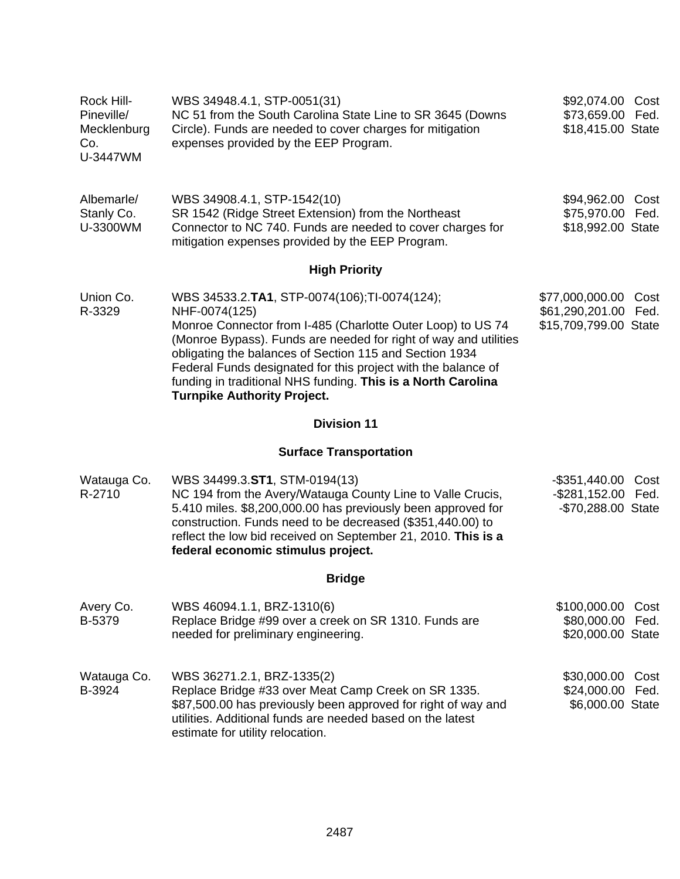| Rock Hill-<br>Pineville/<br>Mecklenburg<br>Co.<br>U-3447WM | WBS 34948.4.1, STP-0051(31)<br>NC 51 from the South Carolina State Line to SR 3645 (Downs<br>Circle). Funds are needed to cover charges for mitigation<br>expenses provided by the EEP Program.                                                                                                                                                                                                                                    | \$92,074.00 Cost<br>\$73,659.00 Fed.<br>\$18,415.00 State      |              |
|------------------------------------------------------------|------------------------------------------------------------------------------------------------------------------------------------------------------------------------------------------------------------------------------------------------------------------------------------------------------------------------------------------------------------------------------------------------------------------------------------|----------------------------------------------------------------|--------------|
| Albemarle/<br>Stanly Co.<br>U-3300WM                       | WBS 34908.4.1, STP-1542(10)<br>SR 1542 (Ridge Street Extension) from the Northeast<br>Connector to NC 740. Funds are needed to cover charges for<br>mitigation expenses provided by the EEP Program.                                                                                                                                                                                                                               | \$94,962.00<br>\$75,970.00 Fed.<br>\$18,992.00 State           | Cost         |
|                                                            | <b>High Priority</b>                                                                                                                                                                                                                                                                                                                                                                                                               |                                                                |              |
| Union Co.<br>R-3329                                        | WBS 34533.2.TA1, STP-0074(106);TI-0074(124);<br>NHF-0074(125)<br>Monroe Connector from I-485 (Charlotte Outer Loop) to US 74<br>(Monroe Bypass). Funds are needed for right of way and utilities<br>obligating the balances of Section 115 and Section 1934<br>Federal Funds designated for this project with the balance of<br>funding in traditional NHS funding. This is a North Carolina<br><b>Turnpike Authority Project.</b> | \$77,000,000.00<br>\$61,290,201.00<br>\$15,709,799.00 State    | Cost<br>Fed. |
|                                                            | <b>Division 11</b>                                                                                                                                                                                                                                                                                                                                                                                                                 |                                                                |              |
|                                                            | <b>Surface Transportation</b>                                                                                                                                                                                                                                                                                                                                                                                                      |                                                                |              |
| Watauga Co.<br>R-2710                                      | WBS 34499.3.ST1, STM-0194(13)<br>NC 194 from the Avery/Watauga County Line to Valle Crucis,<br>5.410 miles. \$8,200,000.00 has previously been approved for<br>construction. Funds need to be decreased (\$351,440.00) to<br>reflect the low bid received on September 21, 2010. This is a<br>federal economic stimulus project.                                                                                                   | -\$351,440.00 Cost<br>-\$281,152.00 Fed.<br>-\$70,288.00 State |              |
|                                                            | <b>Bridge</b>                                                                                                                                                                                                                                                                                                                                                                                                                      |                                                                |              |
| Avery Co.<br>B-5379                                        | WBS 46094.1.1, BRZ-1310(6)<br>Replace Bridge #99 over a creek on SR 1310. Funds are<br>needed for preliminary engineering.                                                                                                                                                                                                                                                                                                         | \$100,000.00<br>\$80,000.00 Fed.<br>\$20,000.00 State          | Cost         |
| Watauga Co.<br>B-3924                                      | WBS 36271.2.1, BRZ-1335(2)<br>Replace Bridge #33 over Meat Camp Creek on SR 1335.<br>\$87,500.00 has previously been approved for right of way and<br>utilities. Additional funds are needed based on the latest<br>estimate for utility relocation.                                                                                                                                                                               | \$30,000.00<br>\$24,000.00 Fed.<br>\$6,000.00 State            | Cost         |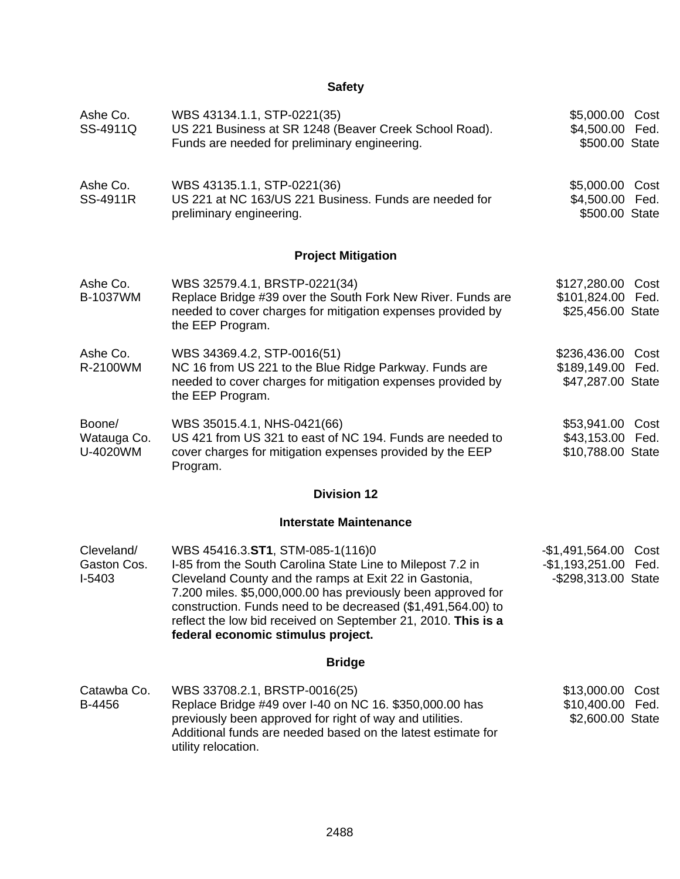| Ashe Co.<br>SS-4911Q                | WBS 43134.1.1, STP-0221(35)<br>US 221 Business at SR 1248 (Beaver Creek School Road).<br>Funds are needed for preliminary engineering.                                                                                                                                                                                                                                                          | \$5,000.00 Cost<br>\$4,500.00 Fed.<br>\$500.00 State            |              |
|-------------------------------------|-------------------------------------------------------------------------------------------------------------------------------------------------------------------------------------------------------------------------------------------------------------------------------------------------------------------------------------------------------------------------------------------------|-----------------------------------------------------------------|--------------|
| Ashe Co.<br>SS-4911R                | WBS 43135.1.1, STP-0221(36)<br>US 221 at NC 163/US 221 Business. Funds are needed for<br>preliminary engineering.                                                                                                                                                                                                                                                                               | \$5,000.00 Cost<br>\$4,500.00 Fed.<br>\$500.00 State            |              |
|                                     | <b>Project Mitigation</b>                                                                                                                                                                                                                                                                                                                                                                       |                                                                 |              |
| Ashe Co.<br><b>B-1037WM</b>         | WBS 32579.4.1, BRSTP-0221(34)<br>Replace Bridge #39 over the South Fork New River. Funds are<br>needed to cover charges for mitigation expenses provided by<br>the EEP Program.                                                                                                                                                                                                                 | \$127,280.00 Cost<br>\$101,824.00 Fed.<br>\$25,456.00 State     |              |
| Ashe Co.<br>R-2100WM                | WBS 34369.4.2, STP-0016(51)<br>NC 16 from US 221 to the Blue Ridge Parkway. Funds are<br>needed to cover charges for mitigation expenses provided by<br>the EEP Program.                                                                                                                                                                                                                        | \$236,436.00 Cost<br>\$189,149.00 Fed.<br>\$47,287.00 State     |              |
| Boone/<br>Watauga Co.<br>U-4020WM   | WBS 35015.4.1, NHS-0421(66)<br>US 421 from US 321 to east of NC 194. Funds are needed to<br>cover charges for mitigation expenses provided by the EEP<br>Program.                                                                                                                                                                                                                               | \$53,941.00 Cost<br>\$43,153.00 Fed.<br>\$10,788.00 State       |              |
|                                     | <b>Division 12</b>                                                                                                                                                                                                                                                                                                                                                                              |                                                                 |              |
|                                     | <b>Interstate Maintenance</b>                                                                                                                                                                                                                                                                                                                                                                   |                                                                 |              |
| Cleveland/<br>Gaston Cos.<br>I-5403 | WBS 45416.3.ST1, STM-085-1(116)0<br>I-85 from the South Carolina State Line to Milepost 7.2 in<br>Cleveland County and the ramps at Exit 22 in Gastonia,<br>7.200 miles. \$5,000,000.00 has previously been approved for<br>construction. Funds need to be decreased (\$1,491,564.00) to<br>reflect the low bid received on September 21, 2010. This is a<br>federal economic stimulus project. | $-$1,491,564.00$<br>-\$1,193,251.00 Fed.<br>-\$298,313.00 State | Cost         |
|                                     | <b>Bridge</b>                                                                                                                                                                                                                                                                                                                                                                                   |                                                                 |              |
| Catawba Co.<br>B-4456               | WBS 33708.2.1, BRSTP-0016(25)<br>Replace Bridge #49 over I-40 on NC 16. \$350,000.00 has<br>previously been approved for right of way and utilities.<br>Additional funds are needed based on the latest estimate for<br>utility relocation.                                                                                                                                                     | \$13,000.00<br>\$10,400.00<br>\$2,600.00 State                  | Cost<br>Fed. |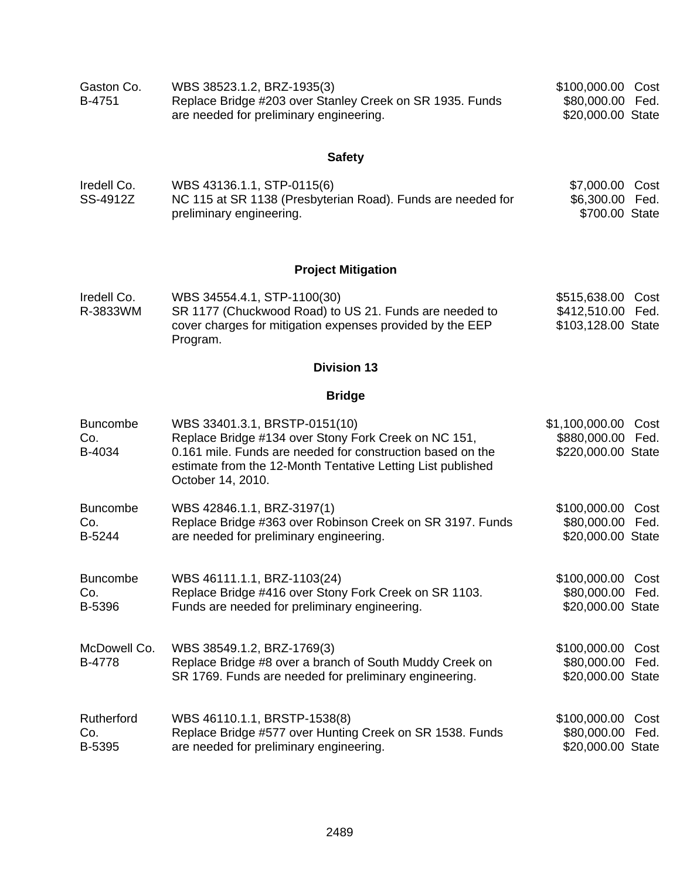| Gaston Co. | WBS 38523.1.2, BRZ-1935(3)                               | \$100,000.00 Cost |  |
|------------|----------------------------------------------------------|-------------------|--|
| B-4751     | Replace Bridge #203 over Stanley Creek on SR 1935. Funds | \$80,000.00 Fed.  |  |
|            | are needed for preliminary engineering.                  | \$20,000.00 State |  |

| Iredell Co. | WBS 43136.1.1, STP-0115(6)                                  | \$7,000.00 Cost |  |
|-------------|-------------------------------------------------------------|-----------------|--|
| SS-4912Z    | NC 115 at SR 1138 (Presbyterian Road). Funds are needed for | \$6,300.00 Fed. |  |
|             | preliminary engineering.                                    | \$700.00 State  |  |

### **Project Mitigation**

| Iredell Co. | WBS 34554.4.1, STP-1100(30)                               | \$515,638.00 Cost  |  |
|-------------|-----------------------------------------------------------|--------------------|--|
| R-3833WM    | SR 1177 (Chuckwood Road) to US 21. Funds are needed to    | \$412,510.00 Fed.  |  |
|             | cover charges for mitigation expenses provided by the EEP | \$103,128.00 State |  |
|             | Program.                                                  |                    |  |

### **Division 13**

### **Bridge**

| <b>Buncombe</b><br>Co.<br>B-4034 | WBS 33401.3.1, BRSTP-0151(10)<br>Replace Bridge #134 over Stony Fork Creek on NC 151,<br>0.161 mile. Funds are needed for construction based on the<br>estimate from the 12-Month Tentative Letting List published<br>October 14, 2010. | \$1,100,000.00<br>\$880,000.00 Fed.<br>\$220,000.00 State | Cost |
|----------------------------------|-----------------------------------------------------------------------------------------------------------------------------------------------------------------------------------------------------------------------------------------|-----------------------------------------------------------|------|
| <b>Buncombe</b>                  | WBS 42846.1.1, BRZ-3197(1)                                                                                                                                                                                                              | \$100,000.00 Cost                                         |      |
| Co.                              | Replace Bridge #363 over Robinson Creek on SR 3197. Funds                                                                                                                                                                               | \$80,000.00 Fed.                                          |      |
| B-5244                           | are needed for preliminary engineering.                                                                                                                                                                                                 | \$20,000.00 State                                         |      |
| <b>Buncombe</b>                  | WBS 46111.1.1, BRZ-1103(24)                                                                                                                                                                                                             | \$100,000.00                                              | Cost |
| Co.                              | Replace Bridge #416 over Stony Fork Creek on SR 1103.                                                                                                                                                                                   | \$80,000.00 Fed.                                          |      |
| B-5396                           | Funds are needed for preliminary engineering.                                                                                                                                                                                           | \$20,000.00 State                                         |      |
| McDowell Co.<br><b>B-4778</b>    | WBS 38549.1.2, BRZ-1769(3)<br>Replace Bridge #8 over a branch of South Muddy Creek on<br>SR 1769. Funds are needed for preliminary engineering.                                                                                         | \$100,000.00<br>\$80,000.00 Fed.<br>\$20,000.00 State     | Cost |
| Rutherford                       | WBS 46110.1.1, BRSTP-1538(8)                                                                                                                                                                                                            | \$100,000.00                                              | Cost |
| Co.                              | Replace Bridge #577 over Hunting Creek on SR 1538. Funds                                                                                                                                                                                | \$80,000.00 Fed.                                          |      |
| B-5395                           | are needed for preliminary engineering.                                                                                                                                                                                                 | \$20,000.00 State                                         |      |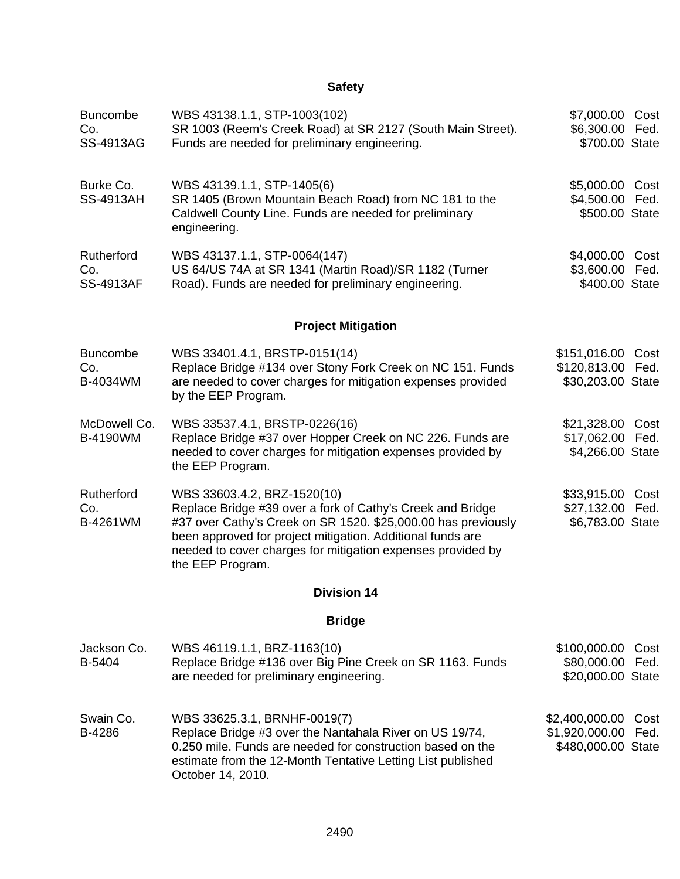| <b>Buncombe</b><br>Co.<br><b>SS-4913AG</b> | WBS 43138.1.1, STP-1003(102)<br>SR 1003 (Reem's Creek Road) at SR 2127 (South Main Street).<br>Funds are needed for preliminary engineering.                                                                                                                                                                | \$7,000.00 Cost<br>\$6,300.00 Fed.<br>\$700.00 State        |              |
|--------------------------------------------|-------------------------------------------------------------------------------------------------------------------------------------------------------------------------------------------------------------------------------------------------------------------------------------------------------------|-------------------------------------------------------------|--------------|
| Burke Co.<br><b>SS-4913AH</b>              | WBS 43139.1.1, STP-1405(6)<br>SR 1405 (Brown Mountain Beach Road) from NC 181 to the<br>Caldwell County Line. Funds are needed for preliminary<br>engineering.                                                                                                                                              | \$5,000.00 Cost<br>\$4,500.00 Fed.<br>\$500.00 State        |              |
| Rutherford<br>Co.<br><b>SS-4913AF</b>      | WBS 43137.1.1, STP-0064(147)<br>US 64/US 74A at SR 1341 (Martin Road)/SR 1182 (Turner<br>Road). Funds are needed for preliminary engineering.                                                                                                                                                               | \$4,000.00 Cost<br>\$3,600.00 Fed.<br>\$400.00 State        |              |
|                                            | <b>Project Mitigation</b>                                                                                                                                                                                                                                                                                   |                                                             |              |
| <b>Buncombe</b><br>Co.<br>B-4034WM         | WBS 33401.4.1, BRSTP-0151(14)<br>Replace Bridge #134 over Stony Fork Creek on NC 151. Funds<br>are needed to cover charges for mitigation expenses provided<br>by the EEP Program.                                                                                                                          | \$151,016.00 Cost<br>\$120,813.00 Fed.<br>\$30,203.00 State |              |
| McDowell Co.<br><b>B-4190WM</b>            | WBS 33537.4.1, BRSTP-0226(16)<br>Replace Bridge #37 over Hopper Creek on NC 226. Funds are<br>needed to cover charges for mitigation expenses provided by<br>the EEP Program.                                                                                                                               | \$21,328.00 Cost<br>\$17,062.00 Fed.<br>\$4,266.00 State    |              |
| Rutherford<br>Co.<br>B-4261WM              | WBS 33603.4.2, BRZ-1520(10)<br>Replace Bridge #39 over a fork of Cathy's Creek and Bridge<br>#37 over Cathy's Creek on SR 1520. \$25,000.00 has previously<br>been approved for project mitigation. Additional funds are<br>needed to cover charges for mitigation expenses provided by<br>the EEP Program. | \$33,915.00 Cost<br>\$27,132.00 Fed.<br>\$6,783.00 State    |              |
|                                            | <b>Division 14</b>                                                                                                                                                                                                                                                                                          |                                                             |              |
|                                            | <b>Bridge</b>                                                                                                                                                                                                                                                                                               |                                                             |              |
| Jackson Co.<br>B-5404                      | WBS 46119.1.1, BRZ-1163(10)<br>Replace Bridge #136 over Big Pine Creek on SR 1163. Funds<br>are needed for preliminary engineering.                                                                                                                                                                         | \$100,000.00<br>\$80,000.00<br>\$20,000.00 State            | Cost<br>Fed. |
| Swain Co.<br>B-4286                        | WBS 33625.3.1, BRNHF-0019(7)<br>Replace Bridge #3 over the Nantahala River on US 19/74,<br>0.250 mile. Funds are needed for construction based on the<br>estimate from the 12-Month Tentative Letting List published<br>October 14, 2010.                                                                   | \$2,400,000.00<br>\$1,920,000.00<br>\$480,000.00 State      | Cost<br>Fed. |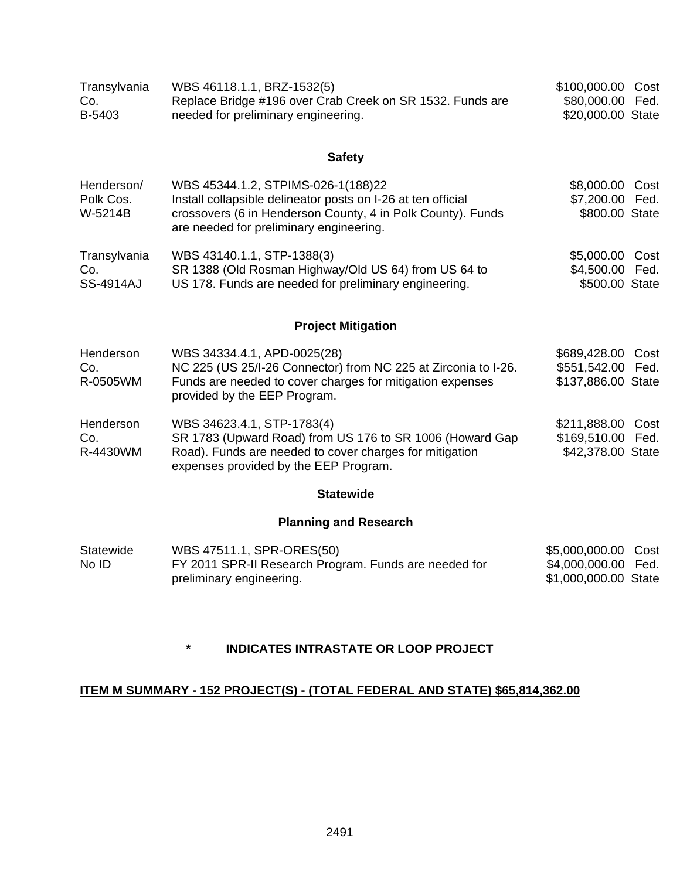| Transylvania | WBS 46118.1.1, BRZ-1532(5)                                | \$100,000.00 Cost |  |
|--------------|-----------------------------------------------------------|-------------------|--|
| Co.          | Replace Bridge #196 over Crab Creek on SR 1532. Funds are | \$80,000.00 Fed.  |  |
| B-5403       | needed for preliminary engineering.                       | \$20,000.00 State |  |

| Henderson/<br>Polk Cos.<br>W-5214B | WBS 45344.1.2, STPIMS-026-1(188)22<br>Install collapsible delineator posts on I-26 at ten official<br>crossovers (6 in Henderson County, 4 in Polk County). Funds<br>are needed for preliminary engineering. | \$8,000.00 Cost<br>\$7,200.00 Fed.<br>\$800.00 State |
|------------------------------------|--------------------------------------------------------------------------------------------------------------------------------------------------------------------------------------------------------------|------------------------------------------------------|
| Transylvania                       | WBS 43140.1.1, STP-1388(3)                                                                                                                                                                                   | \$5,000.00 Cost                                      |
| Co.<br><b>SS-4914AJ</b>            | SR 1388 (Old Rosman Highway/Old US 64) from US 64 to<br>US 178. Funds are needed for preliminary engineering.                                                                                                | \$4,500.00 Fed.<br>\$500.00 State                    |
|                                    |                                                                                                                                                                                                              |                                                      |

### **Project Mitigation**

| Henderson | WBS 34334.4.1, APD-0025(28)                                                                      | \$689,428.00 Cost  |
|-----------|--------------------------------------------------------------------------------------------------|--------------------|
| Co.       | NC 225 (US 25/I-26 Connector) from NC 225 at Zirconia to I-26.                                   | \$551,542.00 Fed.  |
| R-0505WM  | Funds are needed to cover charges for mitigation expenses<br>provided by the EEP Program.        | \$137,886.00 State |
| Henderson | WBS 34623.4.1, STP-1783(4)                                                                       | \$211,888.00 Cost  |
| Co.       | SR 1783 (Upward Road) from US 176 to SR 1006 (Howard Gap                                         | \$169,510.00 Fed.  |
| R-4430WM  | Road). Funds are needed to cover charges for mitigation<br>expenses provided by the EEP Program. | \$42,378.00 State  |

#### **Statewide**

### **Planning and Research**

| Statewide | WBS 47511.1, SPR-ORES(50)                             | \$5,000,000.00 Cost  |  |
|-----------|-------------------------------------------------------|----------------------|--|
| No ID     | FY 2011 SPR-II Research Program. Funds are needed for | \$4,000,000.00 Fed.  |  |
|           | preliminary engineering.                              | \$1,000,000.00 State |  |

### **\* INDICATES INTRASTATE OR LOOP PROJECT**

#### **ITEM M SUMMARY - 152 PROJECT(S) - (TOTAL FEDERAL AND STATE) \$65,814,362.00**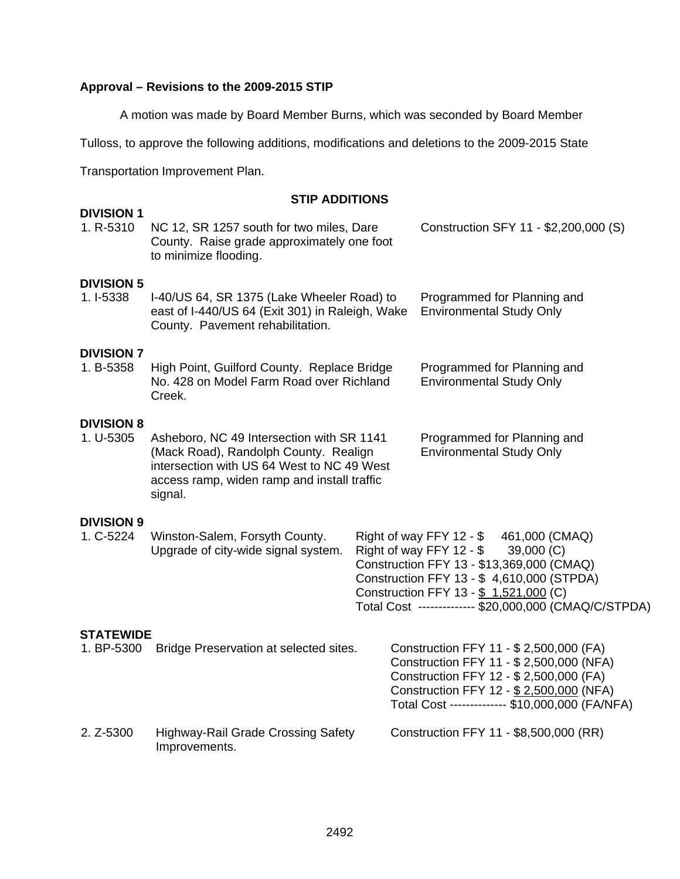### **Approval – Revisions to the 2009-2015 STIP**

A motion was made by Board Member Burns, which was seconded by Board Member

Tulloss, to approve the following additions, modifications and deletions to the 2009-2015 State

Transportation Improvement Plan.

#### **STIP ADDITIONS**

| <b>DIVISION 1</b><br>1. R-5310 | NC 12, SR 1257 south for two miles, Dare<br>County. Raise grade approximately one foot<br>to minimize flooding.                                                                            | Construction SFY 11 - \$2,200,000 (S)                                                                                                                                                                                                                                        |
|--------------------------------|--------------------------------------------------------------------------------------------------------------------------------------------------------------------------------------------|------------------------------------------------------------------------------------------------------------------------------------------------------------------------------------------------------------------------------------------------------------------------------|
| <b>DIVISION 5</b><br>1. I-5338 | I-40/US 64, SR 1375 (Lake Wheeler Road) to<br>east of I-440/US 64 (Exit 301) in Raleigh, Wake<br>County. Pavement rehabilitation.                                                          | Programmed for Planning and<br><b>Environmental Study Only</b>                                                                                                                                                                                                               |
| <b>DIVISION 7</b><br>1. B-5358 | High Point, Guilford County. Replace Bridge<br>No. 428 on Model Farm Road over Richland<br>Creek.                                                                                          | Programmed for Planning and<br><b>Environmental Study Only</b>                                                                                                                                                                                                               |
| <b>DIVISION 8</b><br>1. U-5305 | Asheboro, NC 49 Intersection with SR 1141<br>(Mack Road), Randolph County. Realign<br>intersection with US 64 West to NC 49 West<br>access ramp, widen ramp and install traffic<br>signal. | Programmed for Planning and<br><b>Environmental Study Only</b>                                                                                                                                                                                                               |
| <b>DIVISION 9</b><br>1. C-5224 | Winston-Salem, Forsyth County.<br>Upgrade of city-wide signal system.                                                                                                                      | Right of way FFY 12 - \$461,000 (CMAQ)<br>Right of way FFY 12 - \$<br>39,000 (C)<br>Construction FFY 13 - \$13,369,000 (CMAQ)<br>Construction FFY 13 - \$4,610,000 (STPDA)<br>Construction FFY 13 - \$ 1,521,000 (C)<br>Total Cost ------------- \$20,000,000 (CMAQ/C/STPDA) |
| <b>STATEWIDE</b><br>1. BP-5300 | Bridge Preservation at selected sites.                                                                                                                                                     | Construction FFY 11 - \$ 2,500,000 (FA)<br>Construction FFY 11 - \$ 2,500,000 (NFA)<br>Construction FFY 12 - \$ 2,500,000 (FA)<br>Construction FFY 12 - \$ 2,500,000 (NFA)<br>Total Cost ------------- \$10,000,000 (FA/NFA)                                                 |
| 2. Z-5300                      | <b>Highway-Rail Grade Crossing Safety</b><br>Improvements.                                                                                                                                 | Construction FFY 11 - \$8,500,000 (RR)                                                                                                                                                                                                                                       |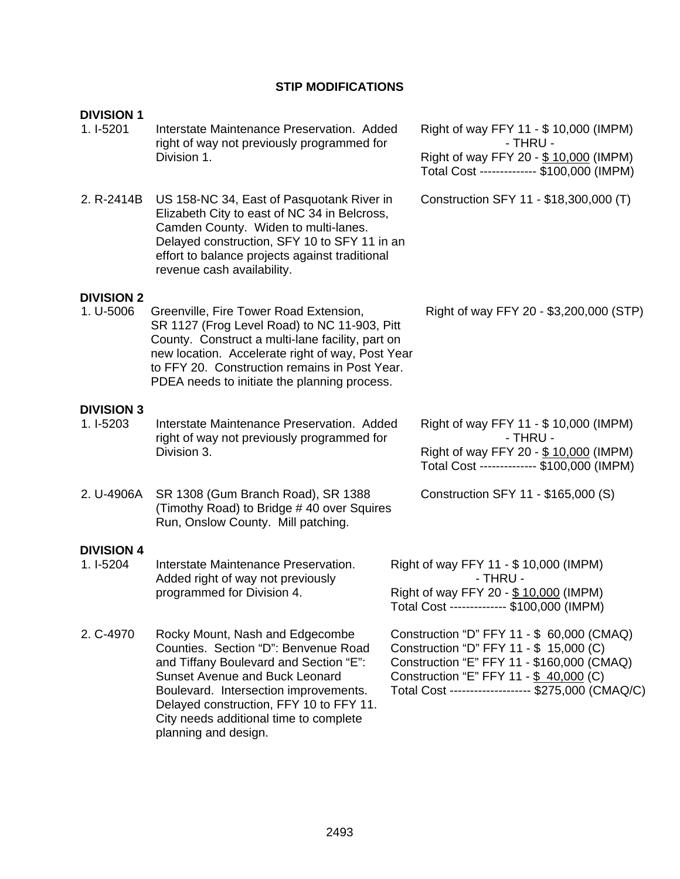## **STIP MODIFICATIONS**

| <b>DIVISION 1</b> |                                                                                                                                                                                                                                                                                                                  |  |                                                                                                                                                                                                                                     |
|-------------------|------------------------------------------------------------------------------------------------------------------------------------------------------------------------------------------------------------------------------------------------------------------------------------------------------------------|--|-------------------------------------------------------------------------------------------------------------------------------------------------------------------------------------------------------------------------------------|
| 1. I-5201         | Interstate Maintenance Preservation. Added<br>right of way not previously programmed for                                                                                                                                                                                                                         |  | Right of way FFY 11 - \$ 10,000 (IMPM)<br>- THRU -                                                                                                                                                                                  |
|                   | Division 1.                                                                                                                                                                                                                                                                                                      |  | Right of way FFY 20 - \$10,000 (IMPM)<br>Total Cost ------------- \$100,000 (IMPM)                                                                                                                                                  |
| 2. R-2414B        | US 158-NC 34, East of Pasquotank River in<br>Elizabeth City to east of NC 34 in Belcross,<br>Camden County. Widen to multi-lanes.<br>Delayed construction, SFY 10 to SFY 11 in an<br>effort to balance projects against traditional<br>revenue cash availability.                                                |  | Construction SFY 11 - \$18,300,000 (T)                                                                                                                                                                                              |
| <b>DIVISION 2</b> |                                                                                                                                                                                                                                                                                                                  |  |                                                                                                                                                                                                                                     |
| 1. U-5006         | Greenville, Fire Tower Road Extension,<br>SR 1127 (Frog Level Road) to NC 11-903, Pitt<br>County. Construct a multi-lane facility, part on<br>new location. Accelerate right of way, Post Year<br>to FFY 20. Construction remains in Post Year.<br>PDEA needs to initiate the planning process.                  |  | Right of way FFY 20 - \$3,200,000 (STP)                                                                                                                                                                                             |
| <b>DIVISION 3</b> |                                                                                                                                                                                                                                                                                                                  |  |                                                                                                                                                                                                                                     |
| $1.1 - 5203$      | Interstate Maintenance Preservation. Added<br>right of way not previously programmed for                                                                                                                                                                                                                         |  | Right of way FFY 11 - \$ 10,000 (IMPM)<br>- THRU -                                                                                                                                                                                  |
|                   | Division 3.                                                                                                                                                                                                                                                                                                      |  | Right of way FFY 20 - \$10,000 (IMPM)<br>Total Cost ------------- \$100,000 (IMPM)                                                                                                                                                  |
| 2. U-4906A        | SR 1308 (Gum Branch Road), SR 1388<br>(Timothy Road) to Bridge #40 over Squires<br>Run, Onslow County. Mill patching.                                                                                                                                                                                            |  | Construction SFY 11 - \$165,000 (S)                                                                                                                                                                                                 |
| <b>DIVISION 4</b> |                                                                                                                                                                                                                                                                                                                  |  |                                                                                                                                                                                                                                     |
| 1. I-5204         | Interstate Maintenance Preservation.<br>Added right of way not previously                                                                                                                                                                                                                                        |  | Right of way FFY 11 - \$ 10,000 (IMPM)<br>- THRU -                                                                                                                                                                                  |
|                   | programmed for Division 4.                                                                                                                                                                                                                                                                                       |  | Right of way FFY 20 - \$ 10,000 (IMPM)<br>Total Cost ------------- \$100,000 (IMPM)                                                                                                                                                 |
| 2. C-4970         | Rocky Mount, Nash and Edgecombe<br>Counties. Section "D": Benvenue Road<br>and Tiffany Boulevard and Section "E":<br><b>Sunset Avenue and Buck Leonard</b><br>Boulevard. Intersection improvements.<br>Delayed construction, FFY 10 to FFY 11.<br>City needs additional time to complete<br>planning and design. |  | Construction "D" FFY 11 - \$ 60,000 (CMAQ)<br>Construction "D" FFY 11 - \$ 15,000 (C)<br>Construction "E" FFY 11 - \$160,000 (CMAQ)<br>Construction "E" FFY 11 - \$ 40,000 (C)<br>Total Cost ------------------- \$275,000 (CMAQ/C) |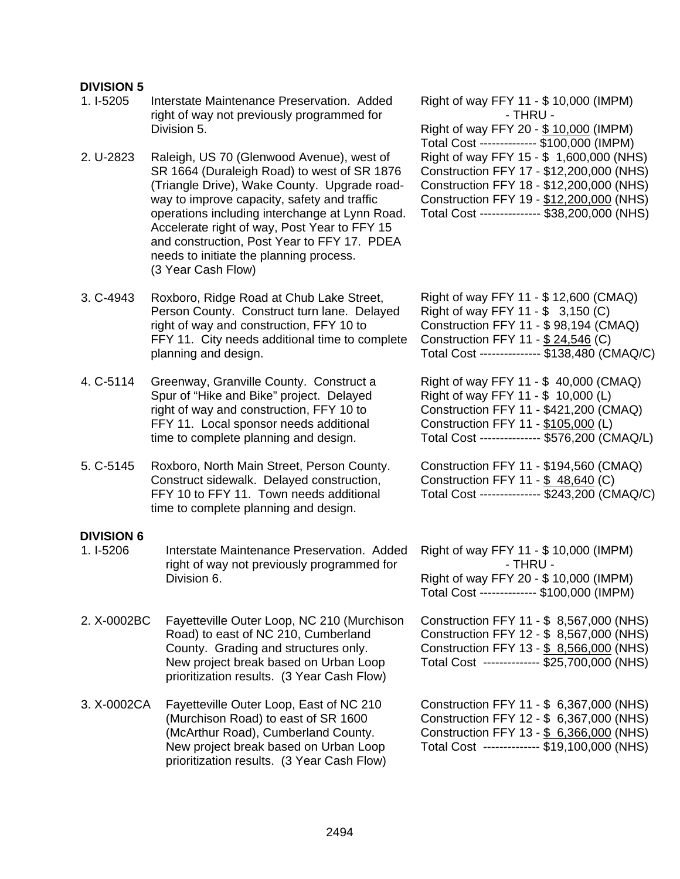#### **DIVISION 5**

- 1. I-5205 Interstate Maintenance Preservation. Added right of way not previously programmed for Division 5.
- 2. U-2823 Raleigh, US 70 (Glenwood Avenue), west of SR 1664 (Duraleigh Road) to west of SR 1876 (Triangle Drive), Wake County. Upgrade roadway to improve capacity, safety and traffic operations including interchange at Lynn Road. Accelerate right of way, Post Year to FFY 15 and construction, Post Year to FFY 17. PDEA needs to initiate the planning process. (3 Year Cash Flow)
- 3. C-4943 Roxboro, Ridge Road at Chub Lake Street, Person County. Construct turn lane. Delayed right of way and construction, FFY 10 to FFY 11. City needs additional time to complete planning and design.
- 4. C-5114 Greenway, Granville County. Construct a Spur of "Hike and Bike" project. Delayed right of way and construction, FFY 10 to FFY 11. Local sponsor needs additional time to complete planning and design.
- 5. C-5145 Roxboro, North Main Street, Person County. Construct sidewalk. Delayed construction, FFY 10 to FFY 11. Town needs additional time to complete planning and design.

#### **DIVISION 6**

- 1. I-5206 Interstate Maintenance Preservation. Added right of way not previously programmed for Division 6.
- 2. X-0002BC Fayetteville Outer Loop, NC 210 (Murchison Road) to east of NC 210, Cumberland County. Grading and structures only. New project break based on Urban Loop prioritization results. (3 Year Cash Flow)
- 3. X-0002CA Fayetteville Outer Loop, East of NC 210 (Murchison Road) to east of SR 1600 (McArthur Road), Cumberland County. New project break based on Urban Loop prioritization results. (3 Year Cash Flow)

Right of way FFY 11 - \$ 10,000 (IMPM) - THRU - Right of way FFY 20 - \$ 10,000 (IMPM) Total Cost -------------- \$100,000 (IMPM) Right of way FFY 15 - \$ 1,600,000 (NHS) Construction FFY 17 - \$12,200,000 (NHS) Construction FFY 18 - \$12,200,000 (NHS) Construction FFY 19 - \$12,200,000 (NHS) Total Cost --------------- \$38,200,000 (NHS)

Right of way FFY 11 - \$ 12,600 (CMAQ) Right of way FFY 11 - \$ 3,150 (C) Construction FFY 11 - \$ 98,194 (CMAQ) Construction FFY 11 - \$ 24,546 (C) Total Cost --------------- \$138,480 (CMAQ/C)

Right of way FFY 11 - \$ 40,000 (CMAQ) Right of way FFY 11 - \$ 10,000 (L) Construction FFY 11 - \$421,200 (CMAQ) Construction FFY 11 - \$105,000 (L) Total Cost --------------- \$576,200 (CMAQ/L)

Construction FFY 11 - \$194,560 (CMAQ) Construction FFY 11 - \$ 48,640 (C) Total Cost --------------- \$243,200 (CMAQ/C)

Right of way FFY 11 - \$ 10,000 (IMPM) - THRU - Right of way FFY 20 - \$ 10,000 (IMPM) Total Cost -------------- \$100,000 (IMPM)

Construction FFY 11 - \$ 8,567,000 (NHS) Construction FFY 12 - \$ 8,567,000 (NHS) Construction FFY 13 - \$ 8,566,000 (NHS) Total Cost -------------- \$25,700,000 (NHS)

Construction FFY 11 - \$ 6,367,000 (NHS) Construction FFY 12 - \$ 6,367,000 (NHS) Construction FFY 13 - \$ 6,366,000 (NHS) Total Cost -------------- \$19,100,000 (NHS)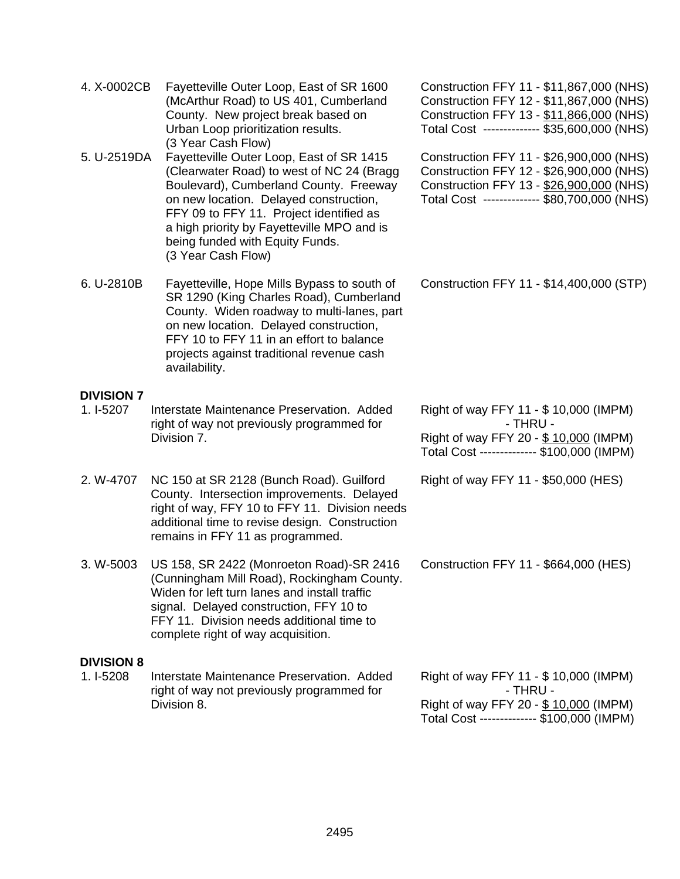| 4. X-0002CB                    | Fayetteville Outer Loop, East of SR 1600<br>(McArthur Road) to US 401, Cumberland<br>County. New project break based on<br>Urban Loop prioritization results.<br>(3 Year Cash Flow)                                                                                                                                         | Construction FFY 11 - \$11,867,000 (NHS)<br>Construction FFY 12 - \$11,867,000 (NHS)<br>Construction FFY 13 - \$11,866,000 (NHS)<br>Total Cost ------------- \$35,600,000 (NHS) |
|--------------------------------|-----------------------------------------------------------------------------------------------------------------------------------------------------------------------------------------------------------------------------------------------------------------------------------------------------------------------------|---------------------------------------------------------------------------------------------------------------------------------------------------------------------------------|
| 5. U-2519DA                    | Fayetteville Outer Loop, East of SR 1415<br>(Clearwater Road) to west of NC 24 (Bragg<br>Boulevard), Cumberland County. Freeway<br>on new location. Delayed construction,<br>FFY 09 to FFY 11. Project identified as<br>a high priority by Fayetteville MPO and is<br>being funded with Equity Funds.<br>(3 Year Cash Flow) | Construction FFY 11 - \$26,900,000 (NHS)<br>Construction FFY 12 - \$26,900,000 (NHS)<br>Construction FFY 13 - \$26,900,000 (NHS)<br>Total Cost ------------- \$80,700,000 (NHS) |
| 6. U-2810B                     | Fayetteville, Hope Mills Bypass to south of<br>SR 1290 (King Charles Road), Cumberland<br>County. Widen roadway to multi-lanes, part<br>on new location. Delayed construction,<br>FFY 10 to FFY 11 in an effort to balance<br>projects against traditional revenue cash<br>availability.                                    | Construction FFY 11 - \$14,400,000 (STP)                                                                                                                                        |
| <b>DIVISION 7</b><br>1. I-5207 | Interstate Maintenance Preservation. Added<br>right of way not previously programmed for                                                                                                                                                                                                                                    | Right of way FFY 11 - \$ 10,000 (IMPM)<br>- THRU -                                                                                                                              |
|                                | Division 7.                                                                                                                                                                                                                                                                                                                 | Right of way FFY 20 - \$10,000 (IMPM)<br>Total Cost ------------- \$100,000 (IMPM)                                                                                              |
| 2. W-4707                      | NC 150 at SR 2128 (Bunch Road). Guilford<br>County. Intersection improvements. Delayed<br>right of way, FFY 10 to FFY 11. Division needs<br>additional time to revise design. Construction<br>remains in FFY 11 as programmed.                                                                                              | Right of way FFY 11 - \$50,000 (HES)                                                                                                                                            |
| 3. W-5003                      | US 158, SR 2422 (Monroeton Road)-SR 2416<br>(Cunningham Mill Road), Rockingham County.<br>Widen for left turn lanes and install traffic<br>signal. Delayed construction, FFY 10 to<br>FFY 11. Division needs additional time to<br>complete right of way acquisition.                                                       | Construction FFY 11 - \$664,000 (HES)                                                                                                                                           |
| <b>DIVISION 8</b><br>1. I-5208 | Interstate Maintenance Preservation. Added<br>right of way not previously programmed for<br>Division 8.                                                                                                                                                                                                                     | Right of way FFY 11 - \$ 10,000 (IMPM)<br>- THRU -<br>Right of way FFY 20 - \$10,000 (IMPM)<br>Total Cost ------------- \$100,000 (IMPM)                                        |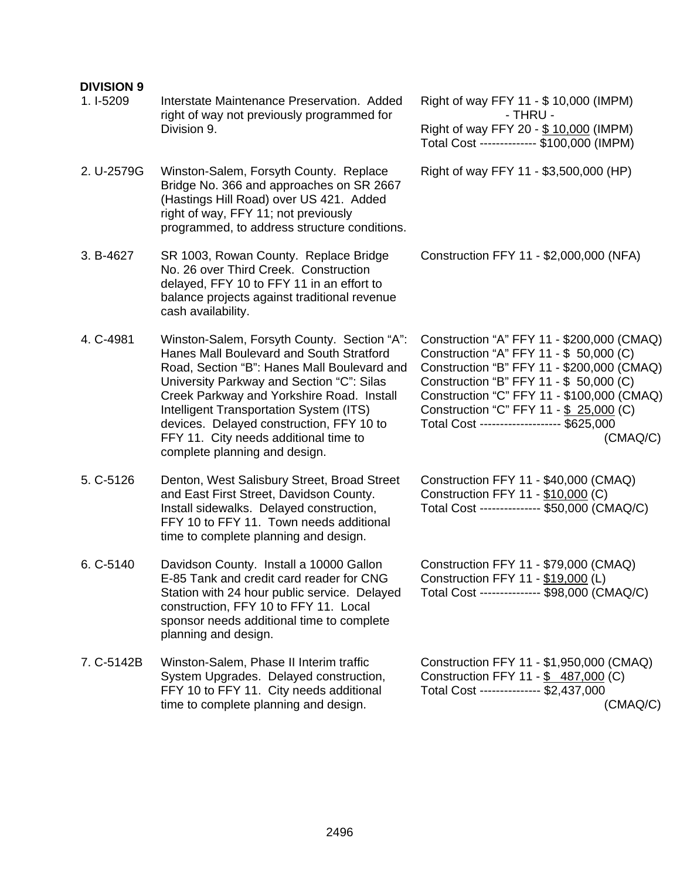#### **DIVISION 9**  1. I-5209 Interstate Maintenance Preservation. Added right of way not previously programmed for Division 9. Right of way FFY 11 - \$ 10,000 (IMPM) - THRU - Right of way FFY 20 - \$ 10,000 (IMPM) Total Cost -------------- \$100,000 (IMPM) 2. U-2579G Winston-Salem, Forsyth County. Replace Bridge No. 366 and approaches on SR 2667 (Hastings Hill Road) over US 421. Added right of way, FFY 11; not previously programmed, to address structure conditions. Right of way FFY 11 - \$3,500,000 (HP) 3. B-4627 SR 1003, Rowan County. Replace Bridge No. 26 over Third Creek. Construction delayed, FFY 10 to FFY 11 in an effort to balance projects against traditional revenue cash availability. Construction FFY 11 - \$2,000,000 (NFA) 4. C-4981 Winston-Salem, Forsyth County. Section "A": Hanes Mall Boulevard and South Stratford Road, Section "B": Hanes Mall Boulevard and University Parkway and Section "C": Silas Creek Parkway and Yorkshire Road. Install Intelligent Transportation System (ITS) devices. Delayed construction, FFY 10 to FFY 11. City needs additional time to complete planning and design. Construction "A" FFY 11 - \$200,000 (CMAQ) Construction "A" FFY 11 - \$ 50,000 (C) Construction "B" FFY 11 - \$200,000 (CMAQ) Construction "B" FFY 11 - \$ 50,000 (C) Construction "C" FFY 11 - \$100,000 (CMAQ) Construction "C" FFY 11 - \$ 25,000 (C) Total Cost -------------------- \$625,000 (CMAQ/C) 5. C-5126 Denton, West Salisbury Street, Broad Street and East First Street, Davidson County. Install sidewalks. Delayed construction, FFY 10 to FFY 11. Town needs additional time to complete planning and design. Construction FFY 11 - \$40,000 (CMAQ) Construction FFY 11 - \$10,000 (C) Total Cost --------------- \$50,000 (CMAQ/C) 6. C-5140 Davidson County. Install a 10000 Gallon E-85 Tank and credit card reader for CNG Station with 24 hour public service. Delayed construction, FFY 10 to FFY 11. Local sponsor needs additional time to complete planning and design. Construction FFY 11 - \$79,000 (CMAQ) Construction FFY 11 - \$19,000 (L) Total Cost --------------- \$98,000 (CMAQ/C) 7. C-5142B Winston-Salem, Phase II Interim traffic System Upgrades. Delayed construction, FFY 10 to FFY 11. City needs additional time to complete planning and design. Construction FFY 11 - \$1,950,000 (CMAQ) Construction FFY 11 - \$ 487,000 (C) Total Cost --------------- \$2,437,000 (CMAQ/C)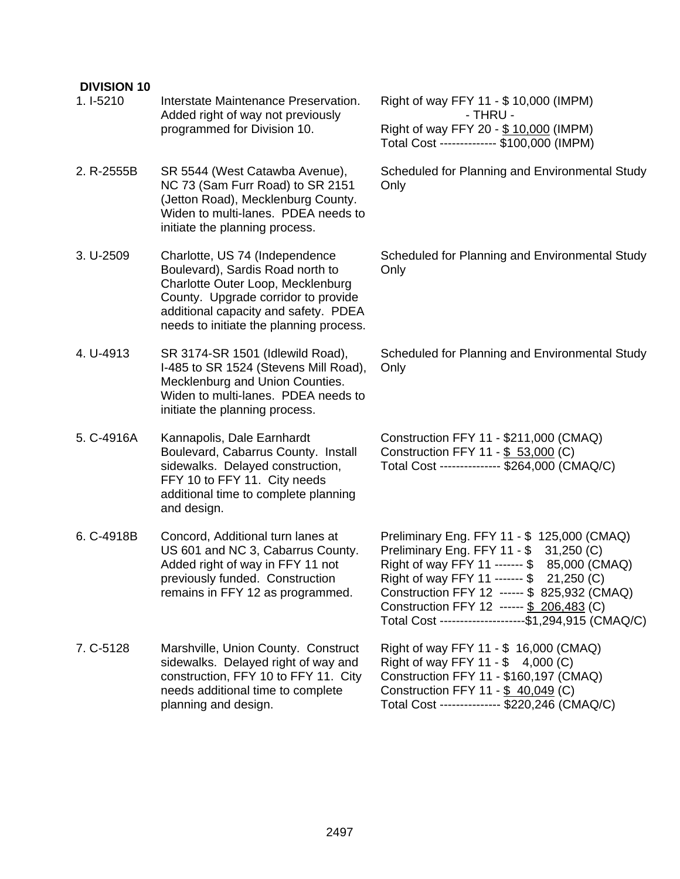| <b>DIVISION 10</b><br>1. I-5210 | Interstate Maintenance Preservation.<br>Added right of way not previously<br>programmed for Division 10.                                                                                                                          | Right of way FFY 11 - \$ 10,000 (IMPM)<br>- THRU -<br>Right of way FFY 20 - \$10,000 (IMPM)<br>Total Cost ------------- \$100,000 (IMPM)                                                                                                                                                                                                 |
|---------------------------------|-----------------------------------------------------------------------------------------------------------------------------------------------------------------------------------------------------------------------------------|------------------------------------------------------------------------------------------------------------------------------------------------------------------------------------------------------------------------------------------------------------------------------------------------------------------------------------------|
| 2. R-2555B                      | SR 5544 (West Catawba Avenue),<br>NC 73 (Sam Furr Road) to SR 2151<br>(Jetton Road), Mecklenburg County.<br>Widen to multi-lanes. PDEA needs to<br>initiate the planning process.                                                 | Scheduled for Planning and Environmental Study<br>Only                                                                                                                                                                                                                                                                                   |
| 3. U-2509                       | Charlotte, US 74 (Independence<br>Boulevard), Sardis Road north to<br>Charlotte Outer Loop, Mecklenburg<br>County. Upgrade corridor to provide<br>additional capacity and safety. PDEA<br>needs to initiate the planning process. | Scheduled for Planning and Environmental Study<br>Only                                                                                                                                                                                                                                                                                   |
| 4. U-4913                       | SR 3174-SR 1501 (Idlewild Road),<br>I-485 to SR 1524 (Stevens Mill Road),<br>Mecklenburg and Union Counties.<br>Widen to multi-lanes. PDEA needs to<br>initiate the planning process.                                             | Scheduled for Planning and Environmental Study<br>Only                                                                                                                                                                                                                                                                                   |
| 5. C-4916A                      | Kannapolis, Dale Earnhardt<br>Boulevard, Cabarrus County. Install<br>sidewalks. Delayed construction,<br>FFY 10 to FFY 11. City needs<br>additional time to complete planning<br>and design.                                      | Construction FFY 11 - \$211,000 (CMAQ)<br>Construction FFY 11 - \$ 53,000 (C)<br>Total Cost -------------- \$264,000 (CMAQ/C)                                                                                                                                                                                                            |
| 6. C-4918B                      | Concord, Additional turn lanes at<br>US 601 and NC 3, Cabarrus County.<br>Added right of way in FFY 11 not<br>previously funded. Construction<br>remains in FFY 12 as programmed.                                                 | Preliminary Eng. FFY 11 - \$ 125,000 (CMAQ)<br>Preliminary Eng. FFY 11 - \$ 31,250 (C)<br>Right of way FFY 11 ------- \$ 85,000 (CMAQ)<br>Right of way FFY 11 ------- \$ 21,250 (C)<br>Construction FFY 12 ------ \$ 825,932 (CMAQ)<br>Construction FFY 12 ------ \$ 206,483 (C)<br>Total Cost ---------------------\$1,294,915 (CMAQ/C) |
| 7. C-5128                       | Marshville, Union County. Construct<br>sidewalks. Delayed right of way and<br>construction, FFY 10 to FFY 11. City<br>needs additional time to complete<br>planning and design.                                                   | Right of way FFY 11 - \$ 16,000 (CMAQ)<br>Right of way FFY 11 - \$ 4,000 (C)<br>Construction FFY 11 - \$160,197 (CMAQ)<br>Construction FFY 11 - \$ 40,049 (C)<br>Total Cost -------------- \$220,246 (CMAQ/C)                                                                                                                            |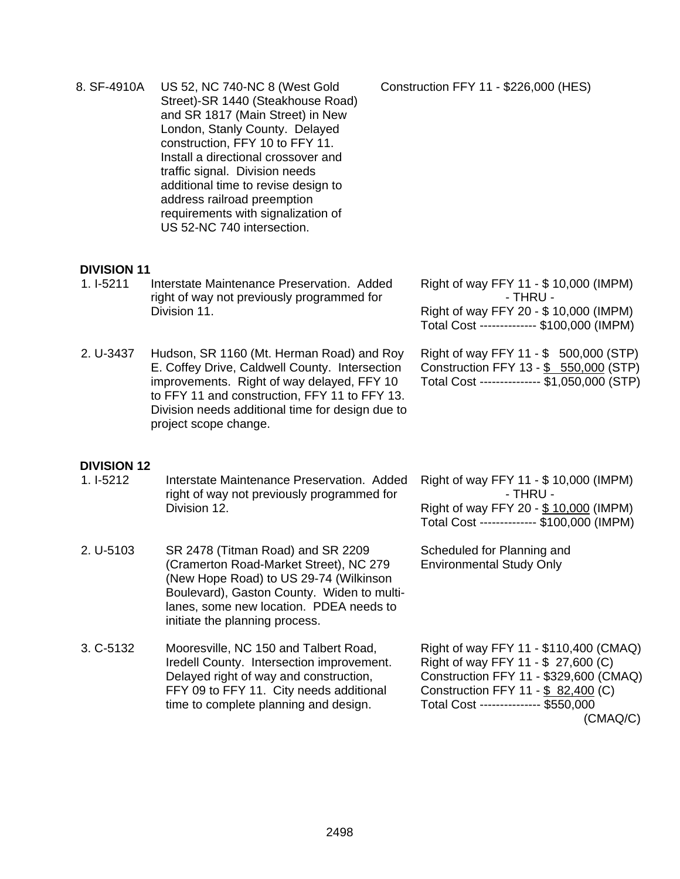8. SF-4910A US 52, NC 740-NC 8 (West Gold Street)-SR 1440 (Steakhouse Road) and SR 1817 (Main Street) in New London, Stanly County. Delayed construction, FFY 10 to FFY 11. Install a directional crossover and traffic signal. Division needs additional time to revise design to address railroad preemption requirements with signalization of US 52-NC 740 intersection. Construction FFY 11 - \$226,000 (HES)

#### **DIVISION 11**

- 1. I-5211 Interstate Maintenance Preservation. Added right of way not previously programmed for Division 11.
- 2. U-3437 Hudson, SR 1160 (Mt. Herman Road) and Roy E. Coffey Drive, Caldwell County. Intersection improvements. Right of way delayed, FFY 10 to FFY 11 and construction, FFY 11 to FFY 13. Division needs additional time for design due to project scope change.

Right of way FFY 11 - \$ 10,000 (IMPM) - THRU - Right of way FFY 20 - \$ 10,000 (IMPM) Total Cost -------------- \$100,000 (IMPM)

Right of way FFY 11 - \$ 500,000 (STP) Construction FFY 13 - \$ 550,000 (STP) Total Cost --------------- \$1,050,000 (STP)

#### **DIVISION 12**

1. I-5212 Interstate Maintenance Preservation. Added right of way not previously programmed for Division 12.

2. U-5103 SR 2478 (Titman Road) and SR 2209 (Cramerton Road-Market Street), NC 279 (New Hope Road) to US 29-74 (Wilkinson Boulevard), Gaston County. Widen to multilanes, some new location. PDEA needs to initiate the planning process.

Right of way FFY 11 - \$ 10,000 (IMPM) - THRU - Right of way FFY 20 - \$ 10,000 (IMPM) Total Cost -------------- \$100,000 (IMPM)

Scheduled for Planning and Environmental Study Only

3. C-5132 Mooresville, NC 150 and Talbert Road, Iredell County. Intersection improvement. Delayed right of way and construction, FFY 09 to FFY 11. City needs additional time to complete planning and design. Right of way FFY 11 - \$110,400 (CMAQ) Right of way FFY 11 - \$ 27,600 (C) Construction FFY 11 - \$329,600 (CMAQ) Construction FFY 11 - \$ 82,400 (C) Total Cost --------------- \$550,000 (CMAQ/C)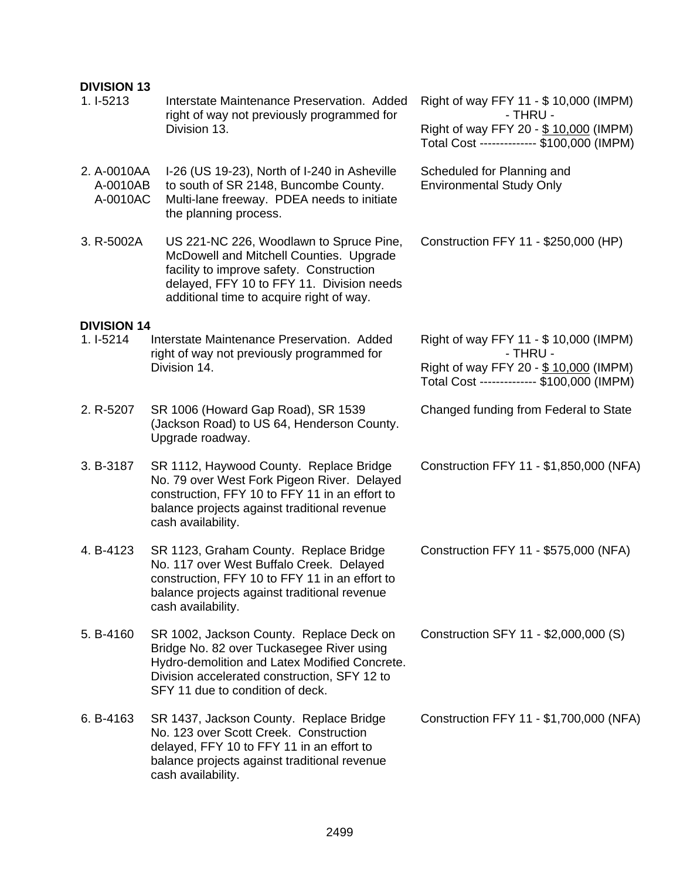#### **DIVISION 13**

| 1. I-5213                           | Interstate Maintenance Preservation. Added<br>right of way not previously programmed for<br>Division 13.                                                                                                                   | Right of way FFY 11 - \$ 10,000 (IMPM)<br>- THRU -<br>Right of way FFY 20 - \$10,000 (IMPM)<br>Total Cost ------------- \$100,000 (IMPM) |  |
|-------------------------------------|----------------------------------------------------------------------------------------------------------------------------------------------------------------------------------------------------------------------------|------------------------------------------------------------------------------------------------------------------------------------------|--|
| 2. A-0010AA<br>A-0010AB<br>A-0010AC | I-26 (US 19-23), North of I-240 in Asheville<br>to south of SR 2148, Buncombe County.<br>Multi-lane freeway. PDEA needs to initiate<br>the planning process.                                                               | Scheduled for Planning and<br><b>Environmental Study Only</b>                                                                            |  |
| 3. R-5002A                          | US 221-NC 226, Woodlawn to Spruce Pine,<br>McDowell and Mitchell Counties. Upgrade<br>facility to improve safety. Construction<br>delayed, FFY 10 to FFY 11. Division needs<br>additional time to acquire right of way.    | Construction FFY 11 - \$250,000 (HP)                                                                                                     |  |
| <b>DIVISION 14</b>                  |                                                                                                                                                                                                                            |                                                                                                                                          |  |
| 1. I-5214                           | Interstate Maintenance Preservation. Added<br>right of way not previously programmed for<br>Division 14.                                                                                                                   | Right of way FFY 11 - \$ 10,000 (IMPM)<br>- THRU -                                                                                       |  |
|                                     |                                                                                                                                                                                                                            | Right of way FFY 20 - \$10,000 (IMPM)<br>Total Cost ------------- \$100,000 (IMPM)                                                       |  |
| 2. R-5207                           | SR 1006 (Howard Gap Road), SR 1539<br>(Jackson Road) to US 64, Henderson County.<br>Upgrade roadway.                                                                                                                       | Changed funding from Federal to State                                                                                                    |  |
| 3. B-3187                           | SR 1112, Haywood County. Replace Bridge<br>No. 79 over West Fork Pigeon River. Delayed<br>construction, FFY 10 to FFY 11 in an effort to<br>balance projects against traditional revenue<br>cash availability.             | Construction FFY 11 - \$1,850,000 (NFA)                                                                                                  |  |
| 4. B-4123                           | SR 1123, Graham County. Replace Bridge<br>No. 117 over West Buffalo Creek. Delayed<br>construction, FFY 10 to FFY 11 in an effort to<br>balance projects against traditional revenue<br>cash availability.                 | Construction FFY 11 - \$575,000 (NFA)                                                                                                    |  |
| 5. B-4160                           | SR 1002, Jackson County. Replace Deck on<br>Bridge No. 82 over Tuckasegee River using<br>Hydro-demolition and Latex Modified Concrete.<br>Division accelerated construction, SFY 12 to<br>SFY 11 due to condition of deck. | Construction SFY 11 - \$2,000,000 (S)                                                                                                    |  |
| 6. B-4163                           | SR 1437, Jackson County. Replace Bridge<br>No. 123 over Scott Creek. Construction<br>delayed, FFY 10 to FFY 11 in an effort to<br>balance projects against traditional revenue<br>cash availability.                       | Construction FFY 11 - \$1,700,000 (NFA)                                                                                                  |  |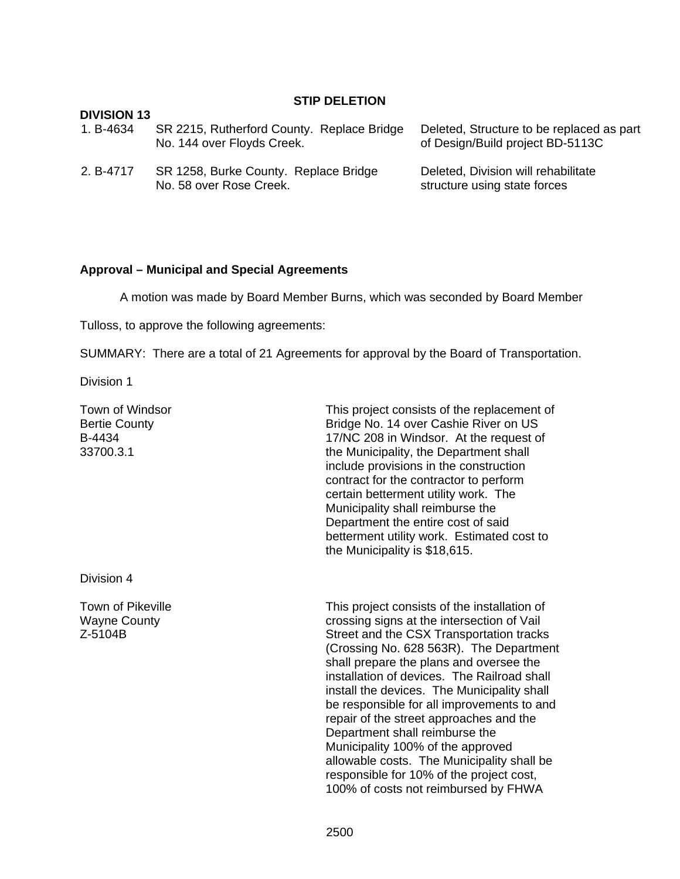#### **STIP DELETION**

| DIVISION 13 | SR 2215, Rutherford County. Replace Bridge                       | Deleted, Structure to be replaced as part                           |
|-------------|------------------------------------------------------------------|---------------------------------------------------------------------|
| 1. B-4634   | No. 144 over Floyds Creek.                                       | of Design/Build project BD-5113C                                    |
| 2. B-4717   | SR 1258, Burke County. Replace Bridge<br>No. 58 over Rose Creek. | Deleted, Division will rehabilitate<br>structure using state forces |

#### **Approval – Municipal and Special Agreements**

A motion was made by Board Member Burns, which was seconded by Board Member

Tulloss, to approve the following agreements:

SUMMARY: There are a total of 21 Agreements for approval by the Board of Transportation.

Division 1

**DIVISION 13** 

Town of Windsor Bertie County B-4434 33700.3.1

Bridge No. 14 over Cashie River on US 17/NC 208 in Windsor. At the request of the Municipality, the Department shall include provisions in the construction contract for the contractor to perform certain betterment utility work. The Municipality shall reimburse the Department the entire cost of said betterment utility work. Estimated cost to the Municipality is \$18,615.

This project consists of the replacement of

Division 4

Town of Pikeville Wayne County Z-5104B

This project consists of the installation of crossing signs at the intersection of Vail Street and the CSX Transportation tracks (Crossing No. 628 563R). The Department shall prepare the plans and oversee the installation of devices. The Railroad shall install the devices. The Municipality shall be responsible for all improvements to and repair of the street approaches and the Department shall reimburse the Municipality 100% of the approved allowable costs. The Municipality shall be responsible for 10% of the project cost, 100% of costs not reimbursed by FHWA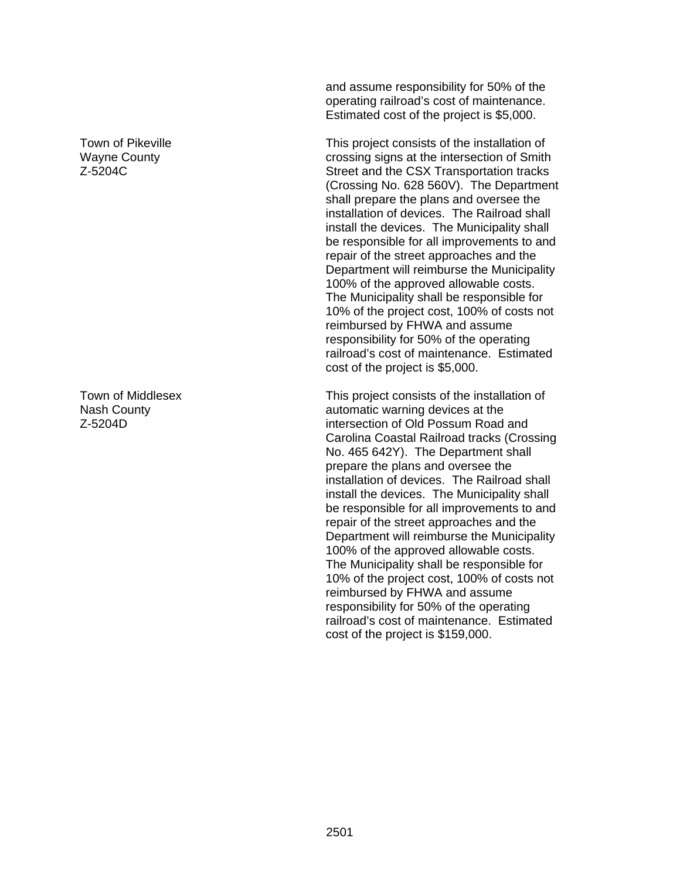Town of Pikeville Wayne County Z-5204C

Town of Middlesex Nash County Z-5204D

and assume responsibility for 50% of the operating railroad's cost of maintenance. Estimated cost of the project is \$5,000.

This project consists of the installation of crossing signs at the intersection of Smith Street and the CSX Transportation tracks (Crossing No. 628 560V). The Department shall prepare the plans and oversee the installation of devices. The Railroad shall install the devices. The Municipality shall be responsible for all improvements to and repair of the street approaches and the Department will reimburse the Municipality 100% of the approved allowable costs. The Municipality shall be responsible for 10% of the project cost, 100% of costs not reimbursed by FHWA and assume responsibility for 50% of the operating railroad's cost of maintenance. Estimated cost of the project is \$5,000.

This project consists of the installation of automatic warning devices at the intersection of Old Possum Road and Carolina Coastal Railroad tracks (Crossing No. 465 642Y). The Department shall prepare the plans and oversee the installation of devices. The Railroad shall install the devices. The Municipality shall be responsible for all improvements to and repair of the street approaches and the Department will reimburse the Municipality 100% of the approved allowable costs. The Municipality shall be responsible for 10% of the project cost, 100% of costs not reimbursed by FHWA and assume responsibility for 50% of the operating railroad's cost of maintenance. Estimated cost of the project is \$159,000.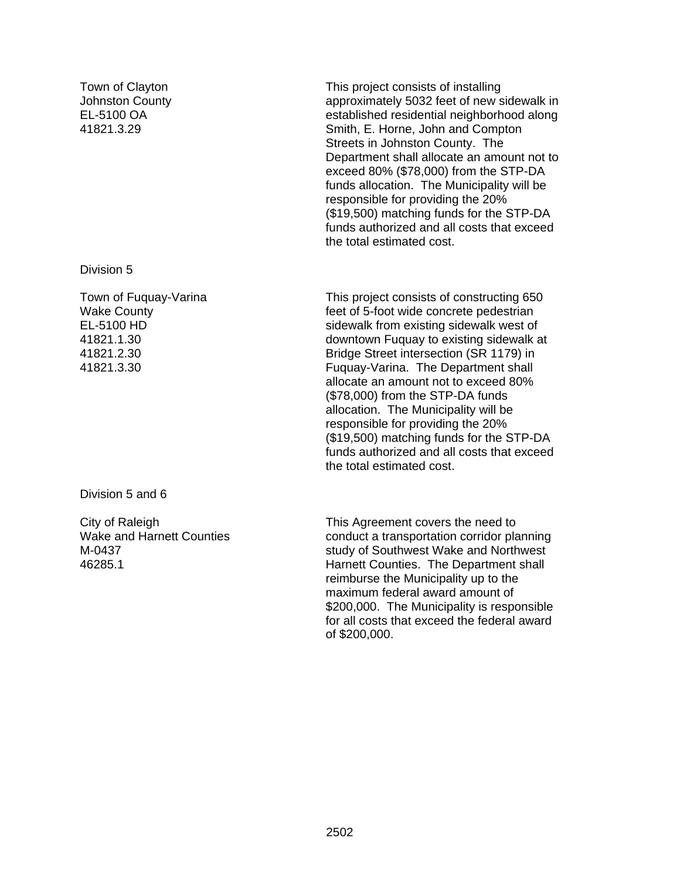Town of Clayton Johnston County EL-5100 OA 41821.3.29

Division 5

Town of Fuquay-Varina Wake County EL-5100 HD 41821.1.30 41821.2.30 41821.3.30

Division 5 and 6

City of Raleigh Wake and Harnett Counties M-0437 46285.1

This project consists of installing approximately 5032 feet of new sidewalk in established residential neighborhood along Smith, E. Horne, John and Compton Streets in Johnston County. The Department shall allocate an amount not to exceed 80% (\$78,000) from the STP-DA funds allocation. The Municipality will be responsible for providing the 20% (\$19,500) matching funds for the STP-DA funds authorized and all costs that exceed the total estimated cost.

This project consists of constructing 650 feet of 5-foot wide concrete pedestrian sidewalk from existing sidewalk west of downtown Fuquay to existing sidewalk at Bridge Street intersection (SR 1179) in Fuquay-Varina. The Department shall allocate an amount not to exceed 80% (\$78,000) from the STP-DA funds allocation. The Municipality will be responsible for providing the 20% (\$19,500) matching funds for the STP-DA funds authorized and all costs that exceed the total estimated cost.

This Agreement covers the need to conduct a transportation corridor planning study of Southwest Wake and Northwest Harnett Counties. The Department shall reimburse the Municipality up to the maximum federal award amount of \$200,000. The Municipality is responsible for all costs that exceed the federal award of \$200,000.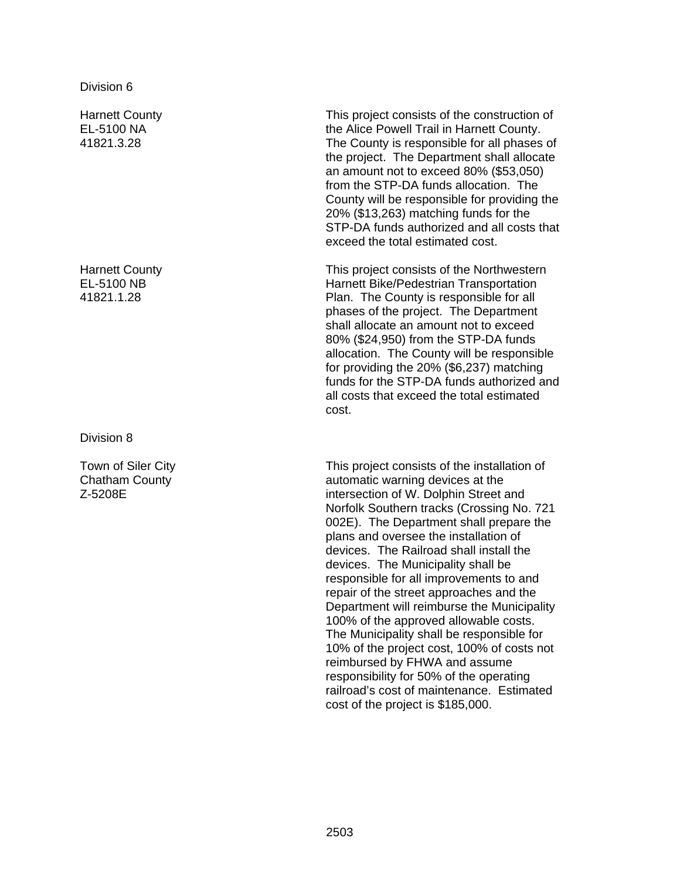Harnett County EL-5100 NA 41821.3.28

Harnett County EL-5100 NB 41821.1.28

Division 8

Town of Siler City Chatham County Z-5208E

This project consists of the construction of the Alice Powell Trail in Harnett County. The County is responsible for all phases of the project. The Department shall allocate an amount not to exceed 80% (\$53,050) from the STP-DA funds allocation. The County will be responsible for providing the 20% (\$13,263) matching funds for the STP-DA funds authorized and all costs that exceed the total estimated cost.

This project consists of the Northwestern Harnett Bike/Pedestrian Transportation Plan. The County is responsible for all phases of the project. The Department shall allocate an amount not to exceed 80% (\$24,950) from the STP-DA funds allocation. The County will be responsible for providing the 20% (\$6,237) matching funds for the STP-DA funds authorized and all costs that exceed the total estimated cost.

This project consists of the installation of automatic warning devices at the intersection of W. Dolphin Street and Norfolk Southern tracks (Crossing No. 721 002E). The Department shall prepare the plans and oversee the installation of devices. The Railroad shall install the devices. The Municipality shall be responsible for all improvements to and repair of the street approaches and the Department will reimburse the Municipality 100% of the approved allowable costs. The Municipality shall be responsible for 10% of the project cost, 100% of costs not reimbursed by FHWA and assume responsibility for 50% of the operating railroad's cost of maintenance. Estimated cost of the project is \$185,000.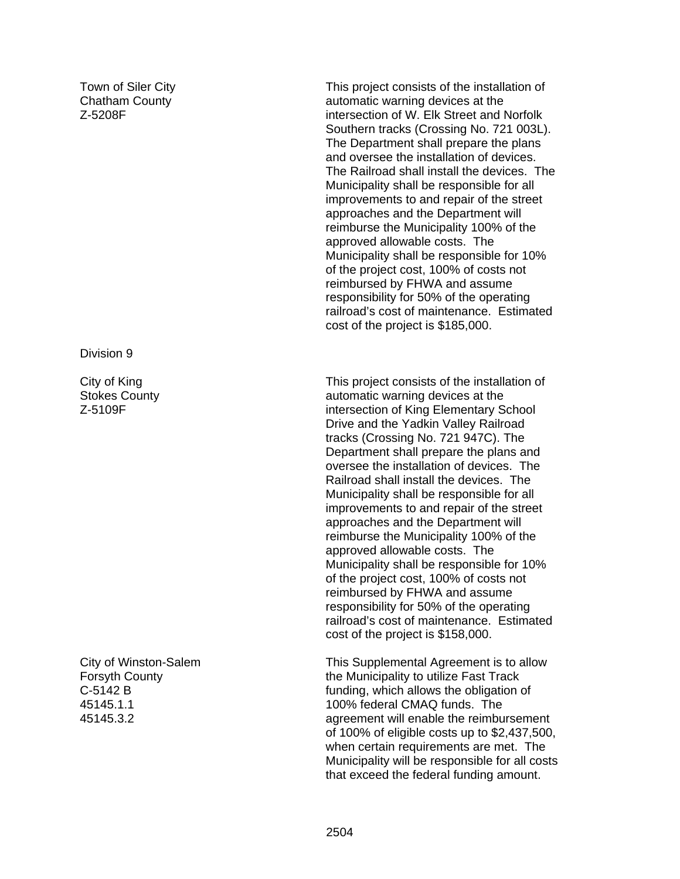Town of Siler City Chatham County Z-5208F

Division 9

City of King Stokes County Z-5109F

City of Winston-Salem Forsyth County C-5142 B 45145.1.1 45145.3.2

This project consists of the installation of automatic warning devices at the intersection of W. Elk Street and Norfolk Southern tracks (Crossing No. 721 003L). The Department shall prepare the plans and oversee the installation of devices. The Railroad shall install the devices. The Municipality shall be responsible for all improvements to and repair of the street approaches and the Department will reimburse the Municipality 100% of the approved allowable costs. The Municipality shall be responsible for 10% of the project cost, 100% of costs not reimbursed by FHWA and assume responsibility for 50% of the operating railroad's cost of maintenance. Estimated cost of the project is \$185,000.

This project consists of the installation of automatic warning devices at the intersection of King Elementary School Drive and the Yadkin Valley Railroad tracks (Crossing No. 721 947C). The Department shall prepare the plans and oversee the installation of devices. The Railroad shall install the devices. The Municipality shall be responsible for all improvements to and repair of the street approaches and the Department will reimburse the Municipality 100% of the approved allowable costs. The Municipality shall be responsible for 10% of the project cost, 100% of costs not reimbursed by FHWA and assume responsibility for 50% of the operating railroad's cost of maintenance. Estimated cost of the project is \$158,000.

This Supplemental Agreement is to allow the Municipality to utilize Fast Track funding, which allows the obligation of 100% federal CMAQ funds. The agreement will enable the reimbursement of 100% of eligible costs up to \$2,437,500, when certain requirements are met. The Municipality will be responsible for all costs that exceed the federal funding amount.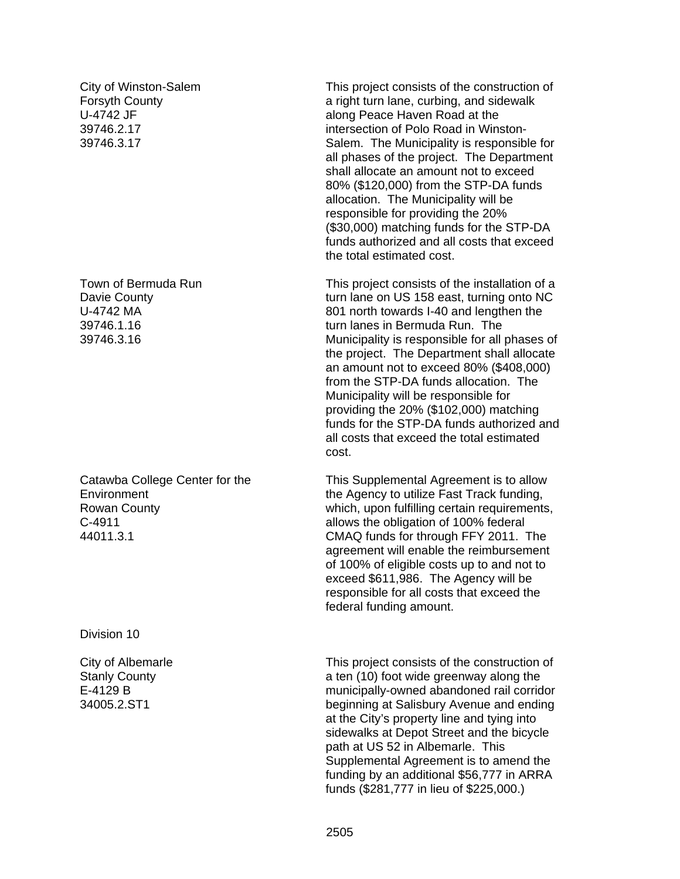City of Winston-Salem Forsyth County U-4742 JF 39746.2.17 39746.3.17

Town of Bermuda Run Davie County U-4742 MA 39746.1.16 39746.3.16

Catawba College Center for the **Environment** Rowan County C-4911 44011.3.1

Division 10

City of Albemarle Stanly County E-4129 B 34005.2.ST1

This project consists of the construction of a right turn lane, curbing, and sidewalk along Peace Haven Road at the intersection of Polo Road in Winston-Salem. The Municipality is responsible for all phases of the project. The Department shall allocate an amount not to exceed 80% (\$120,000) from the STP-DA funds allocation. The Municipality will be responsible for providing the 20% (\$30,000) matching funds for the STP-DA funds authorized and all costs that exceed the total estimated cost.

This project consists of the installation of a turn lane on US 158 east, turning onto NC 801 north towards I-40 and lengthen the turn lanes in Bermuda Run. The Municipality is responsible for all phases of the project. The Department shall allocate an amount not to exceed 80% (\$408,000) from the STP-DA funds allocation. The Municipality will be responsible for providing the 20% (\$102,000) matching funds for the STP-DA funds authorized and all costs that exceed the total estimated cost.

This Supplemental Agreement is to allow the Agency to utilize Fast Track funding, which, upon fulfilling certain requirements, allows the obligation of 100% federal CMAQ funds for through FFY 2011. The agreement will enable the reimbursement of 100% of eligible costs up to and not to exceed \$611,986. The Agency will be responsible for all costs that exceed the federal funding amount.

This project consists of the construction of a ten (10) foot wide greenway along the municipally-owned abandoned rail corridor beginning at Salisbury Avenue and ending at the City's property line and tying into sidewalks at Depot Street and the bicycle path at US 52 in Albemarle. This Supplemental Agreement is to amend the funding by an additional \$56,777 in ARRA funds (\$281,777 in lieu of \$225,000.)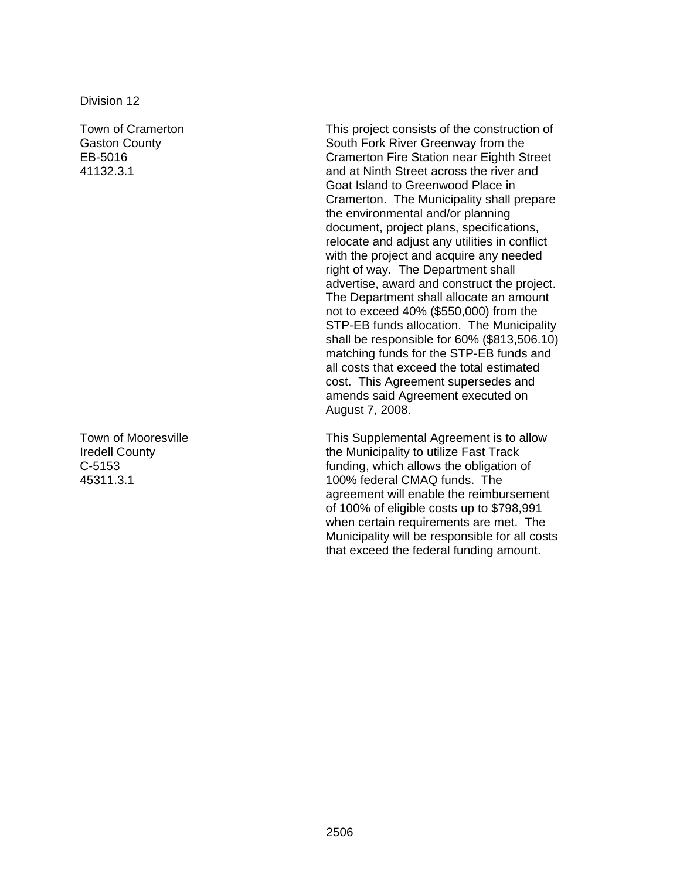Town of Cramerton Gaston County EB-5016 41132.3.1

Town of Mooresville Iredell County C-5153 45311.3.1

This project consists of the construction of South Fork River Greenway from the Cramerton Fire Station near Eighth Street and at Ninth Street across the river and Goat Island to Greenwood Place in Cramerton. The Municipality shall prepare the environmental and/or planning document, project plans, specifications, relocate and adjust any utilities in conflict with the project and acquire any needed right of way. The Department shall advertise, award and construct the project. The Department shall allocate an amount not to exceed 40% (\$550,000) from the STP-EB funds allocation. The Municipality shall be responsible for 60% (\$813,506.10) matching funds for the STP-EB funds and all costs that exceed the total estimated cost. This Agreement supersedes and amends said Agreement executed on August 7, 2008.

This Supplemental Agreement is to allow the Municipality to utilize Fast Track funding, which allows the obligation of 100% federal CMAQ funds. The agreement will enable the reimbursement of 100% of eligible costs up to \$798,991 when certain requirements are met. The Municipality will be responsible for all costs that exceed the federal funding amount.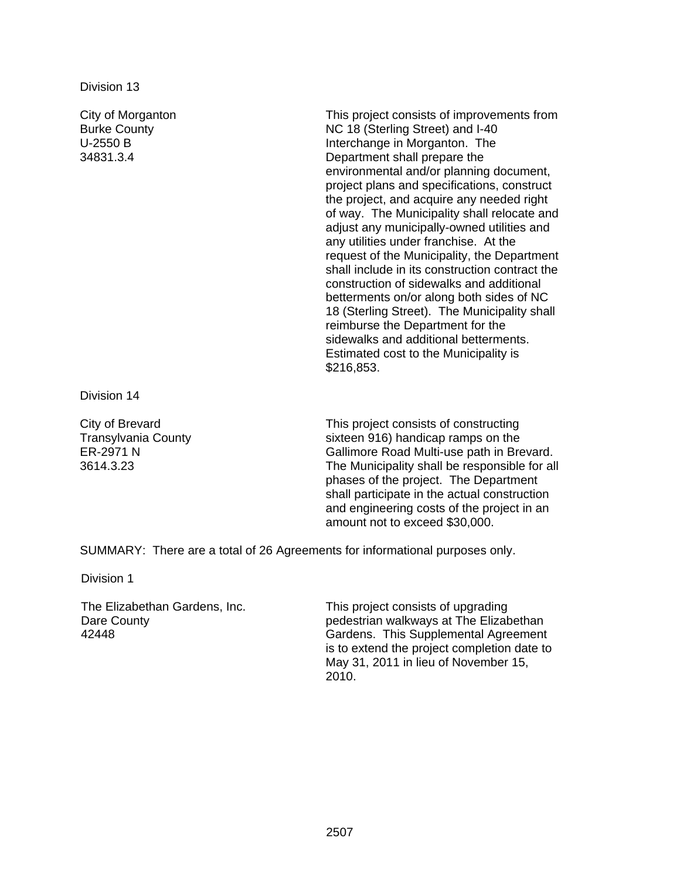City of Morganton Burke County U-2550 B 34831.3.4 This project consists of improvements from NC 18 (Sterling Street) and I-40 Interchange in Morganton. The Department shall prepare the environmental and/or planning document, project plans and specifications, construct the project, and acquire any needed right of way. The Municipality shall relocate and adjust any municipally-owned utilities and any utilities under franchise. At the request of the Municipality, the Department shall include in its construction contract the construction of sidewalks and additional betterments on/or along both sides of NC 18 (Sterling Street). The Municipality shall reimburse the Department for the sidewalks and additional betterments. Estimated cost to the Municipality is \$216,853.

Division 14

City of Brevard Transylvania County ER-2971 N 3614.3.23

This project consists of constructing sixteen 916) handicap ramps on the Gallimore Road Multi-use path in Brevard. The Municipality shall be responsible for all phases of the project. The Department shall participate in the actual construction and engineering costs of the project in an amount not to exceed \$30,000.

SUMMARY: There are a total of 26 Agreements for informational purposes only.

Division 1

The Elizabethan Gardens, Inc. Dare County 42448

This project consists of upgrading pedestrian walkways at The Elizabethan Gardens. This Supplemental Agreement is to extend the project completion date to May 31, 2011 in lieu of November 15, 2010.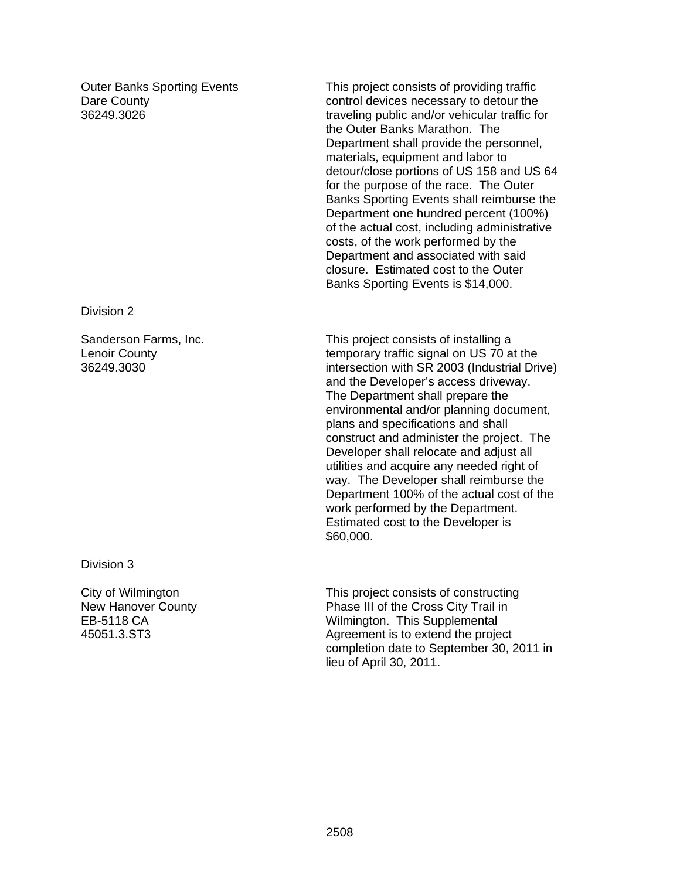Outer Banks Sporting Events Dare County 36249.3026

This project consists of providing traffic control devices necessary to detour the traveling public and/or vehicular traffic for the Outer Banks Marathon. The Department shall provide the personnel, materials, equipment and labor to detour/close portions of US 158 and US 64 for the purpose of the race. The Outer Banks Sporting Events shall reimburse the Department one hundred percent (100%) of the actual cost, including administrative costs, of the work performed by the Department and associated with said closure. Estimated cost to the Outer Banks Sporting Events is \$14,000.

#### Division 2

Sanderson Farms, Inc. Lenoir County 36249.3030

This project consists of installing a temporary traffic signal on US 70 at the intersection with SR 2003 (Industrial Drive) and the Developer's access driveway. The Department shall prepare the environmental and/or planning document, plans and specifications and shall construct and administer the project. The Developer shall relocate and adjust all utilities and acquire any needed right of way. The Developer shall reimburse the Department 100% of the actual cost of the work performed by the Department. Estimated cost to the Developer is \$60,000.

Division 3

City of Wilmington New Hanover County EB-5118 CA 45051.3.ST3

This project consists of constructing Phase III of the Cross City Trail in Wilmington. This Supplemental Agreement is to extend the project completion date to September 30, 2011 in lieu of April 30, 2011.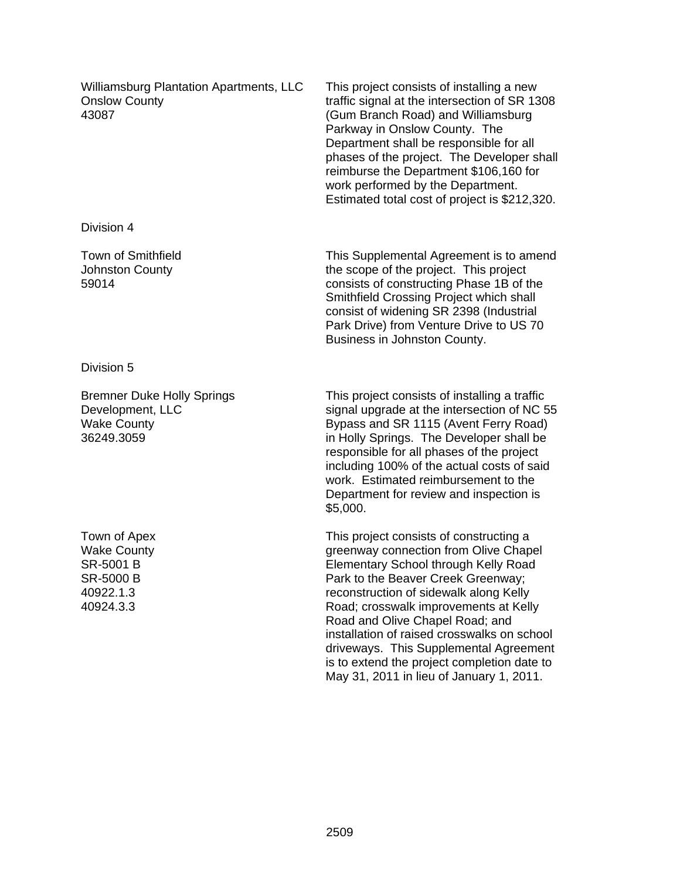Williamsburg Plantation Apartments, LLC Onslow County 43087

This project consists of installing a new traffic signal at the intersection of SR 1308 (Gum Branch Road) and Williamsburg Parkway in Onslow County. The Department shall be responsible for all phases of the project. The Developer shall reimburse the Department \$106,160 for work performed by the Department. Estimated total cost of project is \$212,320.

This Supplemental Agreement is to amend the scope of the project. This project consists of constructing Phase 1B of the Smithfield Crossing Project which shall consist of widening SR 2398 (Industrial Park Drive) from Venture Drive to US 70 Business in Johnston County.

Division 5

Division 4

59014

Town of Smithfield Johnston County

Bremner Duke Holly Springs Development, LLC Wake County 36249.3059

Town of Apex Wake County SR-5001 B SR-5000 B 40922.1.3 40924.3.3

This project consists of installing a traffic signal upgrade at the intersection of NC 55 Bypass and SR 1115 (Avent Ferry Road) in Holly Springs. The Developer shall be responsible for all phases of the project including 100% of the actual costs of said work. Estimated reimbursement to the Department for review and inspection is \$5,000.

This project consists of constructing a greenway connection from Olive Chapel Elementary School through Kelly Road Park to the Beaver Creek Greenway; reconstruction of sidewalk along Kelly Road; crosswalk improvements at Kelly Road and Olive Chapel Road; and installation of raised crosswalks on school driveways. This Supplemental Agreement is to extend the project completion date to May 31, 2011 in lieu of January 1, 2011.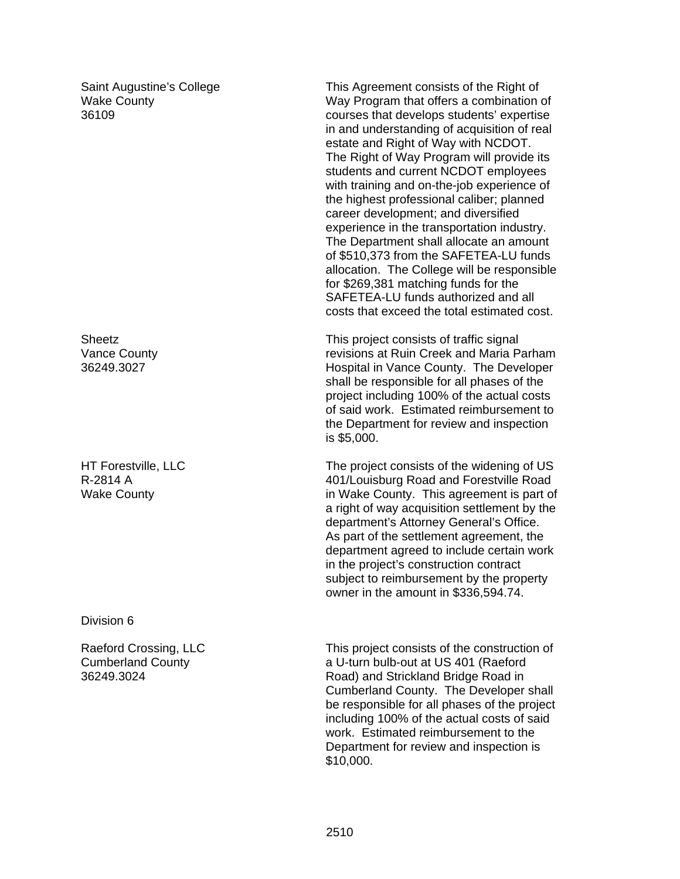Saint Augustine's College Wake County 36109

**Sheetz** Vance County 36249.3027

HT Forestville, LLC R-2814 A Wake County

Division 6

Raeford Crossing, LLC Cumberland County 36249.3024

This Agreement consists of the Right of Way Program that offers a combination of courses that develops students' expertise in and understanding of acquisition of real estate and Right of Way with NCDOT. The Right of Way Program will provide its students and current NCDOT employees with training and on-the-job experience of the highest professional caliber; planned career development; and diversified experience in the transportation industry. The Department shall allocate an amount of \$510,373 from the SAFETEA-LU funds allocation. The College will be responsible for \$269,381 matching funds for the SAFETEA-LU funds authorized and all costs that exceed the total estimated cost.

This project consists of traffic signal revisions at Ruin Creek and Maria Parham Hospital in Vance County. The Developer shall be responsible for all phases of the project including 100% of the actual costs of said work. Estimated reimbursement to the Department for review and inspection is \$5,000.

The project consists of the widening of US 401/Louisburg Road and Forestville Road in Wake County. This agreement is part of a right of way acquisition settlement by the department's Attorney General's Office. As part of the settlement agreement, the department agreed to include certain work in the project's construction contract subject to reimbursement by the property owner in the amount in \$336,594.74.

This project consists of the construction of a U-turn bulb-out at US 401 (Raeford Road) and Strickland Bridge Road in Cumberland County. The Developer shall be responsible for all phases of the project including 100% of the actual costs of said work. Estimated reimbursement to the Department for review and inspection is \$10,000.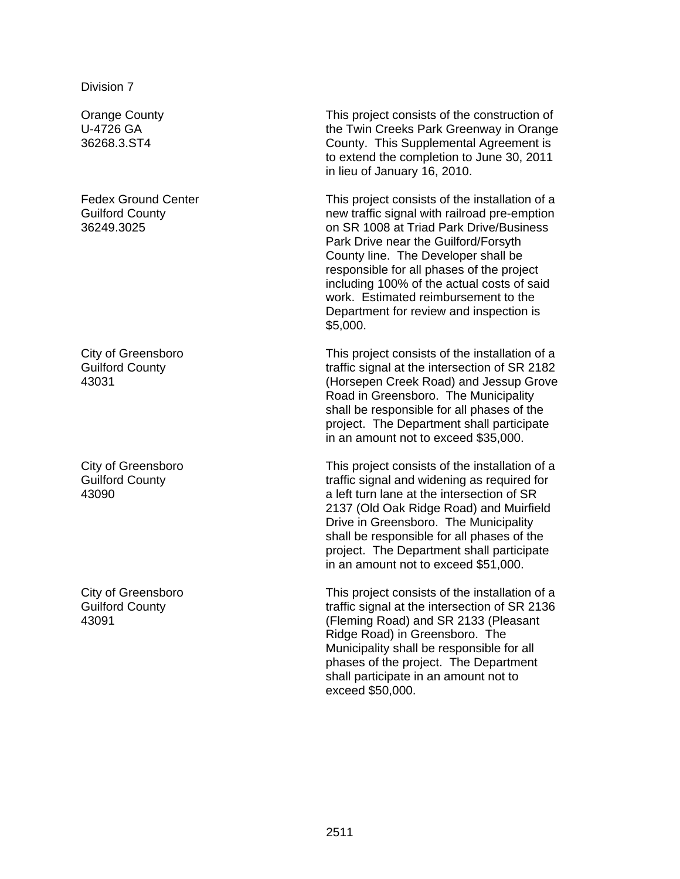Orange County U-4726 GA 36268.3.ST4

Fedex Ground Center Guilford County 36249.3025

City of Greensboro Guilford County 43031

City of Greensboro Guilford County 43090

City of Greensboro Guilford County 43091

This project consists of the construction of the Twin Creeks Park Greenway in Orange County. This Supplemental Agreement is to extend the completion to June 30, 2011 in lieu of January 16, 2010.

This project consists of the installation of a new traffic signal with railroad pre-emption on SR 1008 at Triad Park Drive/Business Park Drive near the Guilford/Forsyth County line. The Developer shall be responsible for all phases of the project including 100% of the actual costs of said work. Estimated reimbursement to the Department for review and inspection is \$5,000.

This project consists of the installation of a traffic signal at the intersection of SR 2182 (Horsepen Creek Road) and Jessup Grove Road in Greensboro. The Municipality shall be responsible for all phases of the project. The Department shall participate in an amount not to exceed \$35,000.

This project consists of the installation of a traffic signal and widening as required for a left turn lane at the intersection of SR 2137 (Old Oak Ridge Road) and Muirfield Drive in Greensboro. The Municipality shall be responsible for all phases of the project. The Department shall participate in an amount not to exceed \$51,000.

This project consists of the installation of a traffic signal at the intersection of SR 2136 (Fleming Road) and SR 2133 (Pleasant Ridge Road) in Greensboro. The Municipality shall be responsible for all phases of the project. The Department shall participate in an amount not to exceed \$50,000.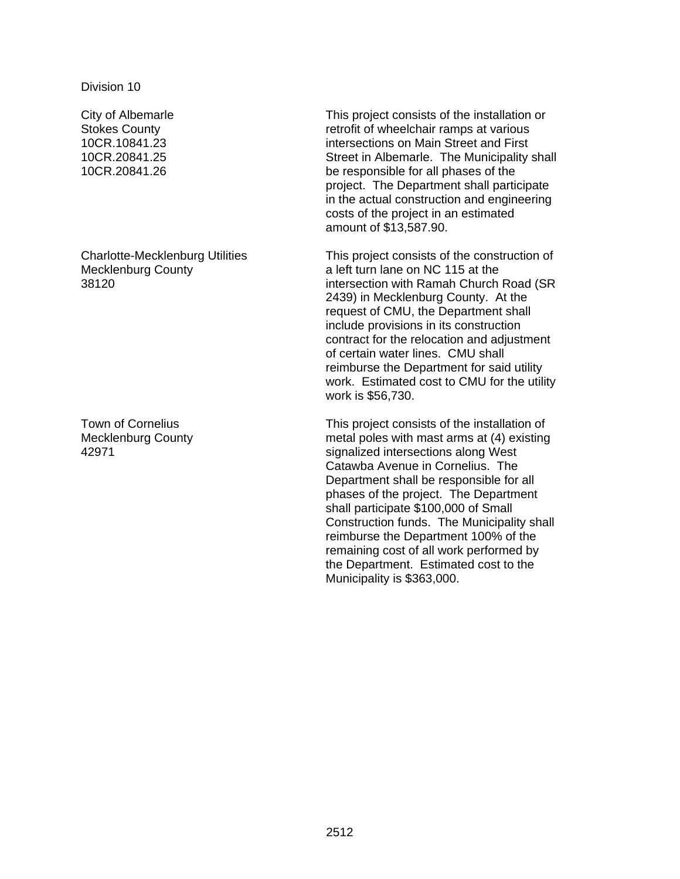City of Albemarle Stokes County 10CR.10841.23 10CR.20841.25 10CR.20841.26

Charlotte-Mecklenburg Utilities Mecklenburg County 38120

Town of Cornelius Mecklenburg County 42971

This project consists of the installation or retrofit of wheelchair ramps at various intersections on Main Street and First Street in Albemarle. The Municipality shall be responsible for all phases of the project. The Department shall participate in the actual construction and engineering costs of the project in an estimated amount of \$13,587.90.

This project consists of the construction of a left turn lane on NC 115 at the intersection with Ramah Church Road (SR 2439) in Mecklenburg County. At the request of CMU, the Department shall include provisions in its construction contract for the relocation and adjustment of certain water lines. CMU shall reimburse the Department for said utility work. Estimated cost to CMU for the utility work is \$56,730.

This project consists of the installation of metal poles with mast arms at (4) existing signalized intersections along West Catawba Avenue in Cornelius. The Department shall be responsible for all phases of the project. The Department shall participate \$100,000 of Small Construction funds. The Municipality shall reimburse the Department 100% of the remaining cost of all work performed by the Department. Estimated cost to the Municipality is \$363,000.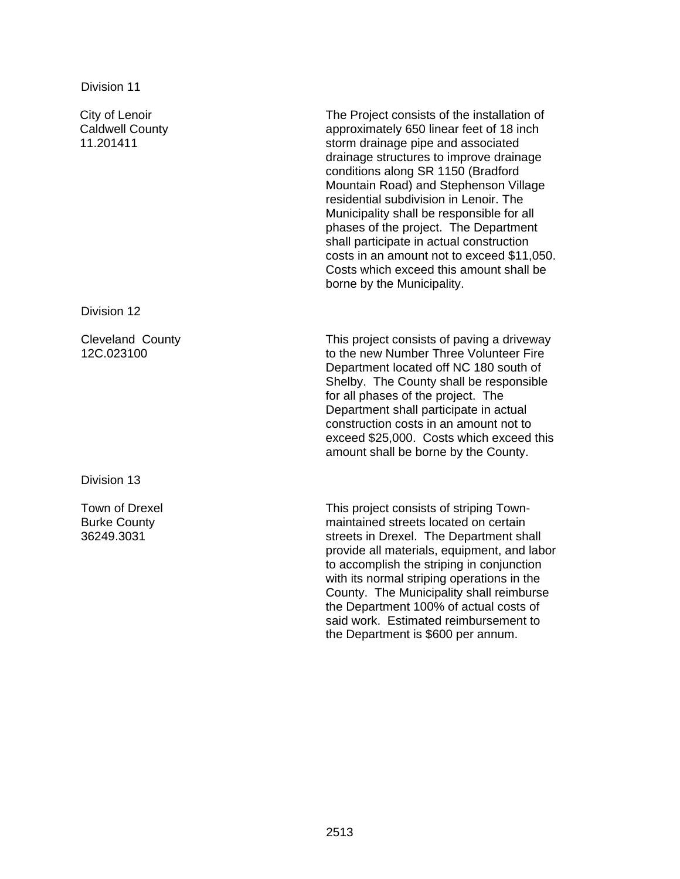City of Lenoir Caldwell County 11.201411

Division 12

Cleveland County 12C.023100

Division 13

Town of Drexel Burke County 36249.3031

The Project consists of the installation of approximately 650 linear feet of 18 inch storm drainage pipe and associated drainage structures to improve drainage conditions along SR 1150 (Bradford Mountain Road) and Stephenson Village residential subdivision in Lenoir. The Municipality shall be responsible for all phases of the project. The Department shall participate in actual construction costs in an amount not to exceed \$11,050. Costs which exceed this amount shall be borne by the Municipality.

This project consists of paving a driveway to the new Number Three Volunteer Fire Department located off NC 180 south of Shelby. The County shall be responsible for all phases of the project. The Department shall participate in actual construction costs in an amount not to exceed \$25,000. Costs which exceed this amount shall be borne by the County.

This project consists of striping Townmaintained streets located on certain streets in Drexel. The Department shall provide all materials, equipment, and labor to accomplish the striping in conjunction with its normal striping operations in the County. The Municipality shall reimburse the Department 100% of actual costs of said work. Estimated reimbursement to the Department is \$600 per annum.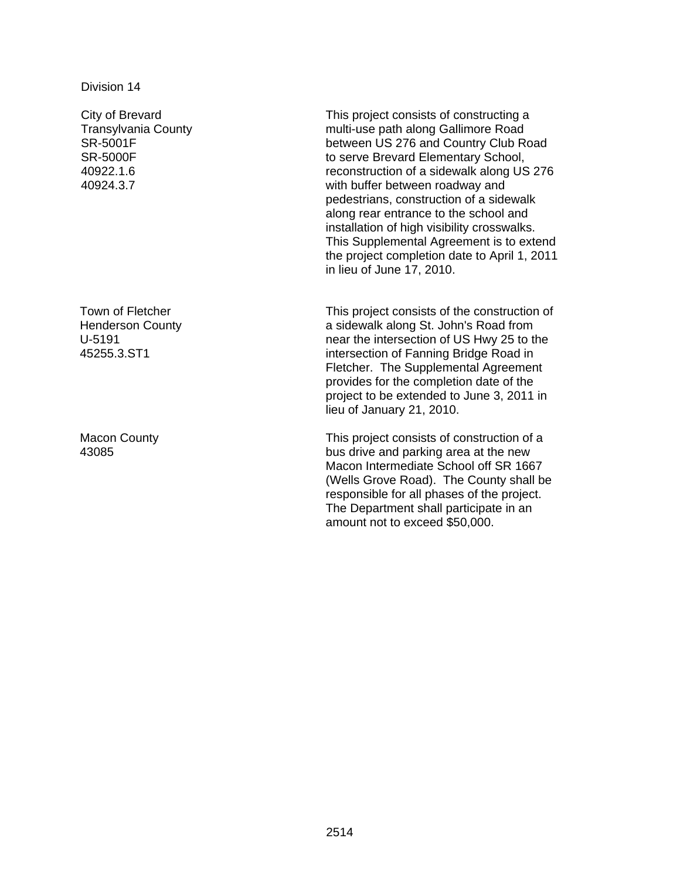City of Brevard Transylvania County SR-5001F SR-5000F 40922.1.6 40924.3.7

Town of Fletcher Henderson County U-5191 45255.3.ST1

Macon County 43085

This project consists of constructing a multi-use path along Gallimore Road between US 276 and Country Club Road to serve Brevard Elementary School, reconstruction of a sidewalk along US 276 with buffer between roadway and pedestrians, construction of a sidewalk along rear entrance to the school and installation of high visibility crosswalks. This Supplemental Agreement is to extend the project completion date to April 1, 2011 in lieu of June 17, 2010.

This project consists of the construction of a sidewalk along St. John's Road from near the intersection of US Hwy 25 to the intersection of Fanning Bridge Road in Fletcher. The Supplemental Agreement provides for the completion date of the project to be extended to June 3, 2011 in lieu of January 21, 2010.

This project consists of construction of a bus drive and parking area at the new Macon Intermediate School off SR 1667 (Wells Grove Road). The County shall be responsible for all phases of the project. The Department shall participate in an amount not to exceed \$50,000.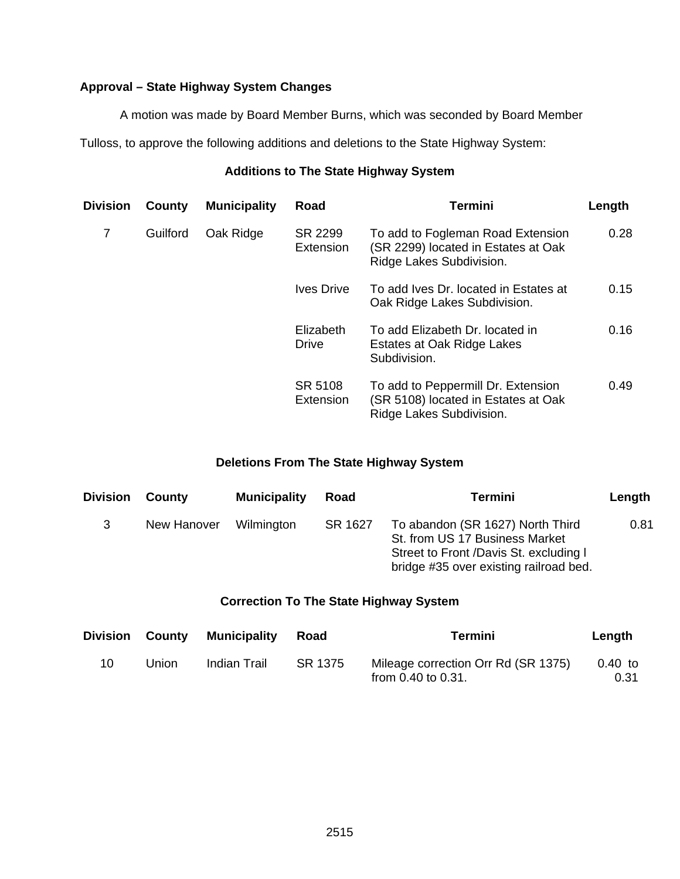# **Approval – State Highway System Changes**

A motion was made by Board Member Burns, which was seconded by Board Member

Tulloss, to approve the following additions and deletions to the State Highway System:

# **Additions to The State Highway System**

| Division | County   | <b>Municipality</b> | Road                      | <b>Termini</b>                                                                                        | Length |
|----------|----------|---------------------|---------------------------|-------------------------------------------------------------------------------------------------------|--------|
| 7        | Guilford | Oak Ridge           | SR 2299<br>Extension      | To add to Fogleman Road Extension<br>(SR 2299) located in Estates at Oak<br>Ridge Lakes Subdivision.  | 0.28   |
|          |          |                     | <b>Ives Drive</b>         | To add Ives Dr. located in Estates at<br>Oak Ridge Lakes Subdivision.                                 | 0.15   |
|          |          |                     | Elizabeth<br><b>Drive</b> | To add Elizabeth Dr. located in<br>Estates at Oak Ridge Lakes<br>Subdivision.                         | 0.16   |
|          |          |                     | SR 5108<br>Extension      | To add to Peppermill Dr. Extension<br>(SR 5108) located in Estates at Oak<br>Ridge Lakes Subdivision. | 0.49   |

# **Deletions From The State Highway System**

| <b>Division County</b> |             | <b>Municipality</b> | Road    | Termini                                                                                                                                                | Length |
|------------------------|-------------|---------------------|---------|--------------------------------------------------------------------------------------------------------------------------------------------------------|--------|
| 3                      | New Hanover | Wilmington          | SR 1627 | To abandon (SR 1627) North Third<br>St. from US 17 Business Market<br>Street to Front /Davis St. excluding I<br>bridge #35 over existing railroad bed. | 0.81   |

# **Correction To The State Highway System**

| <b>Division</b> | County | <b>Municipality</b> | Road    | Termini                                                        | Length            |
|-----------------|--------|---------------------|---------|----------------------------------------------------------------|-------------------|
| 10              | Union  | Indian Trail        | SR 1375 | Mileage correction Orr Rd (SR 1375)<br>from $0.40$ to $0.31$ . | $0.40$ to<br>0.31 |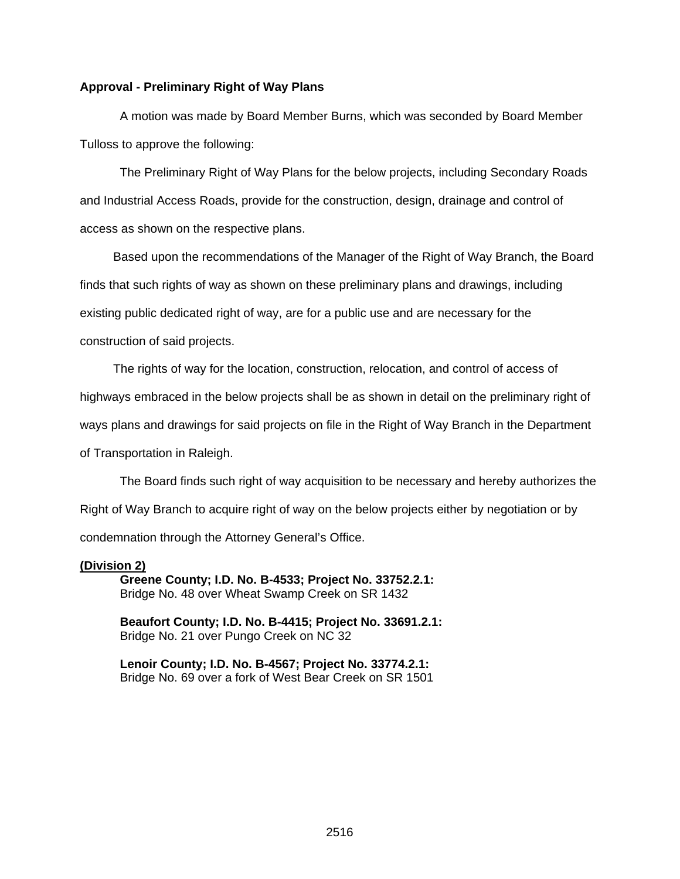#### **Approval - Preliminary Right of Way Plans**

 A motion was made by Board Member Burns, which was seconded by Board Member Tulloss to approve the following:

 The Preliminary Right of Way Plans for the below projects, including Secondary Roads and Industrial Access Roads, provide for the construction, design, drainage and control of access as shown on the respective plans.

 Based upon the recommendations of the Manager of the Right of Way Branch, the Board finds that such rights of way as shown on these preliminary plans and drawings, including existing public dedicated right of way, are for a public use and are necessary for the construction of said projects.

The rights of way for the location, construction, relocation, and control of access of

highways embraced in the below projects shall be as shown in detail on the preliminary right of

ways plans and drawings for said projects on file in the Right of Way Branch in the Department

of Transportation in Raleigh.

The Board finds such right of way acquisition to be necessary and hereby authorizes the Right of Way Branch to acquire right of way on the below projects either by negotiation or by condemnation through the Attorney General's Office.

#### **(Division 2)**

 **Greene County; I.D. No. B-4533; Project No. 33752.2.1:**  Bridge No. 48 over Wheat Swamp Creek on SR 1432

**Beaufort County; I.D. No. B-4415; Project No. 33691.2.1:**  Bridge No. 21 over Pungo Creek on NC 32

**Lenoir County; I.D. No. B-4567; Project No. 33774.2.1:**  Bridge No. 69 over a fork of West Bear Creek on SR 1501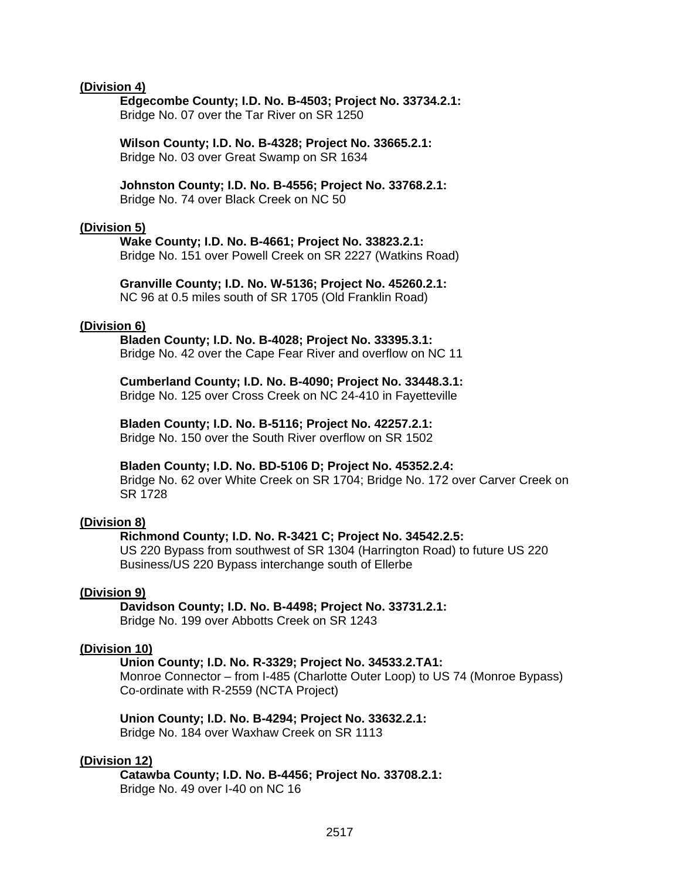#### **(Division 4)**

 **Edgecombe County; I.D. No. B-4503; Project No. 33734.2.1:**  Bridge No. 07 over the Tar River on SR 1250

**Wilson County; I.D. No. B-4328; Project No. 33665.2.1:**  Bridge No. 03 over Great Swamp on SR 1634

**Johnston County; I.D. No. B-4556; Project No. 33768.2.1:**  Bridge No. 74 over Black Creek on NC 50

#### **(Division 5)**

 **Wake County; I.D. No. B-4661; Project No. 33823.2.1:**  Bridge No. 151 over Powell Creek on SR 2227 (Watkins Road)

**Granville County; I.D. No. W-5136; Project No. 45260.2.1:**  NC 96 at 0.5 miles south of SR 1705 (Old Franklin Road)

#### **(Division 6)**

 **Bladen County; I.D. No. B-4028; Project No. 33395.3.1:**  Bridge No. 42 over the Cape Fear River and overflow on NC 11

**Cumberland County; I.D. No. B-4090; Project No. 33448.3.1:**  Bridge No. 125 over Cross Creek on NC 24-410 in Fayetteville

**Bladen County; I.D. No. B-5116; Project No. 42257.2.1:**  Bridge No. 150 over the South River overflow on SR 1502

#### **Bladen County; I.D. No. BD-5106 D; Project No. 45352.2.4:**

Bridge No. 62 over White Creek on SR 1704; Bridge No. 172 over Carver Creek on SR 1728

#### **(Division 8)**

#### **Richmond County; I.D. No. R-3421 C; Project No. 34542.2.5:**

US 220 Bypass from southwest of SR 1304 (Harrington Road) to future US 220 Business/US 220 Bypass interchange south of Ellerbe

#### **(Division 9)**

 **Davidson County; I.D. No. B-4498; Project No. 33731.2.1:**  Bridge No. 199 over Abbotts Creek on SR 1243

#### **(Division 10)**

 **Union County; I.D. No. R-3329; Project No. 34533.2.TA1:**  Monroe Connector – from I-485 (Charlotte Outer Loop) to US 74 (Monroe Bypass) Co-ordinate with R-2559 (NCTA Project)

 **Union County; I.D. No. B-4294; Project No. 33632.2.1:**  Bridge No. 184 over Waxhaw Creek on SR 1113

#### **(Division 12)**

 **Catawba County; I.D. No. B-4456; Project No. 33708.2.1:**  Bridge No. 49 over I-40 on NC 16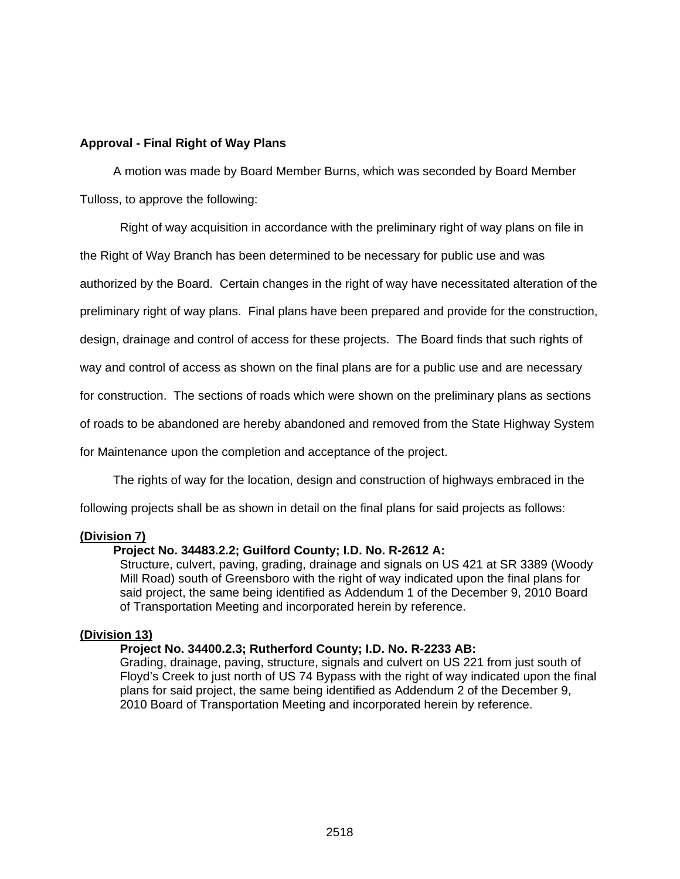### **Approval - Final Right of Way Plans**

A motion was made by Board Member Burns, which was seconded by Board Member Tulloss, to approve the following:

Right of way acquisition in accordance with the preliminary right of way plans on file in

the Right of Way Branch has been determined to be necessary for public use and was

authorized by the Board. Certain changes in the right of way have necessitated alteration of the

preliminary right of way plans. Final plans have been prepared and provide for the construction,

design, drainage and control of access for these projects. The Board finds that such rights of

way and control of access as shown on the final plans are for a public use and are necessary

for construction. The sections of roads which were shown on the preliminary plans as sections

of roads to be abandoned are hereby abandoned and removed from the State Highway System

for Maintenance upon the completion and acceptance of the project.

The rights of way for the location, design and construction of highways embraced in the

following projects shall be as shown in detail on the final plans for said projects as follows:

### **(Division 7)**

## **Project No. 34483.2.2; Guilford County; I.D. No. R-2612 A:**

Structure, culvert, paving, grading, drainage and signals on US 421 at SR 3389 (Woody Mill Road) south of Greensboro with the right of way indicated upon the final plans for said project, the same being identified as Addendum 1 of the December 9, 2010 Board of Transportation Meeting and incorporated herein by reference.

### **(Division 13)**

## **Project No. 34400.2.3; Rutherford County; I.D. No. R-2233 AB:**

Grading, drainage, paving, structure, signals and culvert on US 221 from just south of Floyd's Creek to just north of US 74 Bypass with the right of way indicated upon the final plans for said project, the same being identified as Addendum 2 of the December 9, 2010 Board of Transportation Meeting and incorporated herein by reference.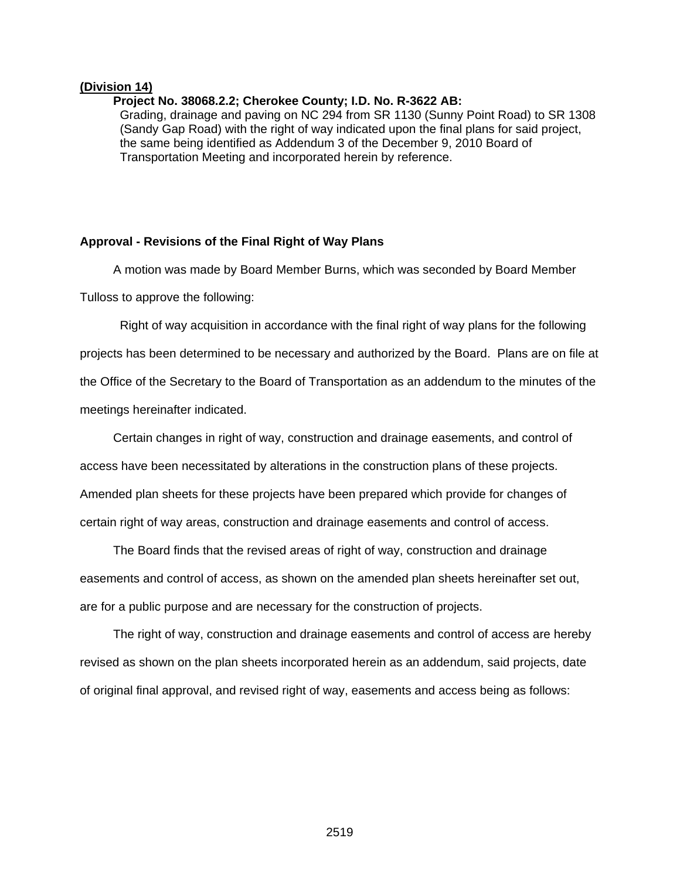#### **(Division 14)**

#### **Project No. 38068.2.2; Cherokee County; I.D. No. R-3622 AB:**

Grading, drainage and paving on NC 294 from SR 1130 (Sunny Point Road) to SR 1308 (Sandy Gap Road) with the right of way indicated upon the final plans for said project, the same being identified as Addendum 3 of the December 9, 2010 Board of Transportation Meeting and incorporated herein by reference.

#### **Approval - Revisions of the Final Right of Way Plans**

A motion was made by Board Member Burns, which was seconded by Board Member Tulloss to approve the following:

Right of way acquisition in accordance with the final right of way plans for the following projects has been determined to be necessary and authorized by the Board. Plans are on file at the Office of the Secretary to the Board of Transportation as an addendum to the minutes of the meetings hereinafter indicated.

 Certain changes in right of way, construction and drainage easements, and control of access have been necessitated by alterations in the construction plans of these projects. Amended plan sheets for these projects have been prepared which provide for changes of certain right of way areas, construction and drainage easements and control of access.

 The Board finds that the revised areas of right of way, construction and drainage easements and control of access, as shown on the amended plan sheets hereinafter set out, are for a public purpose and are necessary for the construction of projects.

 The right of way, construction and drainage easements and control of access are hereby revised as shown on the plan sheets incorporated herein as an addendum, said projects, date of original final approval, and revised right of way, easements and access being as follows: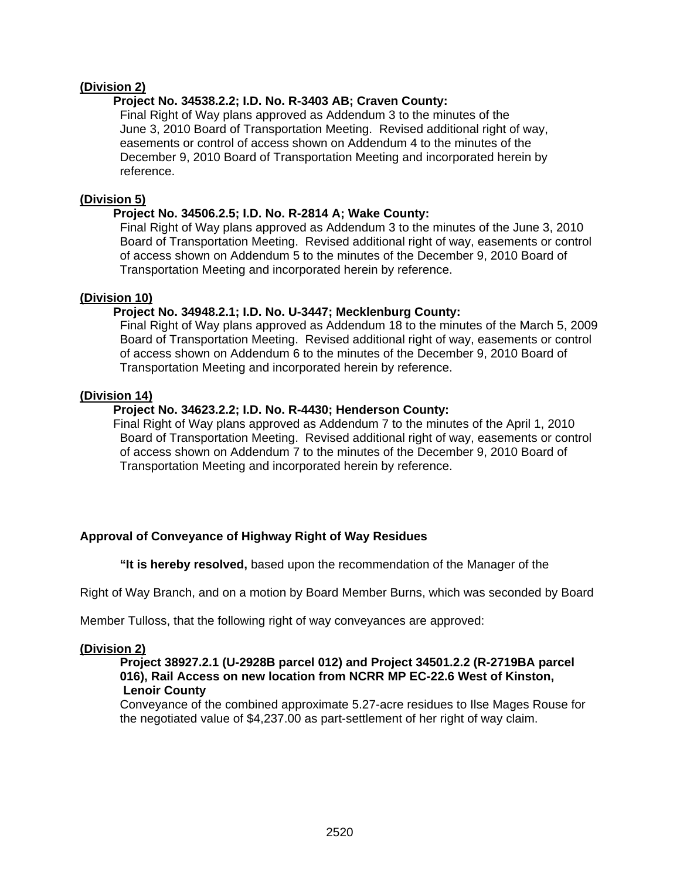## **(Division 2)**

## **Project No. 34538.2.2; I.D. No. R-3403 AB; Craven County:**

Final Right of Way plans approved as Addendum 3 to the minutes of the June 3, 2010 Board of Transportation Meeting. Revised additional right of way, easements or control of access shown on Addendum 4 to the minutes of the December 9, 2010 Board of Transportation Meeting and incorporated herein by reference.

### **(Division 5)**

### **Project No. 34506.2.5; I.D. No. R-2814 A; Wake County:**

Final Right of Way plans approved as Addendum 3 to the minutes of the June 3, 2010 Board of Transportation Meeting. Revised additional right of way, easements or control of access shown on Addendum 5 to the minutes of the December 9, 2010 Board of Transportation Meeting and incorporated herein by reference.

### **(Division 10)**

## **Project No. 34948.2.1; I.D. No. U-3447; Mecklenburg County:**

Final Right of Way plans approved as Addendum 18 to the minutes of the March 5, 2009 Board of Transportation Meeting. Revised additional right of way, easements or control of access shown on Addendum 6 to the minutes of the December 9, 2010 Board of Transportation Meeting and incorporated herein by reference.

### **(Division 14)**

### **Project No. 34623.2.2; I.D. No. R-4430; Henderson County:**

Final Right of Way plans approved as Addendum 7 to the minutes of the April 1, 2010 Board of Transportation Meeting. Revised additional right of way, easements or control of access shown on Addendum 7 to the minutes of the December 9, 2010 Board of Transportation Meeting and incorporated herein by reference.

## **Approval of Conveyance of Highway Right of Way Residues**

 **"It is hereby resolved,** based upon the recommendation of the Manager of the

Right of Way Branch, and on a motion by Board Member Burns, which was seconded by Board

Member Tulloss, that the following right of way conveyances are approved:

## **(Division 2)**

### **Project 38927.2.1 (U-2928B parcel 012) and Project 34501.2.2 (R-2719BA parcel 016), Rail Access on new location from NCRR MP EC-22.6 West of Kinston, Lenoir County**

Conveyance of the combined approximate 5.27-acre residues to Ilse Mages Rouse for the negotiated value of \$4,237.00 as part-settlement of her right of way claim.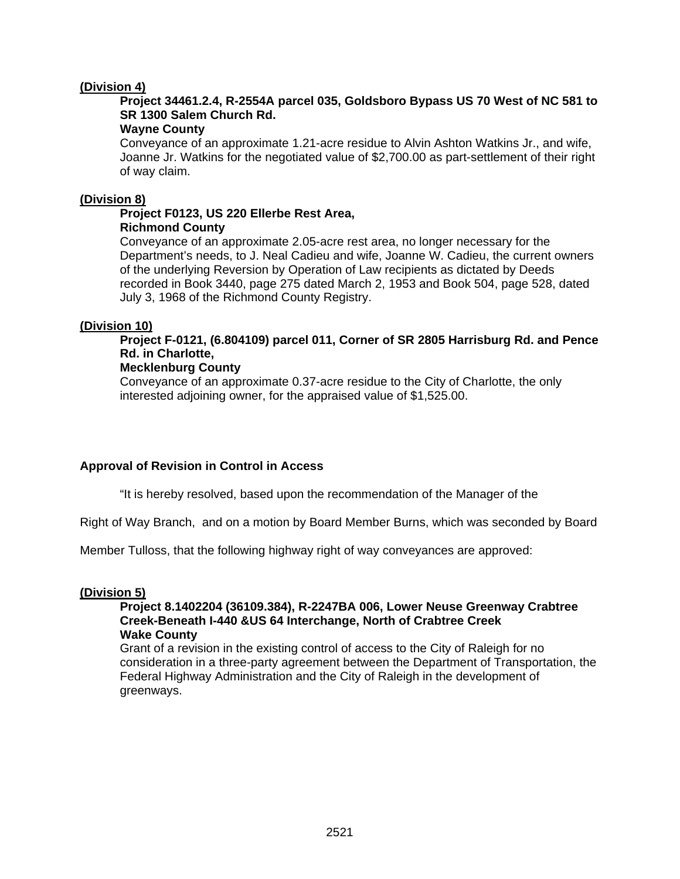### **(Division 4)**

# **Project 34461.2.4, R-2554A parcel 035, Goldsboro Bypass US 70 West of NC 581 to SR 1300 Salem Church Rd.**

## **Wayne County**

Conveyance of an approximate 1.21-acre residue to Alvin Ashton Watkins Jr., and wife, Joanne Jr. Watkins for the negotiated value of \$2,700.00 as part-settlement of their right of way claim.

### **(Division 8)**

### **Project F0123, US 220 Ellerbe Rest Area, Richmond County**

Conveyance of an approximate 2.05-acre rest area, no longer necessary for the Department's needs, to J. Neal Cadieu and wife, Joanne W. Cadieu, the current owners of the underlying Reversion by Operation of Law recipients as dictated by Deeds recorded in Book 3440, page 275 dated March 2, 1953 and Book 504, page 528, dated July 3, 1968 of the Richmond County Registry.

### **(Division 10)**

 **Project F-0121, (6.804109) parcel 011, Corner of SR 2805 Harrisburg Rd. and Pence Rd. in Charlotte,** 

### **Mecklenburg County**

Conveyance of an approximate 0.37-acre residue to the City of Charlotte, the only interested adjoining owner, for the appraised value of \$1,525.00.

### **Approval of Revision in Control in Access**

"It is hereby resolved, based upon the recommendation of the Manager of the

Right of Way Branch, and on a motion by Board Member Burns, which was seconded by Board

Member Tulloss, that the following highway right of way conveyances are approved:

### **(Division 5)**

#### **Project 8.1402204 (36109.384), R-2247BA 006, Lower Neuse Greenway Crabtree Creek-Beneath I-440 &US 64 Interchange, North of Crabtree Creek Wake County**

Grant of a revision in the existing control of access to the City of Raleigh for no consideration in a three-party agreement between the Department of Transportation, the Federal Highway Administration and the City of Raleigh in the development of greenways.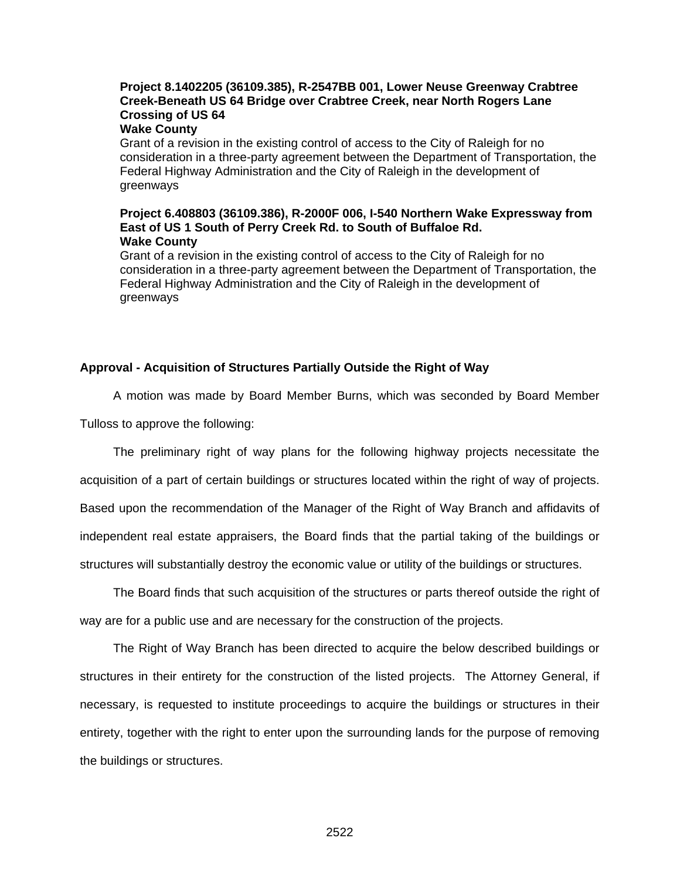# **Project 8.1402205 (36109.385), R-2547BB 001, Lower Neuse Greenway Crabtree Creek-Beneath US 64 Bridge over Crabtree Creek, near North Rogers Lane Crossing of US 64**

# **Wake County**

Grant of a revision in the existing control of access to the City of Raleigh for no consideration in a three-party agreement between the Department of Transportation, the Federal Highway Administration and the City of Raleigh in the development of greenways

#### **Project 6.408803 (36109.386), R-2000F 006, I-540 Northern Wake Expressway from East of US 1 South of Perry Creek Rd. to South of Buffaloe Rd. Wake County**

Grant of a revision in the existing control of access to the City of Raleigh for no consideration in a three-party agreement between the Department of Transportation, the Federal Highway Administration and the City of Raleigh in the development of greenways

#### **Approval - Acquisition of Structures Partially Outside the Right of Way**

A motion was made by Board Member Burns, which was seconded by Board Member

Tulloss to approve the following:

 The preliminary right of way plans for the following highway projects necessitate the acquisition of a part of certain buildings or structures located within the right of way of projects. Based upon the recommendation of the Manager of the Right of Way Branch and affidavits of independent real estate appraisers, the Board finds that the partial taking of the buildings or structures will substantially destroy the economic value or utility of the buildings or structures.

 The Board finds that such acquisition of the structures or parts thereof outside the right of way are for a public use and are necessary for the construction of the projects.

 The Right of Way Branch has been directed to acquire the below described buildings or structures in their entirety for the construction of the listed projects. The Attorney General, if necessary, is requested to institute proceedings to acquire the buildings or structures in their entirety, together with the right to enter upon the surrounding lands for the purpose of removing the buildings or structures.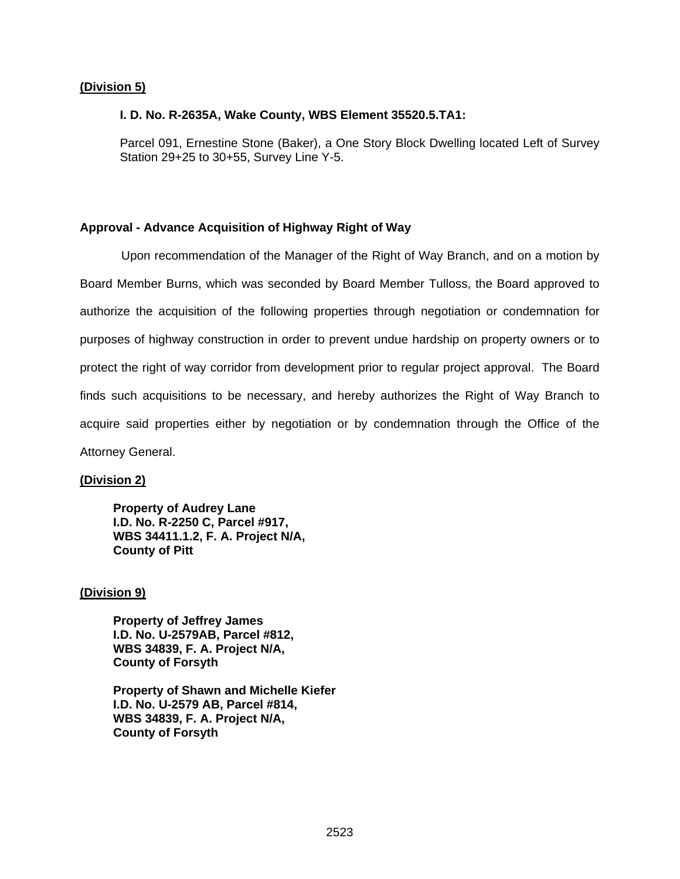### **(Division 5)**

#### **I. D. No. R-2635A, Wake County, WBS Element 35520.5.TA1:**

Parcel 091, Ernestine Stone (Baker), a One Story Block Dwelling located Left of Survey Station 29+25 to 30+55, Survey Line Y-5.

### **Approval - Advance Acquisition of Highway Right of Way**

 Upon recommendation of the Manager of the Right of Way Branch, and on a motion by Board Member Burns, which was seconded by Board Member Tulloss, the Board approved to authorize the acquisition of the following properties through negotiation or condemnation for purposes of highway construction in order to prevent undue hardship on property owners or to protect the right of way corridor from development prior to regular project approval. The Board finds such acquisitions to be necessary, and hereby authorizes the Right of Way Branch to acquire said properties either by negotiation or by condemnation through the Office of the Attorney General.

### **(Division 2)**

**Property of Audrey Lane I.D. No. R-2250 C, Parcel #917, WBS 34411.1.2, F. A. Project N/A, County of Pitt** 

### **(Division 9)**

**Property of Jeffrey James I.D. No. U-2579AB, Parcel #812, WBS 34839, F. A. Project N/A, County of Forsyth** 

**Property of Shawn and Michelle Kiefer I.D. No. U-2579 AB, Parcel #814, WBS 34839, F. A. Project N/A, County of Forsyth**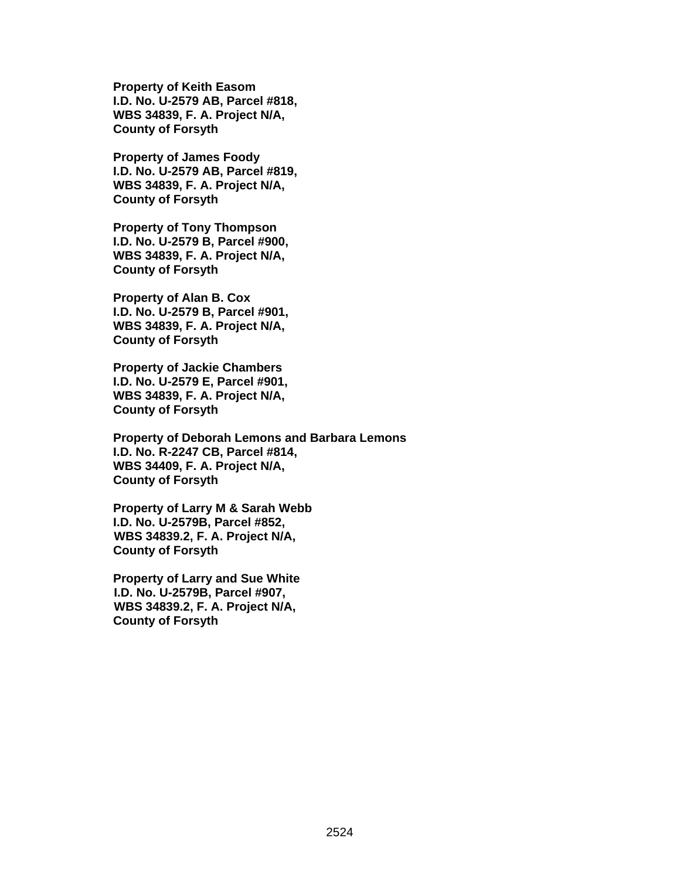**Property of Keith Easom I.D. No. U-2579 AB, Parcel #818, WBS 34839, F. A. Project N/A, County of Forsyth** 

**Property of James Foody I.D. No. U-2579 AB, Parcel #819, WBS 34839, F. A. Project N/A, County of Forsyth** 

**Property of Tony Thompson I.D. No. U-2579 B, Parcel #900, WBS 34839, F. A. Project N/A, County of Forsyth** 

**Property of Alan B. Cox I.D. No. U-2579 B, Parcel #901, WBS 34839, F. A. Project N/A, County of Forsyth** 

**Property of Jackie Chambers I.D. No. U-2579 E, Parcel #901, WBS 34839, F. A. Project N/A, County of Forsyth** 

**Property of Deborah Lemons and Barbara Lemons I.D. No. R-2247 CB, Parcel #814, WBS 34409, F. A. Project N/A, County of Forsyth** 

 **Property of Larry M & Sarah Webb I.D. No. U-2579B, Parcel #852, WBS 34839.2, F. A. Project N/A, County of Forsyth** 

 **Property of Larry and Sue White I.D. No. U-2579B, Parcel #907, WBS 34839.2, F. A. Project N/A, County of Forsyth**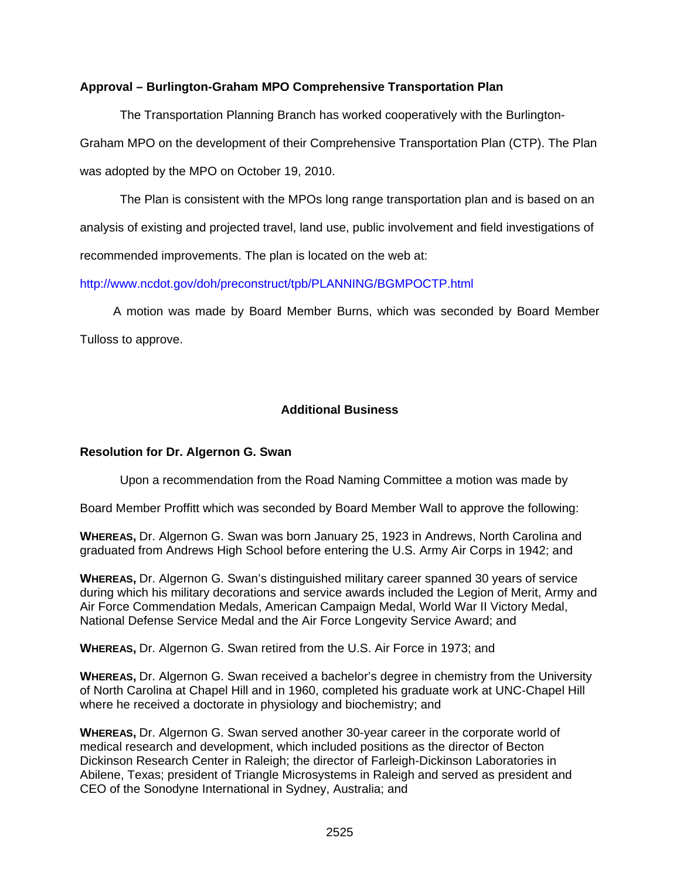## **Approval – Burlington-Graham MPO Comprehensive Transportation Plan**

The Transportation Planning Branch has worked cooperatively with the Burlington-Graham MPO on the development of their Comprehensive Transportation Plan (CTP). The Plan was adopted by the MPO on October 19, 2010.

The Plan is consistent with the MPOs long range transportation plan and is based on an analysis of existing and projected travel, land use, public involvement and field investigations of recommended improvements. The plan is located on the web at:

http://www.ncdot.gov/doh/preconstruct/tpb/PLANNING/BGMPOCTP.html

 A motion was made by Board Member Burns, which was seconded by Board Member Tulloss to approve.

### **Additional Business**

## **Resolution for Dr. Algernon G. Swan**

Upon a recommendation from the Road Naming Committee a motion was made by

Board Member Proffitt which was seconded by Board Member Wall to approve the following:

**WHEREAS,** Dr. Algernon G. Swan was born January 25, 1923 in Andrews, North Carolina and graduated from Andrews High School before entering the U.S. Army Air Corps in 1942; and

**WHEREAS,** Dr. Algernon G. Swan's distinguished military career spanned 30 years of service during which his military decorations and service awards included the Legion of Merit, Army and Air Force Commendation Medals, American Campaign Medal, World War II Victory Medal, National Defense Service Medal and the Air Force Longevity Service Award; and

**WHEREAS,** Dr. Algernon G. Swan retired from the U.S. Air Force in 1973; and

**WHEREAS,** Dr. Algernon G. Swan received a bachelor's degree in chemistry from the University of North Carolina at Chapel Hill and in 1960, completed his graduate work at UNC-Chapel Hill where he received a doctorate in physiology and biochemistry; and

**WHEREAS,** Dr. Algernon G. Swan served another 30-year career in the corporate world of medical research and development, which included positions as the director of Becton Dickinson Research Center in Raleigh; the director of Farleigh-Dickinson Laboratories in Abilene, Texas; president of Triangle Microsystems in Raleigh and served as president and CEO of the Sonodyne International in Sydney, Australia; and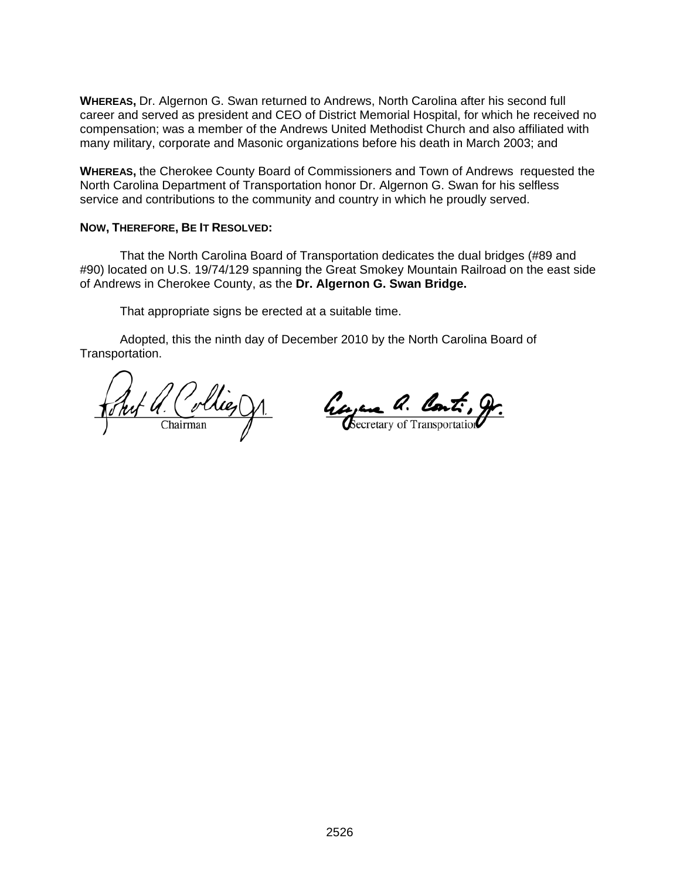**WHEREAS,** Dr. Algernon G. Swan returned to Andrews, North Carolina after his second full career and served as president and CEO of District Memorial Hospital, for which he received no compensation; was a member of the Andrews United Methodist Church and also affiliated with many military, corporate and Masonic organizations before his death in March 2003; and

**WHEREAS,** the Cherokee County Board of Commissioners and Town of Andrews requested the North Carolina Department of Transportation honor Dr. Algernon G. Swan for his selfless service and contributions to the community and country in which he proudly served.

### **NOW, THEREFORE, BE IT RESOLVED:**

That the North Carolina Board of Transportation dedicates the dual bridges (#89 and #90) located on U.S. 19/74/129 spanning the Great Smokey Mountain Railroad on the east side of Andrews in Cherokee County, as the **Dr. Algernon G. Swan Bridge.** 

That appropriate signs be erected at a suitable time.

 Adopted, this the ninth day of December 2010 by the North Carolina Board of Transportation.

<u>Ant a. Collie, Jr.</u>

Georgene a. Cont. gr.

<u>2526 میں اس کا 1752 میں اس کا 1762 میں اس کا 1762 میں اس کا 1762 میں اس</u>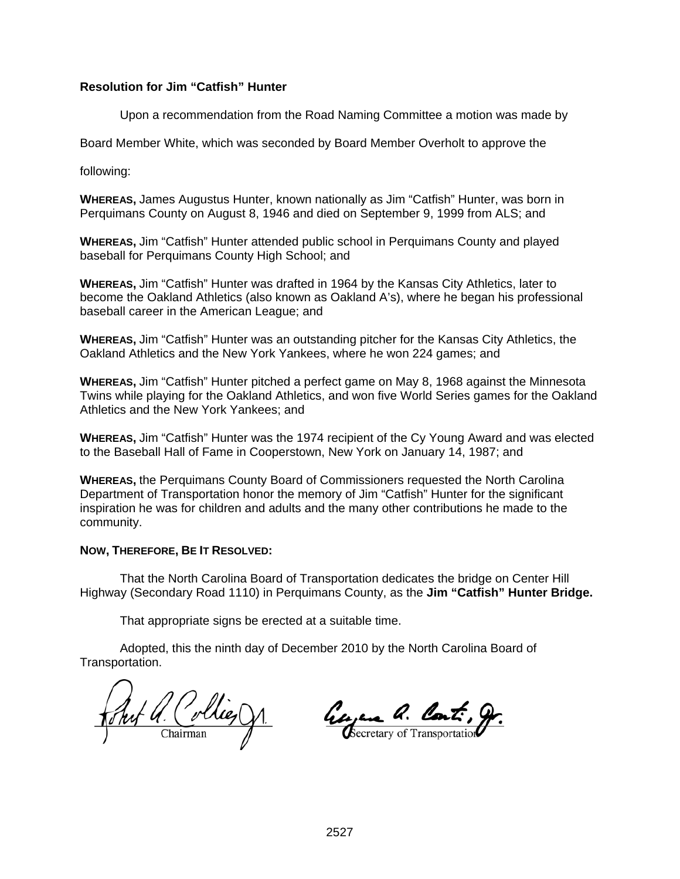## **Resolution for Jim "Catfish" Hunter**

Upon a recommendation from the Road Naming Committee a motion was made by

Board Member White, which was seconded by Board Member Overholt to approve the

following:

**WHEREAS,** James Augustus Hunter, known nationally as Jim "Catfish" Hunter, was born in Perquimans County on August 8, 1946 and died on September 9, 1999 from ALS; and

**WHEREAS,** Jim "Catfish" Hunter attended public school in Perquimans County and played baseball for Perquimans County High School; and

**WHEREAS,** Jim "Catfish" Hunter was drafted in 1964 by the Kansas City Athletics, later to become the Oakland Athletics (also known as Oakland A's), where he began his professional baseball career in the American League; and

**WHEREAS,** Jim "Catfish" Hunter was an outstanding pitcher for the Kansas City Athletics, the Oakland Athletics and the New York Yankees, where he won 224 games; and

**WHEREAS,** Jim "Catfish" Hunter pitched a perfect game on May 8, 1968 against the Minnesota Twins while playing for the Oakland Athletics, and won five World Series games for the Oakland Athletics and the New York Yankees; and

**WHEREAS,** Jim "Catfish" Hunter was the 1974 recipient of the Cy Young Award and was elected to the Baseball Hall of Fame in Cooperstown, New York on January 14, 1987; and

**WHEREAS,** the Perquimans County Board of Commissioners requested the North Carolina Department of Transportation honor the memory of Jim "Catfish" Hunter for the significant inspiration he was for children and adults and the many other contributions he made to the community.

#### **NOW, THEREFORE, BE IT RESOLVED:**

That the North Carolina Board of Transportation dedicates the bridge on Center Hill Highway (Secondary Road 1110) in Perquimans County, as the **Jim "Catfish" Hunter Bridge.** 

That appropriate signs be erected at a suitable time.

 Adopted, this the ninth day of December 2010 by the North Carolina Board of Transportation.

hut U. Collies VI.

George a. Cont. 9